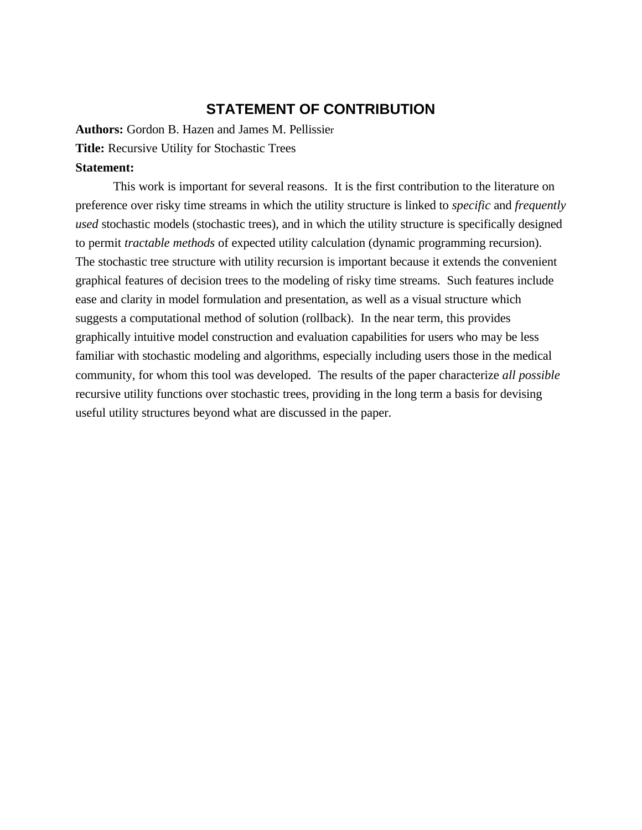## **STATEMENT OF CONTRIBUTION**

**Authors:** Gordon B. Hazen and James M. Pellissier **Title:** Recursive Utility for Stochastic Trees

## **Statement:**

This work is important for several reasons. It is the first contribution to the literature on preference over risky time streams in which the utility structure is linked to *specific* and *frequently used* stochastic models (stochastic trees), and in which the utility structure is specifically designed to permit *tractable methods* of expected utility calculation (dynamic programming recursion). The stochastic tree structure with utility recursion is important because it extends the convenient graphical features of decision trees to the modeling of risky time streams. Such features include ease and clarity in model formulation and presentation, as well as a visual structure which suggests a computational method of solution (rollback). In the near term, this provides graphically intuitive model construction and evaluation capabilities for users who may be less familiar with stochastic modeling and algorithms, especially including users those in the medical community, for whom this tool was developed. The results of the paper characterize *all possible* recursive utility functions over stochastic trees, providing in the long term a basis for devising useful utility structures beyond what are discussed in the paper.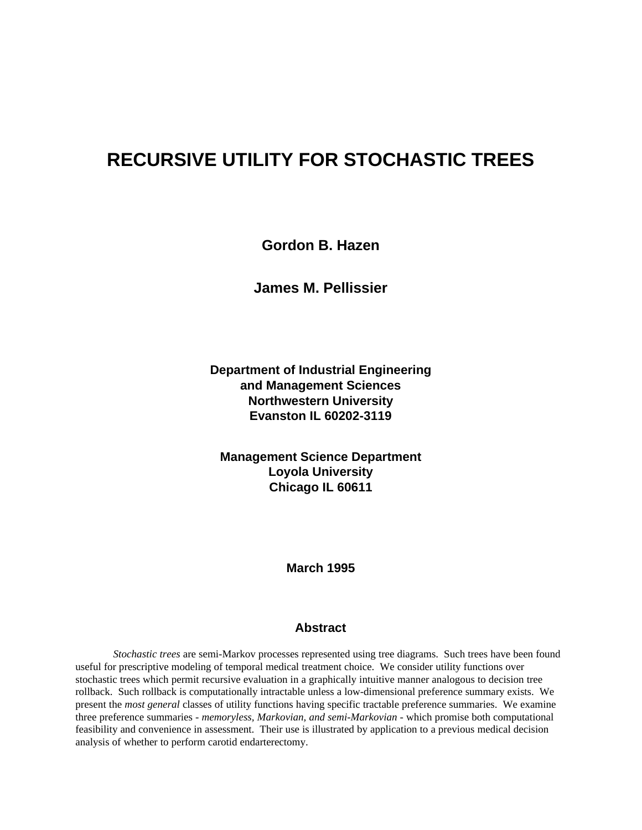# **RECURSIVE UTILITY FOR STOCHASTIC TREES**

**Gordon B. Hazen**

**James M. Pellissier**

**Department of Industrial Engineering and Management Sciences Northwestern University Evanston IL 60202-3119**

**Management Science Department Loyola University Chicago IL 60611**

**March 1995**

#### **Abstract**

*Stochastic trees* are semi-Markov processes represented using tree diagrams. Such trees have been found useful for prescriptive modeling of temporal medical treatment choice. We consider utility functions over stochastic trees which permit recursive evaluation in a graphically intuitive manner analogous to decision tree rollback. Such rollback is computationally intractable unless a low-dimensional preference summary exists. We present the *most general* classes of utility functions having specific tractable preference summaries. We examine three preference summaries - *memoryless, Markovian, and semi-Markovian* - which promise both computational feasibility and convenience in assessment. Their use is illustrated by application to a previous medical decision analysis of whether to perform carotid endarterectomy.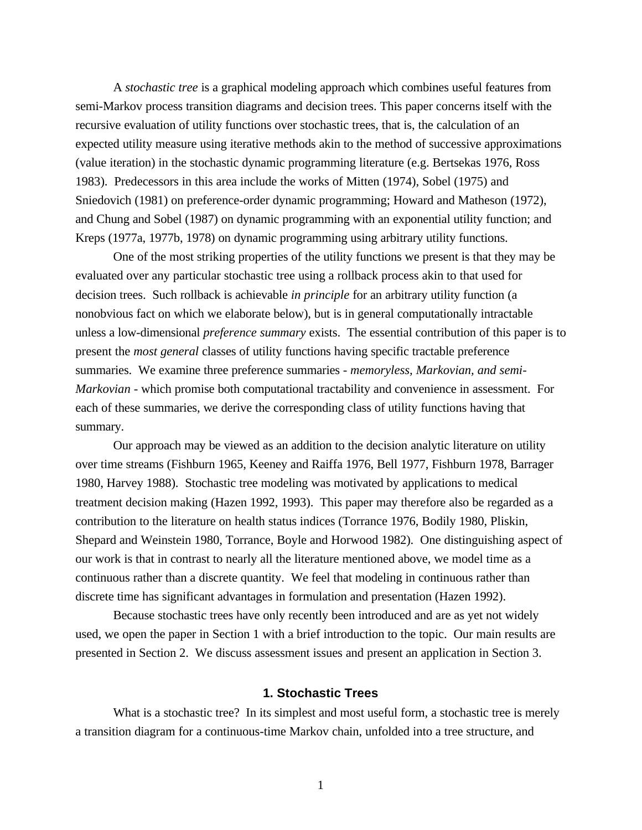A *stochastic tree* is a graphical modeling approach which combines useful features from semi-Markov process transition diagrams and decision trees. This paper concerns itself with the recursive evaluation of utility functions over stochastic trees, that is, the calculation of an expected utility measure using iterative methods akin to the method of successive approximations (value iteration) in the stochastic dynamic programming literature (e.g. Bertsekas 1976, Ross 1983). Predecessors in this area include the works of Mitten (1974), Sobel (1975) and Sniedovich (1981) on preference-order dynamic programming; Howard and Matheson (1972), and Chung and Sobel (1987) on dynamic programming with an exponential utility function; and Kreps (1977a, 1977b, 1978) on dynamic programming using arbitrary utility functions.

One of the most striking properties of the utility functions we present is that they may be evaluated over any particular stochastic tree using a rollback process akin to that used for decision trees. Such rollback is achievable *in principle* for an arbitrary utility function (a nonobvious fact on which we elaborate below), but is in general computationally intractable unless a low-dimensional *preference summary* exists. The essential contribution of this paper is to present the *most general* classes of utility functions having specific tractable preference summaries. We examine three preference summaries - *memoryless, Markovian, and semi-Markovian* - which promise both computational tractability and convenience in assessment. For each of these summaries, we derive the corresponding class of utility functions having that summary.

Our approach may be viewed as an addition to the decision analytic literature on utility over time streams (Fishburn 1965, Keeney and Raiffa 1976, Bell 1977, Fishburn 1978, Barrager 1980, Harvey 1988). Stochastic tree modeling was motivated by applications to medical treatment decision making (Hazen 1992, 1993). This paper may therefore also be regarded as a contribution to the literature on health status indices (Torrance 1976, Bodily 1980, Pliskin, Shepard and Weinstein 1980, Torrance, Boyle and Horwood 1982). One distinguishing aspect of our work is that in contrast to nearly all the literature mentioned above, we model time as a continuous rather than a discrete quantity. We feel that modeling in continuous rather than discrete time has significant advantages in formulation and presentation (Hazen 1992).

Because stochastic trees have only recently been introduced and are as yet not widely used, we open the paper in Section 1 with a brief introduction to the topic. Our main results are presented in Section 2. We discuss assessment issues and present an application in Section 3.

## **1. Stochastic Trees**

What is a stochastic tree? In its simplest and most useful form, a stochastic tree is merely a transition diagram for a continuous-time Markov chain, unfolded into a tree structure, and

1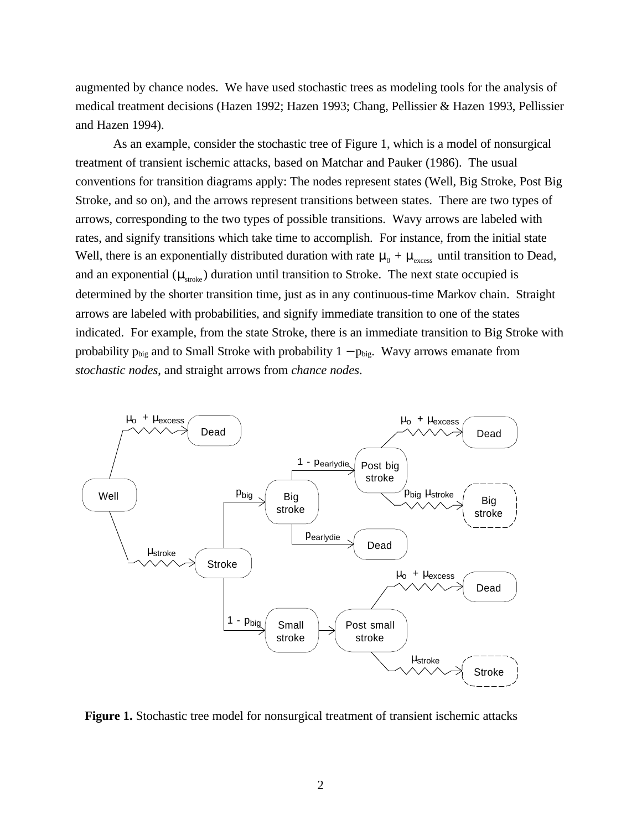augmented by chance nodes. We have used stochastic trees as modeling tools for the analysis of medical treatment decisions (Hazen 1992; Hazen 1993; Chang, Pellissier & Hazen 1993, Pellissier and Hazen 1994).

As an example, consider the stochastic tree of Figure 1, which is a model of nonsurgical treatment of transient ischemic attacks, based on Matchar and Pauker (1986). The usual conventions for transition diagrams apply: The nodes represent states (Well, Big Stroke, Post Big Stroke, and so on), and the arrows represent transitions between states. There are two types of arrows, corresponding to the two types of possible transitions. Wavy arrows are labeled with rates, and signify transitions which take time to accomplish. For instance, from the initial state Well, there is an exponentially distributed duration with rate  $\mu_0 + \mu_{\text{excess}}$  until transition to Dead, and an exponential ( $\mu_{\text{stroke}}$ ) duration until transition to Stroke. The next state occupied is determined by the shorter transition time, just as in any continuous-time Markov chain. Straight arrows are labeled with probabilities, and signify immediate transition to one of the states indicated. For example, from the state Stroke, there is an immediate transition to Big Stroke with probability  $p_{\text{big}}$  and to Small Stroke with probability  $1 - p_{\text{big}}$ . Wavy arrows emanate from *stochastic nodes*, and straight arrows from *chance nodes*.



**Figure 1.** Stochastic tree model for nonsurgical treatment of transient ischemic attacks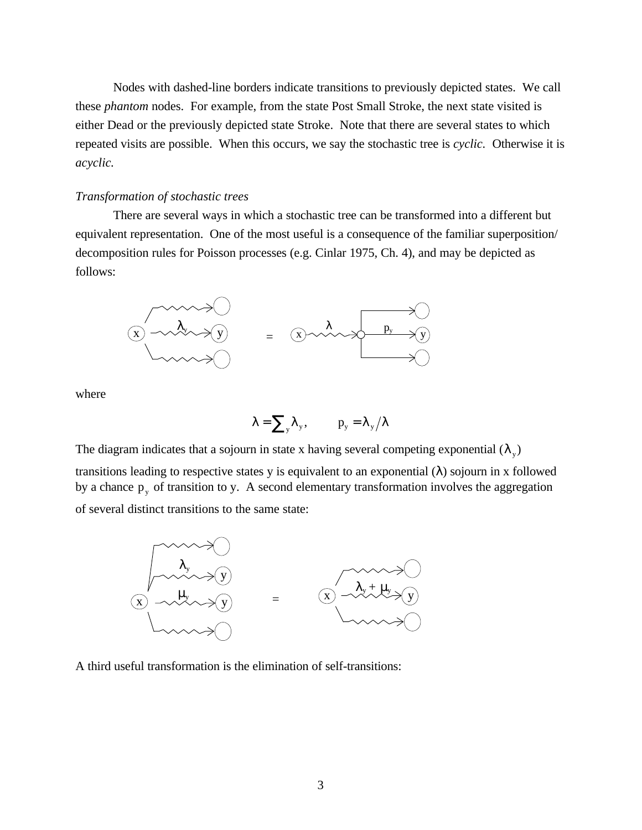Nodes with dashed-line borders indicate transitions to previously depicted states. We call these *phantom* nodes. For example, from the state Post Small Stroke, the next state visited is either Dead or the previously depicted state Stroke. Note that there are several states to which repeated visits are possible. When this occurs, we say the stochastic tree is *cyclic.* Otherwise it is *acyclic.*

#### *Transformation of stochastic trees*

There are several ways in which a stochastic tree can be transformed into a different but equivalent representation. One of the most useful is a consequence of the familiar superposition/ decomposition rules for Poisson processes (e.g. Cinlar 1975, Ch. 4), and may be depicted as follows:



where

$$
\lambda = \sum_{y} \lambda_{y}, \qquad p_{y} = \lambda_{y} / \lambda
$$

The diagram indicates that a sojourn in state x having several competing exponential  $(\lambda_y)$ 

transitions leading to respective states y is equivalent to an exponential  $(\lambda)$  sojourn in x followed by a chance  $p_y$  of transition to y. A second elementary transformation involves the aggregation of several distinct transitions to the same state:



A third useful transformation is the elimination of self-transitions: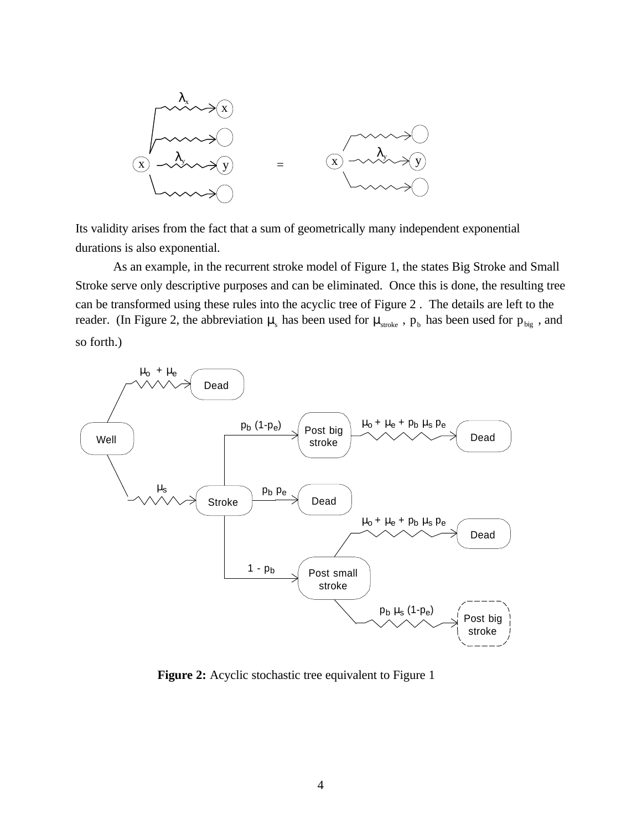

Its validity arises from the fact that a sum of geometrically many independent exponential durations is also exponential.

As an example, in the recurrent stroke model of Figure 1, the states Big Stroke and Small Stroke serve only descriptive purposes and can be eliminated. Once this is done, the resulting tree can be transformed using these rules into the acyclic tree of Figure 2 . The details are left to the reader. (In Figure 2, the abbreviation  $\mu_s$  has been used for  $\mu_{\text{stroke}}$ ,  $p_b$  has been used for  $p_{\text{big}}$ , and so forth.)



**Figure 2:** Acyclic stochastic tree equivalent to Figure 1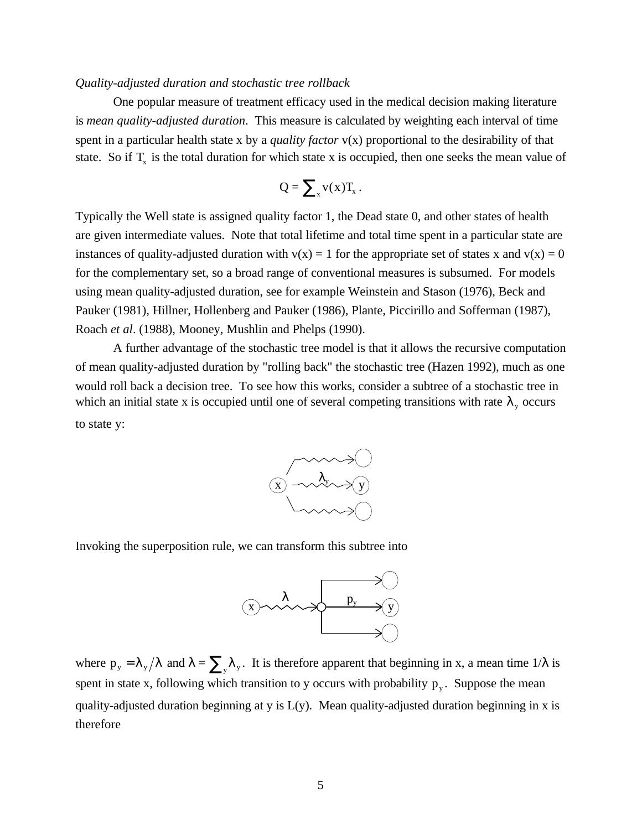#### *Quality-adjusted duration and stochastic tree rollback*

One popular measure of treatment efficacy used in the medical decision making literature is *mean quality-adjusted duration*. This measure is calculated by weighting each interval of time spent in a particular health state x by a *quality factor* v(x) proportional to the desirability of that state. So if  $T_x$  is the total duration for which state x is occupied, then one seeks the mean value of

$$
Q = \sum_{x} v(x) T_{x}.
$$

Typically the Well state is assigned quality factor 1, the Dead state 0, and other states of health are given intermediate values. Note that total lifetime and total time spent in a particular state are instances of quality-adjusted duration with  $v(x) = 1$  for the appropriate set of states x and  $v(x) = 0$ for the complementary set, so a broad range of conventional measures is subsumed. For models using mean quality-adjusted duration, see for example Weinstein and Stason (1976), Beck and Pauker (1981), Hillner, Hollenberg and Pauker (1986), Plante, Piccirillo and Sofferman (1987), Roach *et al*. (1988), Mooney, Mushlin and Phelps (1990).

A further advantage of the stochastic tree model is that it allows the recursive computation of mean quality-adjusted duration by "rolling back" the stochastic tree (Hazen 1992), much as one would roll back a decision tree. To see how this works, consider a subtree of a stochastic tree in which an initial state x is occupied until one of several competing transitions with rate  $\lambda_{y}$  occurs to state y:



Invoking the superposition rule, we can transform this subtree into



where  $p_y = \lambda_y / \lambda$  and  $\lambda = \sum_y \lambda_y$ . It is therefore apparent that beginning in x, a mean time  $1/\lambda$  is spent in state x, following which transition to y occurs with probability  $p_y$ . Suppose the mean quality-adjusted duration beginning at y is L(y). Mean quality-adjusted duration beginning in x is therefore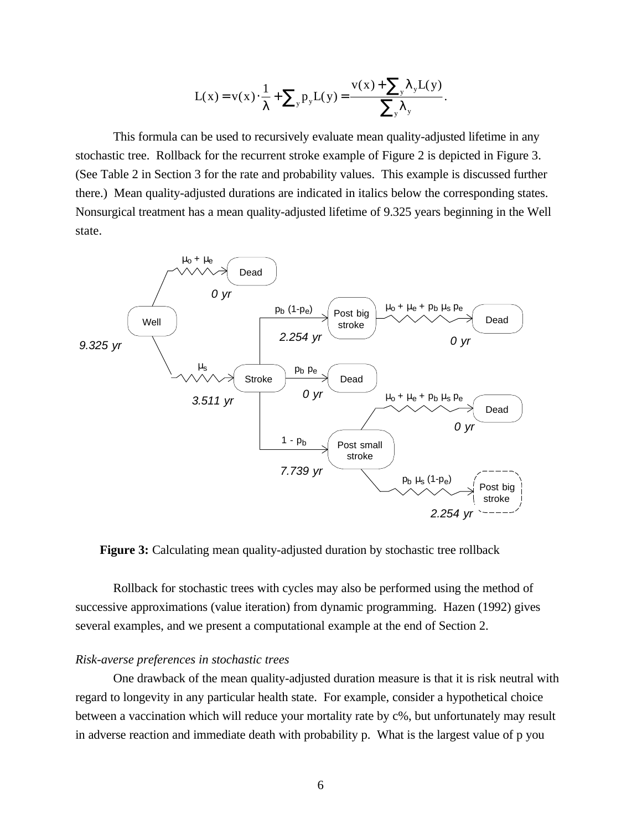$$
L(x) = v(x) \cdot \frac{1}{\lambda} + \sum_{y} p_{y} L(y) = \frac{v(x) + \sum_{y} \lambda_{y} L(y)}{\sum_{y} \lambda_{y}}.
$$

This formula can be used to recursively evaluate mean quality-adjusted lifetime in any stochastic tree. Rollback for the recurrent stroke example of Figure 2 is depicted in Figure 3. (See Table 2 in Section 3 for the rate and probability values. This example is discussed further there.) Mean quality-adjusted durations are indicated in italics below the corresponding states. Nonsurgical treatment has a mean quality-adjusted lifetime of 9.325 years beginning in the Well state.



**Figure 3:** Calculating mean quality-adjusted duration by stochastic tree rollback

Rollback for stochastic trees with cycles may also be performed using the method of successive approximations (value iteration) from dynamic programming. Hazen (1992) gives several examples, and we present a computational example at the end of Section 2.

## *Risk-averse preferences in stochastic trees*

One drawback of the mean quality-adjusted duration measure is that it is risk neutral with regard to longevity in any particular health state. For example, consider a hypothetical choice between a vaccination which will reduce your mortality rate by c%, but unfortunately may result in adverse reaction and immediate death with probability p. What is the largest value of p you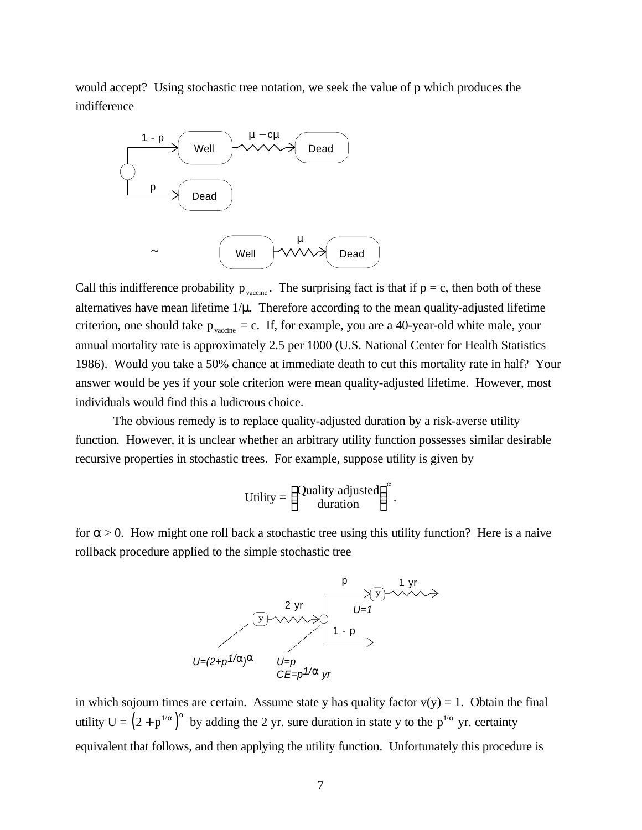would accept? Using stochastic tree notation, we seek the value of p which produces the indifference



Call this indifference probability  $p_{\text{vacine}}$ . The surprising fact is that if  $p = c$ , then both of these alternatives have mean lifetime  $1/\mu$ . Therefore according to the mean quality-adjusted lifetime criterion, one should take  $p_{\text{vacine}} = c$ . If, for example, you are a 40-year-old white male, your annual mortality rate is approximately 2.5 per 1000 (U.S. National Center for Health Statistics 1986). Would you take a 50% chance at immediate death to cut this mortality rate in half? Your answer would be yes if your sole criterion were mean quality-adjusted lifetime. However, most individuals would find this a ludicrous choice.

The obvious remedy is to replace quality-adjusted duration by a risk-averse utility function. However, it is unclear whether an arbitrary utility function possesses similar desirable recursive properties in stochastic trees. For example, suppose utility is given by

$$
Utility = \begin{pmatrix} Quality \; adjusted \\ duration \end{pmatrix}^{\alpha}.
$$

for  $\alpha > 0$ . How might one roll back a stochastic tree using this utility function? Here is a naive rollback procedure applied to the simple stochastic tree



in which sojourn times are certain. Assume state y has quality factor  $v(y) = 1$ . Obtain the final utility  $U = (2 + p^{1/\alpha})^{\alpha}$  by adding the 2 yr. sure duration in state y to the  $p^{1/\alpha}$  yr. certainty equivalent that follows, and then applying the utility function. Unfortunately this procedure is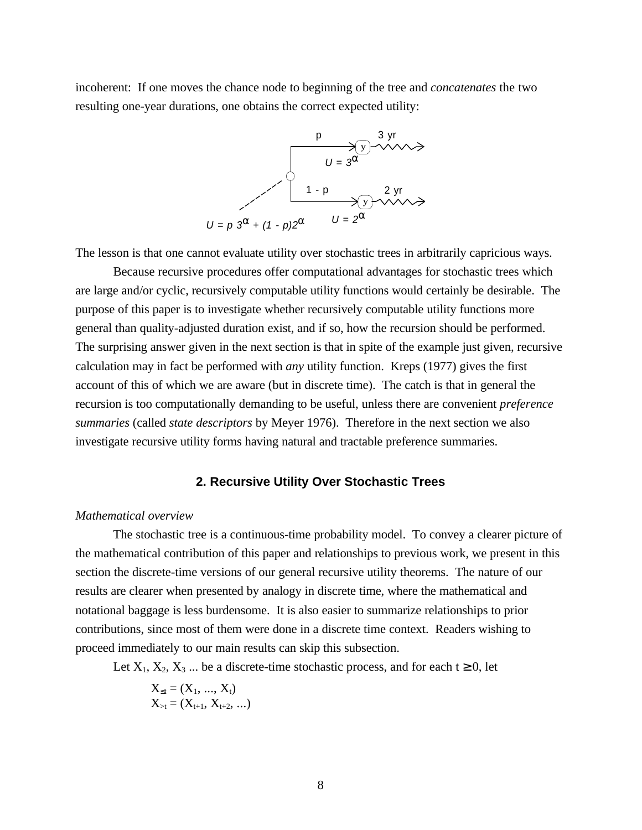incoherent: If one moves the chance node to beginning of the tree and *concatenates* the two resulting one-year durations, one obtains the correct expected utility:



The lesson is that one cannot evaluate utility over stochastic trees in arbitrarily capricious ways.

Because recursive procedures offer computational advantages for stochastic trees which are large and/or cyclic, recursively computable utility functions would certainly be desirable. The purpose of this paper is to investigate whether recursively computable utility functions more general than quality-adjusted duration exist, and if so, how the recursion should be performed. The surprising answer given in the next section is that in spite of the example just given, recursive calculation may in fact be performed with *any* utility function. Kreps (1977) gives the first account of this of which we are aware (but in discrete time). The catch is that in general the recursion is too computationally demanding to be useful, unless there are convenient *preference summaries* (called *state descriptors* by Meyer 1976). Therefore in the next section we also investigate recursive utility forms having natural and tractable preference summaries.

## **2. Recursive Utility Over Stochastic Trees**

#### *Mathematical overview*

The stochastic tree is a continuous-time probability model. To convey a clearer picture of the mathematical contribution of this paper and relationships to previous work, we present in this section the discrete-time versions of our general recursive utility theorems. The nature of our results are clearer when presented by analogy in discrete time, where the mathematical and notational baggage is less burdensome. It is also easier to summarize relationships to prior contributions, since most of them were done in a discrete time context. Readers wishing to proceed immediately to our main results can skip this subsection.

Let  $X_1, X_2, X_3, \ldots$  be a discrete-time stochastic process, and for each t  $\geq 0$ , let

$$
X_{\leq t} = (X_1, ..., X_t)
$$
  

$$
X_{>t} = (X_{t+1}, X_{t+2}, ...)
$$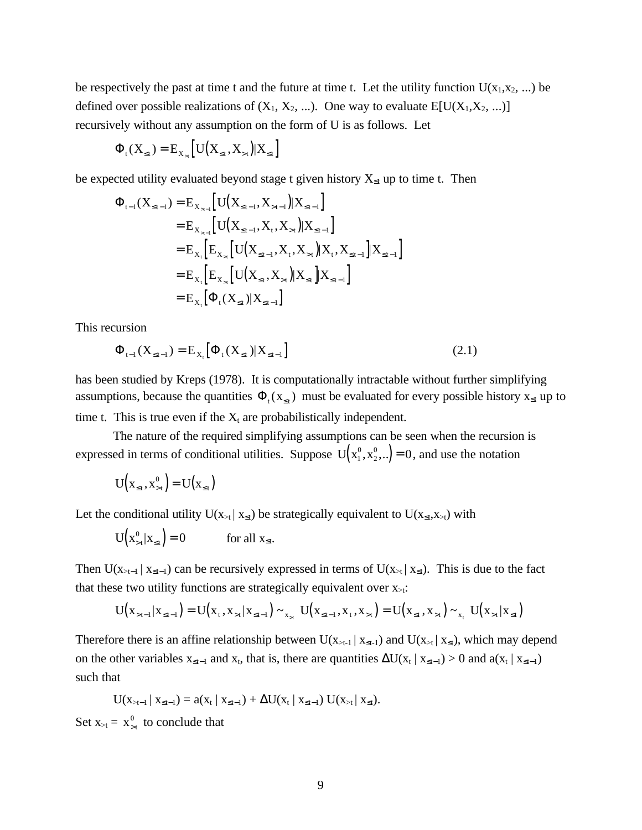be respectively the past at time t and the future at time t. Let the utility function  $U(x_1,x_2,...)$  be defined over possible realizations of  $(X_1, X_2, ...)$ . One way to evaluate  $E[U(X_1, X_2, ...)$ recursively without any assumption on the form of U is as follows. Let

$$
\Phi_{\mathfrak{t}}(X_{\leq \mathfrak{t}}) = E_{X_{> \mathfrak{t}}}\left[U\big(X_{\leq \mathfrak{t}}, X_{> \mathfrak{t}}\big) | X_{\leq \mathfrak{t}}\right]
$$

be expected utility evaluated beyond stage t given history  $X_{\leq t}$  up to time t. Then

$$
\Phi_{t-1}(X_{\leq t-1}) = E_{X_{>t-1}} [U(X_{\leq t-1}, X_{>t-1}) | X_{\leq t-1}]
$$
\n
$$
= E_{X_{>t-1}} [U(X_{\leq t-1}, X_{t}, X_{>t}) | X_{\leq t-1}]
$$
\n
$$
= E_{X_{t}} [E_{X_{>t}} [U(X_{\leq t-1}, X_{t}, X_{>t}) | X_{t}, X_{\leq t-1}] | X_{\leq t-1}]
$$
\n
$$
= E_{X_{t}} [E_{X_{>t}} [U(X_{\leq t}, X_{>t}) | X_{\leq t}] | X_{\leq t-1}]
$$
\n
$$
= E_{X_{t}} [\Phi_{t}(X_{\leq t}) | X_{\leq t-1}]
$$

This recursion

$$
\Phi_{t-1}(X_{\leq t-1}) = E_{X_t} [\Phi_t(X_{\leq t}) | X_{\leq t-1}]
$$
\n(2.1)

has been studied by Kreps (1978). It is computationally intractable without further simplifying assumptions, because the quantities  $\Phi_t(x_{\leq t})$  must be evaluated for every possible history  $x_{\leq t}$  up to time t. This is true even if the  $X_t$  are probabilistically independent.

The nature of the required simplifying assumptions can be seen when the recursion is expressed in terms of conditional utilities. Suppose  $U(x_1^0, x_2^0, \ldots)$ 2  $(x_2^0, \ldots) = 0$ , and use the notation

$$
U\left(x_{\leq t}, x_{>t}^0\right) = U\left(x_{\leq t}\right)
$$

Let the conditional utility  $U(x_{\geq t} | x_{\leq t})$  be strategically equivalent to  $U(x_{\leq t},x_{\geq t})$  with

$$
U\left(x_{>t}^{0}|x_{\leq t}\right) = 0 \qquad \text{for all } x_{\leq t}.
$$

Then  $U(x_{>t-1} | x_{\le t-1})$  can be recursively expressed in terms of  $U(x_{>t} | x_{\le t})$ . This is due to the fact that these two utility functions are strategically equivalent over  $x_{\geq t}$ :

$$
U(x_{t-1}|x_{\leq t-1}) = U(x_{t}, x_{t}|x_{\leq t-1}) \sim_{x_{t}} U(x_{\leq t-1}, x_{t}, x_{t}) = U(x_{\leq t}, x_{t}) \sim_{x_{t}} U(x_{t}|x_{\leq t})
$$

Therefore there is an affine relationship between  $U(x_{\ge t-1} | x_{\le t-1})$  and  $U(x_{\ge t} | x_{\le t})$ , which may depend on the other variables  $x_{\leq t-1}$  and  $x_t$ , that is, there are quantities  $\Delta U(x_t | x_{\leq t-1}) > 0$  and  $a(x_t | x_{\leq t-1})$ such that

$$
U(x_{\scriptscriptstyle \geq t-1}\,|\; x_{\scriptscriptstyle \leq t-1}) = a(x_t\,|\; x_{\scriptscriptstyle \leq t-1}) + \Delta U(x_t\,|\; x_{\scriptscriptstyle \leq t-1})\; U(x_{\scriptscriptstyle \geq t}\,|\; x_{\scriptscriptstyle \leq t}).
$$

Set  $x_{\geq t} = x_{\geq t}^0$  to conclude that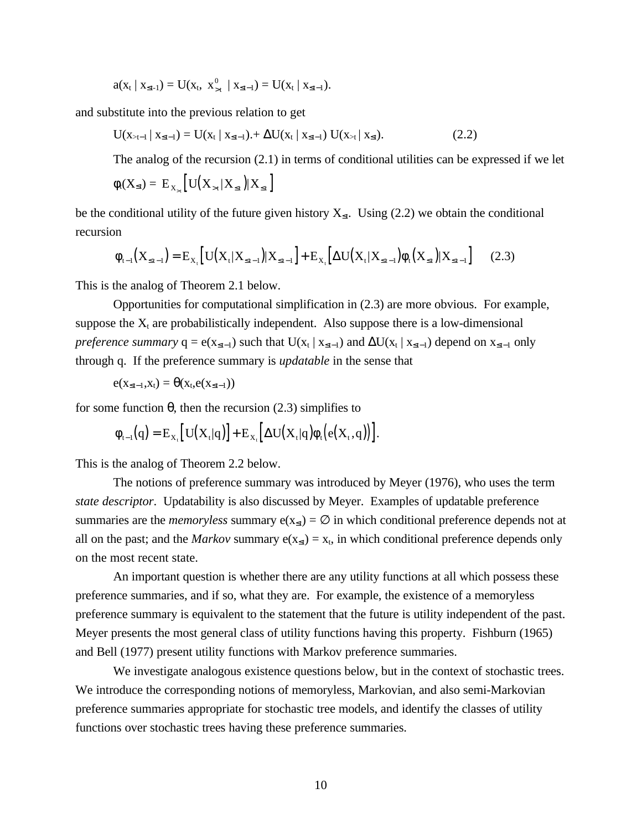$a(x_t | x_{\leq t-1}) = U(x_t, x_{\geq t}^0 | x_{\leq t-1}) = U(x_t | x_{\leq t-1}).$ 

and substitute into the previous relation to get

$$
U(x_{\geq t-1} | x_{\leq t-1}) = U(x_t | x_{\leq t-1}) + \Delta U(x_t | x_{\leq t-1}) U(x_{\geq t} | x_{\leq t}). \tag{2.2}
$$

The analog of the recursion (2.1) in terms of conditional utilities can be expressed if we let

$$
\phi_t(X_{\leq t}) = E_{X_{>t}} \left[ U(X_{>t} | X_{\leq t}) | X_{\leq t} \right]
$$

be the conditional utility of the future given history  $X_{\leq t}$ . Using (2.2) we obtain the conditional recursion

$$
\phi_{t-1}(X_{\leq t-1}) = E_{X_t} [U(X_t | X_{\leq t-1}) | X_{\leq t-1}] + E_{X_t} [\Delta U(X_t | X_{\leq t-1}) \phi_t(X_{\leq t}) | X_{\leq t-1}] \tag{2.3}
$$

This is the analog of Theorem 2.1 below.

Opportunities for computational simplification in (2.3) are more obvious. For example, suppose the  $X_t$  are probabilistically independent. Also suppose there is a low-dimensional *preference summary*  $q = e(x_{\leq t-1})$  such that  $U(x_t | x_{\leq t-1})$  and  $\Delta U(x_t | x_{\leq t-1})$  depend on  $x_{\leq t-1}$  only through q. If the preference summary is *updatable* in the sense that

$$
e(x_{\leq t-1},x_t) = \theta(x_t,e(x_{\leq t-1}))
$$

for some function θ, then the recursion (2.3) simplifies to

$$
\varphi_{t-1}(q) = E_{X_t} \big[ U(X_t|q) \big] + E_{X_t} \big[ \Delta U(X_t|q) \varphi_t \big( e(X_t,q) \big) \big].
$$

This is the analog of Theorem 2.2 below.

The notions of preference summary was introduced by Meyer (1976), who uses the term *state descriptor*. Updatability is also discussed by Meyer. Examples of updatable preference summaries are the *memoryless* summary  $e(x_{\le t}) = \emptyset$  in which conditional preference depends not at all on the past; and the *Markov* summary  $e(x_{\le t}) = x_t$ , in which conditional preference depends only on the most recent state.

An important question is whether there are any utility functions at all which possess these preference summaries, and if so, what they are. For example, the existence of a memoryless preference summary is equivalent to the statement that the future is utility independent of the past. Meyer presents the most general class of utility functions having this property. Fishburn (1965) and Bell (1977) present utility functions with Markov preference summaries.

We investigate analogous existence questions below, but in the context of stochastic trees. We introduce the corresponding notions of memoryless, Markovian, and also semi-Markovian preference summaries appropriate for stochastic tree models, and identify the classes of utility functions over stochastic trees having these preference summaries.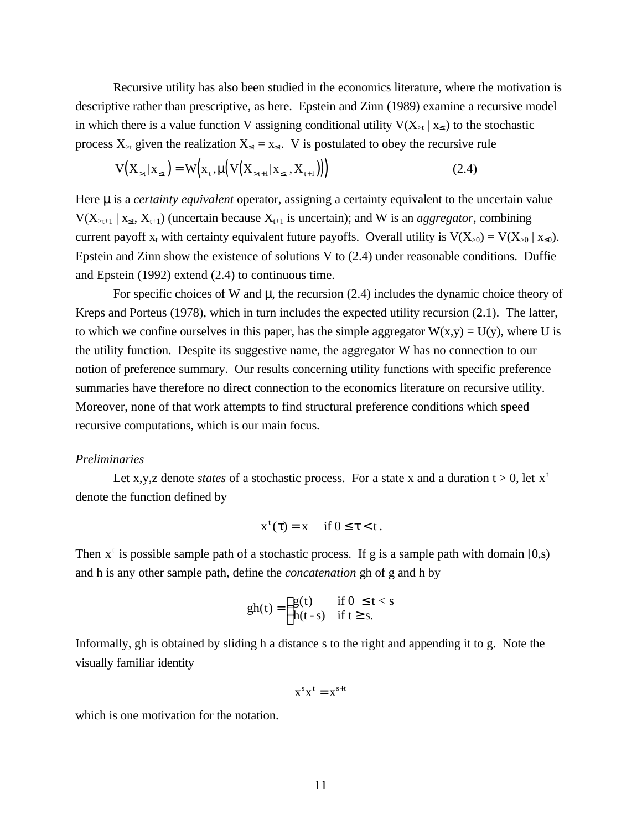Recursive utility has also been studied in the economics literature, where the motivation is descriptive rather than prescriptive, as here. Epstein and Zinn (1989) examine a recursive model in which there is a value function V assigning conditional utility  $V(X_{\geq t} | X_{\leq t})$  to the stochastic process  $X_{\geq t}$  given the realization  $X_{\leq t} = x_{\leq t}$ . V is postulated to obey the recursive rule

$$
V(X_{>t} | X_{\leq t}) = W(x_{t}, \mu\big(V(X_{>t+1} | X_{\leq t}, X_{t+1})\big)\big)
$$
(2.4)

Here *m* is a *certainty equivalent* operator, assigning a certainty equivalent to the uncertain value  $V(X_{\geq t+1} | X_{\leq t}, X_{t+1})$  (uncertain because  $X_{t+1}$  is uncertain); and W is an *aggregator*, combining current payoff  $x_t$  with certainty equivalent future payoffs. Overall utility is  $V(X_{>0}) = V(X_{>0} | X_{\leq 0})$ . Epstein and Zinn show the existence of solutions V to (2.4) under reasonable conditions. Duffie and Epstein (1992) extend (2.4) to continuous time.

For specific choices of W and **m**, the recursion (2.4) includes the dynamic choice theory of Kreps and Porteus (1978), which in turn includes the expected utility recursion (2.1). The latter, to which we confine ourselves in this paper, has the simple aggregator  $W(x,y) = U(y)$ , where U is the utility function. Despite its suggestive name, the aggregator W has no connection to our notion of preference summary. Our results concerning utility functions with specific preference summaries have therefore no direct connection to the economics literature on recursive utility. Moreover, none of that work attempts to find structural preference conditions which speed recursive computations, which is our main focus.

#### *Preliminaries*

Let x,y,z denote *states* of a stochastic process. For a state x and a duration  $t > 0$ , let  $x^t$ denote the function defined by

$$
x^{\tau}(\tau) = x \quad \text{if } 0 \leq \tau < t.
$$

Then  $x^t$  is possible sample path of a stochastic process. If g is a sample path with domain [0,s) and h is any other sample path, define the *concatenation* gh of g and h by

$$
gh(t) = \begin{cases} g(t) & \text{if } 0 \le t < s \\ h(t-s) & \text{if } t \ge s. \end{cases}
$$

Informally, gh is obtained by sliding h a distance s to the right and appending it to g. Note the visually familiar identity

$$
x^s x^t = x^{s+t}
$$

which is one motivation for the notation.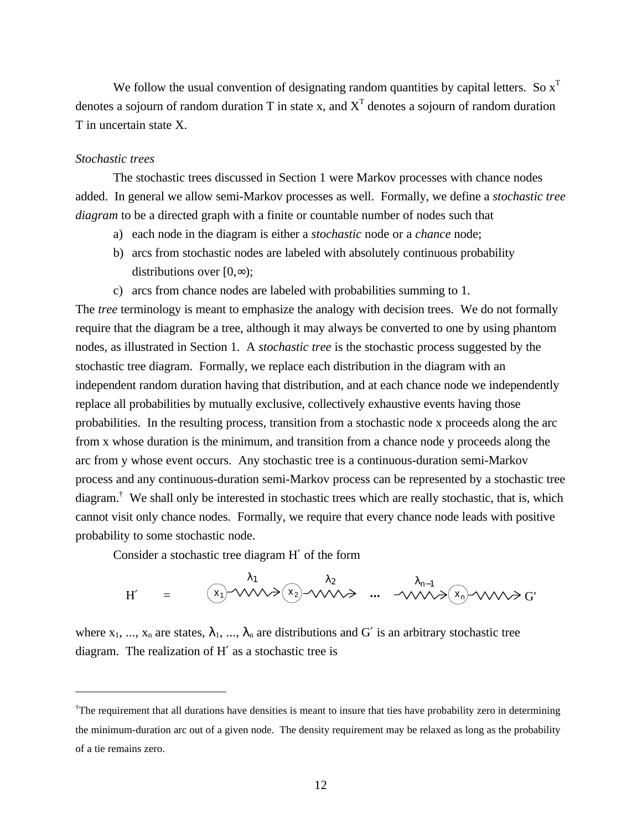We follow the usual convention of designating random quantities by capital letters. So  $x^T$ denotes a sojourn of random duration T in state x, and  $X<sup>T</sup>$  denotes a sojourn of random duration T in uncertain state X.

#### *Stochastic trees*

 $\overline{a}$ 

The stochastic trees discussed in Section 1 were Markov processes with chance nodes added. In general we allow semi-Markov processes as well. Formally, we define a *stochastic tree diagram* to be a directed graph with a finite or countable number of nodes such that

- a) each node in the diagram is either a *stochastic* node or a *chance* node;
- b) arcs from stochastic nodes are labeled with absolutely continuous probability distributions over  $[0, \infty)$ ;
- c) arcs from chance nodes are labeled with probabilities summing to 1.

The *tree* terminology is meant to emphasize the analogy with decision trees. We do not formally require that the diagram be a tree, although it may always be converted to one by using phantom nodes, as illustrated in Section 1. A *stochastic tree* is the stochastic process suggested by the stochastic tree diagram. Formally, we replace each distribution in the diagram with an independent random duration having that distribution, and at each chance node we independently replace all probabilities by mutually exclusive, collectively exhaustive events having those probabilities. In the resulting process, transition from a stochastic node x proceeds along the arc from x whose duration is the minimum, and transition from a chance node y proceeds along the arc from y whose event occurs. Any stochastic tree is a continuous-duration semi-Markov process and any continuous-duration semi-Markov process can be represented by a stochastic tree diagram.<sup>†</sup> We shall only be interested in stochastic trees which are really stochastic, that is, which cannot visit only chance nodes. Formally, we require that every chance node leads with positive probability to some stochastic node.

Consider a stochastic tree diagram H′ of the form

$$
H' = \begin{pmatrix} \lambda_1 & \lambda_2 & \lambda_{n-1} \\ x_1 & \sqrt{x_1} & \sqrt{x_2} & \sqrt{x_1} \\ x_2 & \sqrt{x_2} & \sqrt{x_1} & \sqrt{x_2} & \sqrt{x_1} \\ x_3 & \sqrt{x_3} & \sqrt{x_3} & \sqrt{x_3} & \sqrt{x_3} \\ x_4 & \sqrt{x_4} & \sqrt{x_4} & \sqrt{x_4} & \sqrt{x_5} \\ x_5 & \sqrt{x_5} & \sqrt{x_6} & \sqrt{x_6} & \sqrt{x_7} & \sqrt{x_8} \\ x_6 & \sqrt{x_7} & \sqrt{x_7} & \sqrt{x_8} & \sqrt{x_9} & \sqrt{x_9} & \sqrt{x_9} \\ x_1 & \sqrt{x_9} & \sqrt{x_9} & \sqrt{x_9} & \sqrt{x_9} & \sqrt{x_9} & \sqrt{x_9} \\ x_1 & \sqrt{x_9} & \sqrt{x_9} & \sqrt{x_9} & \sqrt{x_9} & \sqrt{x_9} & \sqrt{x_9} & \sqrt{x_9} \\ x_1 & \sqrt{x_9} & \sqrt{x_9} & \sqrt{x_9} & \sqrt{x_9} & \sqrt{x_9} & \sqrt{x_9} & \sqrt{x_9} & \sqrt{x_9} & \sqrt{x_9} \\ x_1 & \sqrt{x_9} & \sqrt{x_9} & \sqrt{x_9} & \sqrt{x_9} & \sqrt{x_9} & \sqrt{x_9} & \sqrt{x_9} & \sqrt{x_9} & \sqrt{x_9} & \sqrt{x_9} & \sqrt{x_9} & \sqrt{x_9} & \sqrt{x_9} & \sqrt{x_9} & \sqrt{x_9} & \sqrt{x_9} & \sqrt{x_9} & \sqrt{x_9} & \sqrt{x_9} & \sqrt{x_9} & \sqrt{x_9} & \sqrt{x_9} & \sqrt{x_9} & \sqrt{x_9} & \sqrt{x_9} & \sqrt{x_9} & \sqrt{x_9} & \sqrt{x_9} & \sqrt{x_9} & \sqrt{x_9} & \sqrt{x_9} & \sqrt{x_9} & \sqrt{x_9} & \sqrt{x_9} & \sqrt{x_9} & \sqrt{x_9} & \sqrt{x_9} & \sqrt{x_9} & \sqrt{x_9} & \sqrt{x_9} & \sqrt{x_9} & \sqrt{x_9} & \sqrt{x_9} & \sqrt{x_9} & \sqrt{x_9} & \sqrt{x_9} & \sqrt{x_9} & \sqrt{x_9} & \sqrt{x_9} & \sqrt{x_9} & \sqrt{x_9}
$$

where  $x_1, ..., x_n$  are states,  $\lambda_1, ..., \lambda_n$  are distributions and G' is an arbitrary stochastic tree diagram. The realization of H′ as a stochastic tree is

<sup>†</sup>The requirement that all durations have densities is meant to insure that ties have probability zero in determining the minimum-duration arc out of a given node. The density requirement may be relaxed as long as the probability of a tie remains zero.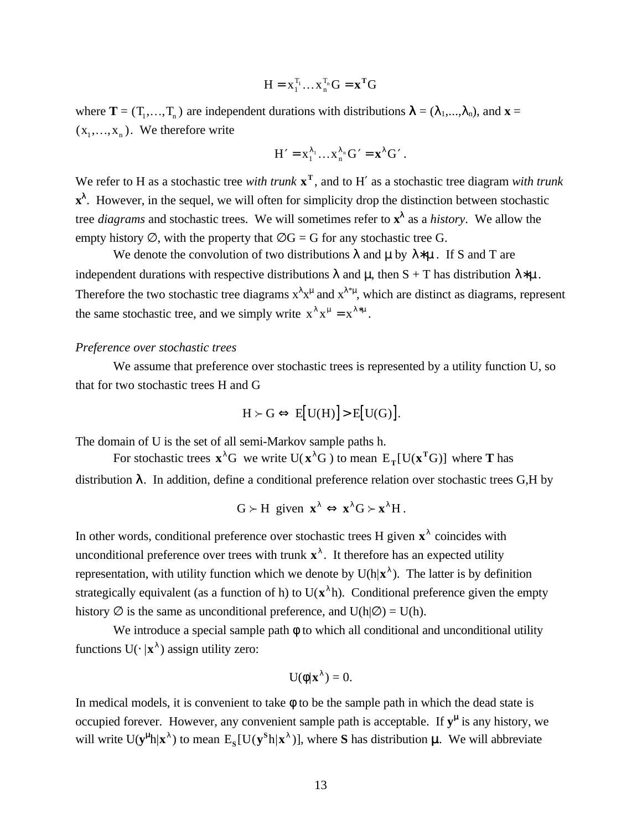$$
H = x_1^{T_1} \dots x_n^{T_n} G = \mathbf{x}^T G
$$

where  $T = (T_1, ..., T_n)$  are independent durations with distributions  $\lambda = (\lambda_1, ..., \lambda_n)$ , and  $\mathbf{x} =$  $(x_1,...,x_n)$ . We therefore write

$$
H' = x_1^{\lambda_1} \dots x_n^{\lambda_n} G' = x^{\lambda} G'.
$$

We refer to H as a stochastic tree *with trunk* **x T** , and to H′ as a stochastic tree diagram *with trunk* **x**<sup>λ</sup>. However, in the sequel, we will often for simplicity drop the distinction between stochastic tree *diagrams* and stochastic trees. We will sometimes refer to  $x^{\lambda}$  as a *history*. We allow the empty history  $\emptyset$ , with the property that  $\emptyset$ G = G for any stochastic tree G.

We denote the convolution of two distributions  $\lambda$  and  $\mu$  by  $\lambda * \mu$ . If S and T are independent durations with respective distributions  $\lambda$  and  $\mu$ , then S + T has distribution  $\lambda^* \mu$ . Therefore the two stochastic tree diagrams  $x^{\lambda}x^{\mu}$  and  $x^{\lambda^*\mu}$ , which are distinct as diagrams, represent the same stochastic tree, and we simply write  $x^{\lambda} x^{\mu} = x^{\lambda^{*}\mu}$ .

#### *Preference over stochastic trees*

We assume that preference over stochastic trees is represented by a utility function U, so that for two stochastic trees H and G

$$
H \succ G \Leftrightarrow E[U(H)] > E[U(G)].
$$

The domain of U is the set of all semi-Markov sample paths h.

For stochastic trees  $\mathbf{x}^{\lambda}$ G we write U( $\mathbf{x}^{\lambda}$ G) to mean  $E_T$ [U( $\mathbf{x}^T$ G)] where **T** has distribution λ. In addition, define a conditional preference relation over stochastic trees G,H by

$$
G \succ H \text{ given } \mathbf{x}^{\lambda} \Leftrightarrow \mathbf{x}^{\lambda} G \succ \mathbf{x}^{\lambda} H.
$$

In other words, conditional preference over stochastic trees H given  $x^{\lambda}$  coincides with unconditional preference over trees with trunk  $\mathbf{x}^{\lambda}$ . It therefore has an expected utility representation, with utility function which we denote by  $U(h|\mathbf{x}^{\lambda})$ . The latter is by definition strategically equivalent (as a function of h) to  $U(x^{\lambda}h)$ . Conditional preference given the empty history  $\varnothing$  is the same as unconditional preference, and  $U(h|\varnothing) = U(h)$ .

We introduce a special sample path  $\phi$  to which all conditional and unconditional utility functions  $U(\cdot | x^{\lambda})$  assign utility zero:

$$
U(\phi|\mathbf{x}^{\lambda})=0.
$$

In medical models, it is convenient to take  $\phi$  to be the sample path in which the dead state is occupied forever. However, any convenient sample path is acceptable. If  $y^{\mu}$  is any history, we will write  $U(y^{\mu}h|x^{\lambda})$  to mean  $E_s[U(y^Sh|x^{\lambda})]$ , where **S** has distribution  $\mu$ . We will abbreviate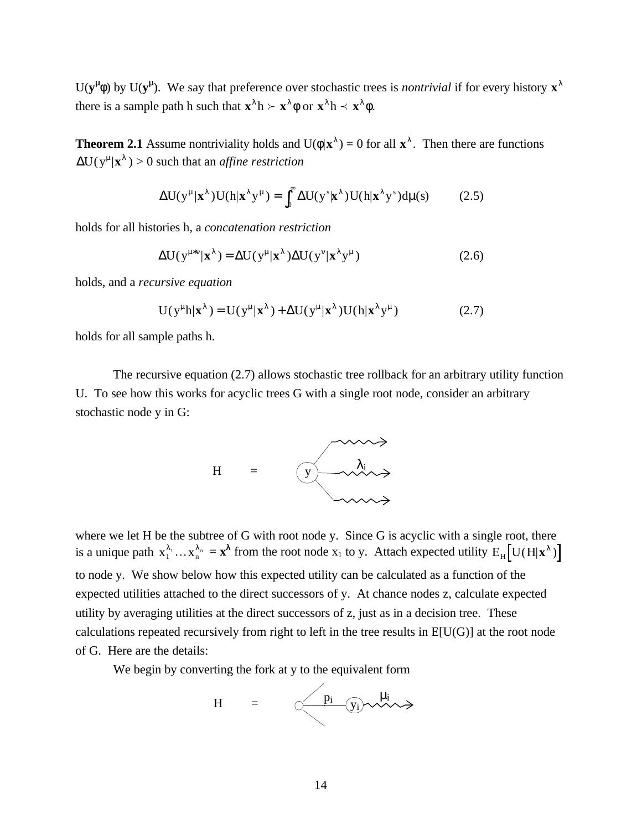U( $y^{\mu}$ ( $\phi$ ) by U( $y^{\mu}$ ). We say that preference over stochastic trees is *nontrivial* if for every history  $x^{\lambda}$ there is a sample path h such that  $\mathbf{x}^{\lambda}$ h  $\succ$   $\mathbf{x}^{\lambda}$  $\phi$  or  $\mathbf{x}^{\lambda}$ h  $\prec$   $\mathbf{x}^{\lambda}$  $\phi$ .

**Theorem 2.1** Assume nontriviality holds and  $U(\phi|\mathbf{x}^{\lambda}) = 0$  for all  $\mathbf{x}^{\lambda}$ . Then there are functions  $\Delta U(y^{\mu}|\mathbf{x}^{\lambda}) > 0$  such that an *affine restriction* 

$$
\Delta U(y^{\mu}|\mathbf{x}^{\lambda})U(h|\mathbf{x}^{\lambda}y^{\mu}) = \int_0^{\infty} \Delta U(y^s|\mathbf{x}^{\lambda})U(h|\mathbf{x}^{\lambda}y^s)d\mu(s) \tag{2.5}
$$

holds for all histories h, a *concatenation restriction*

$$
\Delta U(y^{\mu*\nu}|\mathbf{x}^{\lambda}) = \Delta U(y^{\mu}|\mathbf{x}^{\lambda})\Delta U(y^{\nu}|\mathbf{x}^{\lambda}y^{\mu})
$$
\n(2.6)

holds, and a *recursive equation*

$$
U(y^{\mu}h|\mathbf{x}^{\lambda}) = U(y^{\mu}|\mathbf{x}^{\lambda}) + \Delta U(y^{\mu}|\mathbf{x}^{\lambda})U(h|\mathbf{x}^{\lambda}y^{\mu})
$$
 (2.7)

holds for all sample paths h.

The recursive equation (2.7) allows stochastic tree rollback for an arbitrary utility function U. To see how this works for acyclic trees G with a single root node, consider an arbitrary stochastic node y in G:



where we let H be the subtree of G with root node y. Since G is acyclic with a single root, there is a unique path  $x_1^{\lambda_1} \dots x_n^{\lambda_n} = \mathbf{x}^{\lambda}$  from the root node  $x_1$  to y. Attach expected utility  $E_H \left[ U(H|\mathbf{x}^{\lambda}) \right]$ to node y. We show below how this expected utility can be calculated as a function of the expected utilities attached to the direct successors of y. At chance nodes z, calculate expected utility by averaging utilities at the direct successors of z, just as in a decision tree. These calculations repeated recursively from right to left in the tree results in  $E[U(G)]$  at the root node of G. Here are the details:

We begin by converting the fork at y to the equivalent form

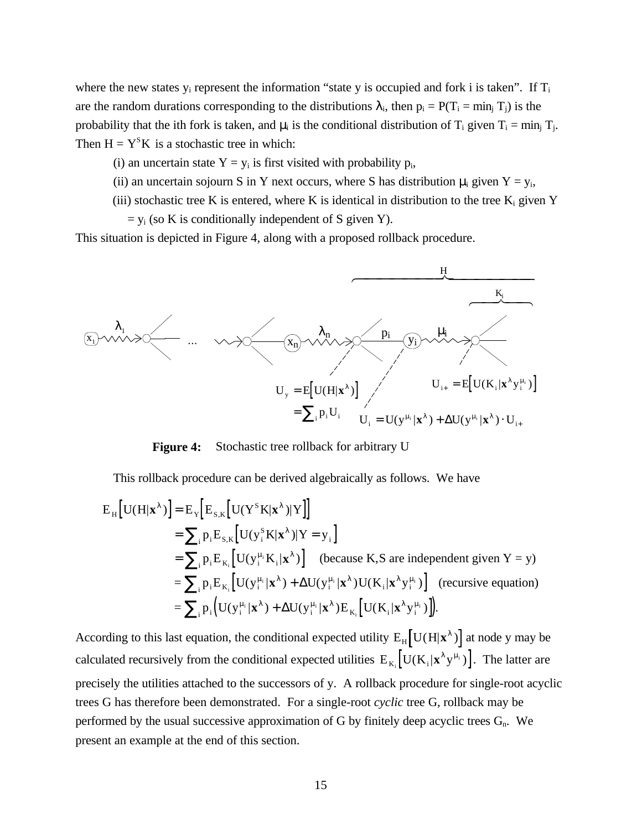where the new states  $y_i$  represent the information "state y is occupied and fork i is taken". If  $T_i$ are the random durations corresponding to the distributions  $\lambda_i$ , then  $p_i = P(T_i = \min_i T_i)$  is the probability that the ith fork is taken, and  $\mu_i$  is the conditional distribution of T<sub>i</sub> given T<sub>i</sub> = min<sub>i</sub> T<sub>i</sub>. Then  $H = Y<sup>S</sup>K$  is a stochastic tree in which:

(i) an uncertain state  $Y = y_i$  is first visited with probability  $p_i$ ,

- (ii) an uncertain sojourn S in Y next occurs, where S has distribution  $\mu_i$  given Y = y<sub>i</sub>,
- (iii) stochastic tree K is entered, where K is identical in distribution to the tree  $K_i$  given Y

 $=$  y<sub>i</sub> (so K is conditionally independent of S given Y).

This situation is depicted in Figure 4, along with a proposed rollback procedure.



**Figure 4:** Stochastic tree rollback for arbitrary U

This rollback procedure can be derived algebraically as follows. We have

$$
E_{H}[U(H|\mathbf{x}^{\lambda})] = E_{Y}[E_{S,K}[U(Y^{S}K|\mathbf{x}^{\lambda})|Y]]
$$
  
\n
$$
= \sum_{i} p_{i}E_{S,K}[U(y^{S}_{i}K|\mathbf{x}^{\lambda})|Y = y_{i}]
$$
  
\n
$$
= \sum_{i} p_{i}E_{K_{i}}[U(y^{u_{i}}_{i}K_{i}|\mathbf{x}^{\lambda})] \text{ (because K,S are independent given Y = y)}
$$
  
\n
$$
= \sum_{i} p_{i}E_{K_{i}}[U(y^{u_{i}}_{i}|\mathbf{x}^{\lambda}) + \Delta U(y^{u_{i}}_{i}|\mathbf{x}^{\lambda})U(K_{i}|\mathbf{x}^{\lambda}y^{u_{i}})] \text{ (recursive equation)}
$$
  
\n
$$
= \sum_{i} p_{i}(U(y^{u_{i}}_{i}|\mathbf{x}^{\lambda}) + \Delta U(y^{u_{i}}_{i}|\mathbf{x}^{\lambda})E_{K_{i}}[U(K_{i}|\mathbf{x}^{\lambda}y^{u_{i}}_{i})]).
$$

According to this last equation, the conditional expected utility  $E_{H} [U(H|\mathbf{x}^{\lambda})]$  at node y may be calculated recursively from the conditional expected utilities  $E_{K_i} [U(K_i | \mathbf{x}^{\lambda} y^{\mu_i})]$ . The latter are precisely the utilities attached to the successors of y. A rollback procedure for single-root acyclic trees G has therefore been demonstrated. For a single-root *cyclic* tree G, rollback may be performed by the usual successive approximation of G by finitely deep acyclic trees  $G_n$ . We present an example at the end of this section.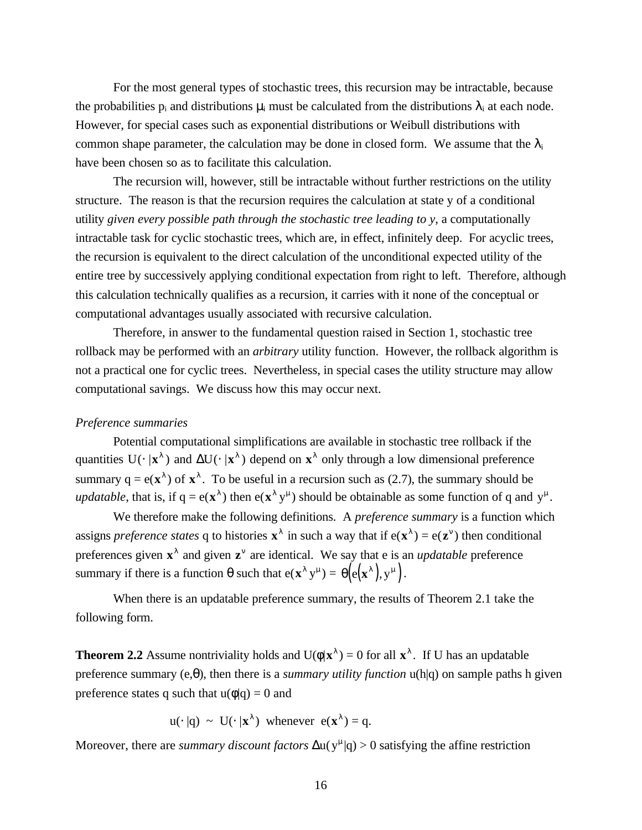For the most general types of stochastic trees, this recursion may be intractable, because the probabilities  $p_i$  and distributions  $\mu_i$  must be calculated from the distributions  $\lambda_i$  at each node. However, for special cases such as exponential distributions or Weibull distributions with common shape parameter, the calculation may be done in closed form. We assume that the  $\lambda_i$ have been chosen so as to facilitate this calculation.

The recursion will, however, still be intractable without further restrictions on the utility structure. The reason is that the recursion requires the calculation at state y of a conditional utility *given every possible path through the stochastic tree leading to y*, a computationally intractable task for cyclic stochastic trees, which are, in effect, infinitely deep. For acyclic trees, the recursion is equivalent to the direct calculation of the unconditional expected utility of the entire tree by successively applying conditional expectation from right to left. Therefore, although this calculation technically qualifies as a recursion, it carries with it none of the conceptual or computational advantages usually associated with recursive calculation.

Therefore, in answer to the fundamental question raised in Section 1, stochastic tree rollback may be performed with an *arbitrary* utility function. However, the rollback algorithm is not a practical one for cyclic trees. Nevertheless, in special cases the utility structure may allow computational savings. We discuss how this may occur next.

#### *Preference summaries*

Potential computational simplifications are available in stochastic tree rollback if the quantities  $U(\cdot | x^{\lambda})$  and  $\Delta U(\cdot | x^{\lambda})$  depend on  $x^{\lambda}$  only through a low dimensional preference summary  $q = e(\mathbf{x}^{\lambda})$  of  $\mathbf{x}^{\lambda}$ . To be useful in a recursion such as (2.7), the summary should be *updatable*, that is, if  $q = e(\mathbf{x}^{\lambda})$  then  $e(\mathbf{x}^{\lambda} y^{\mu})$  should be obtainable as some function of q and  $y^{\mu}$ .

We therefore make the following definitions. A *preference summary* is a function which assigns *preference states* q to histories  $\mathbf{x}^{\lambda}$  in such a way that if  $e(\mathbf{x}^{\lambda}) = e(\mathbf{z}^{\nu})$  then conditional preferences given  $\mathbf{x}^{\lambda}$  and given  $\mathbf{z}^{\nu}$  are identical. We say that e is an *updatable* preference summary if there is a function  $\theta$  such that  $e(\mathbf{x}^{\lambda} y^{\mu}) = \theta(e(\mathbf{x}^{\lambda}), y^{\mu})$ .

When there is an updatable preference summary, the results of Theorem 2.1 take the following form.

**Theorem 2.2** Assume nontriviality holds and  $U(\phi|\mathbf{x}^{\lambda}) = 0$  for all  $\mathbf{x}^{\lambda}$ . If U has an updatable preference summary (e,θ), then there is a *summary utility function* u(h|q) on sample paths h given preference states q such that  $u(\phi|q) = 0$  and

$$
u(\cdot | q) \sim U(\cdot | x^{\lambda})
$$
 whenever  $e(x^{\lambda}) = q$ .

Moreover, there are *summary discount factors*  $\Delta u(y^{\mu}|q) > 0$  satisfying the affine restriction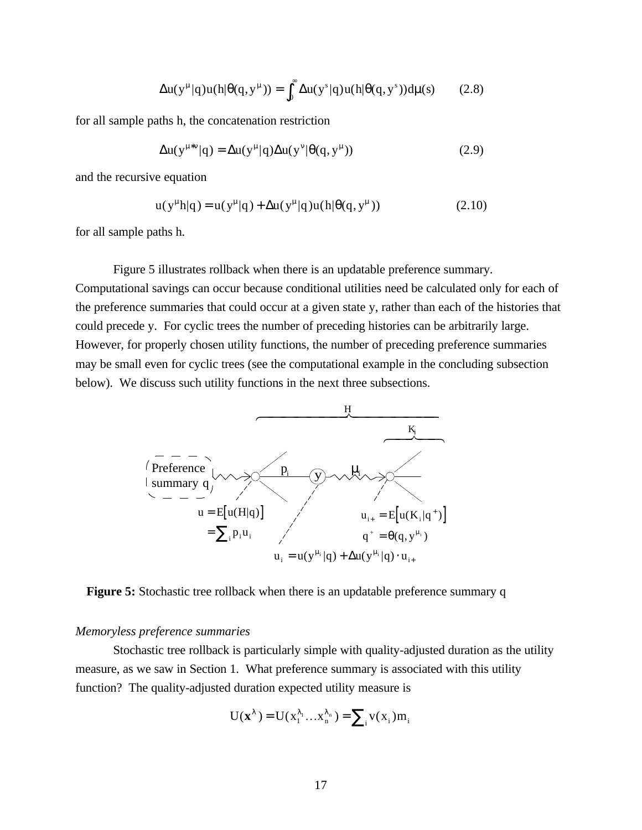$$
\Delta u(y^{\mu}|q)u(h|\theta(q,y^{\mu})) = \int_0^{\infty} \Delta u(y^s|q)u(h|\theta(q,y^s))d\mu(s) \qquad (2.8)
$$

for all sample paths h, the concatenation restriction

$$
\Delta u(y^{\mu * v} | q) = \Delta u(y^{\mu} | q) \Delta u(y^{\nu} | \theta(q, y^{\mu})) \tag{2.9}
$$

and the recursive equation

$$
u(y^{\mu}h|q) = u(y^{\mu}|q) + \Delta u(y^{\mu}|q)u(h|\theta(q, y^{\mu}))
$$
 (2.10)

for all sample paths h.

Figure 5 illustrates rollback when there is an updatable preference summary. Computational savings can occur because conditional utilities need be calculated only for each of the preference summaries that could occur at a given state y, rather than each of the histories that could precede y. For cyclic trees the number of preceding histories can be arbitrarily large. However, for properly chosen utility functions, the number of preceding preference summaries may be small even for cyclic trees (see the computational example in the concluding subsection below). We discuss such utility functions in the next three subsections.



**Figure 5:** Stochastic tree rollback when there is an updatable preference summary q

#### *Memoryless preference summaries*

Stochastic tree rollback is particularly simple with quality-adjusted duration as the utility measure, as we saw in Section 1. What preference summary is associated with this utility function? The quality-adjusted duration expected utility measure is

$$
U(\mathbf{x}^{\lambda}) = U(x_1^{\lambda_1} \dots x_n^{\lambda_n}) = \sum_i v(x_i) m_i
$$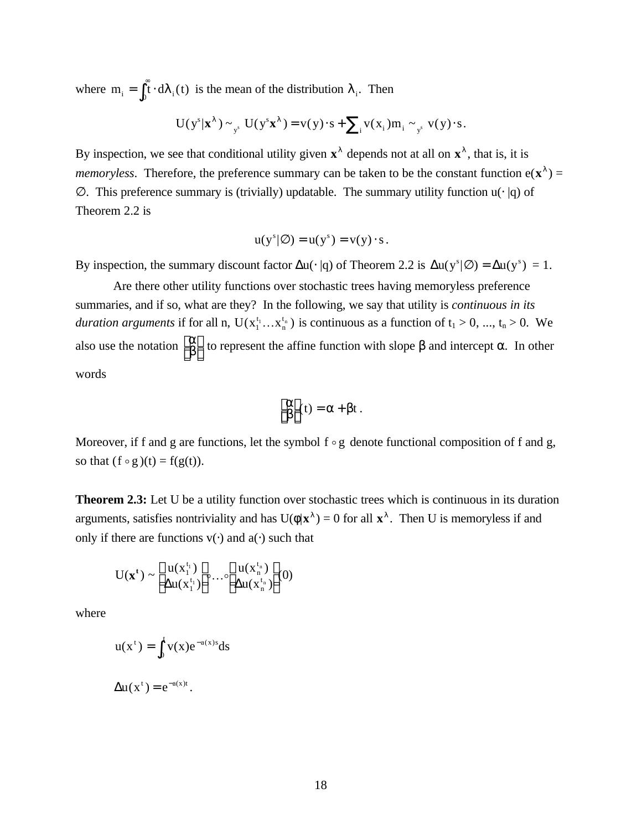where  $m_i = \int_0^{\infty} \hat{d}\lambda_i(t)$  is the mean of the distribution  $\lambda_i$ . Then

$$
U(y^s|\mathbf{x}^{\lambda}) \sim_{y^s} U(y^s \mathbf{x}^{\lambda}) = v(y) \cdot s + \sum_{i} v(x_i) m_i \sim_{y^s} v(y) \cdot s.
$$

By inspection, we see that conditional utility given  $\mathbf{x}^{\lambda}$  depends not at all on  $\mathbf{x}^{\lambda}$ , that is, it is *memoryless.* Therefore, the preference summary can be taken to be the constant function  $e(\mathbf{x}^{\lambda}) =$ ∅. This preference summary is (trivially) updatable. The summary utility function u(⋅ |q) of Theorem 2.2 is

$$
u(y^s|\varnothing) = u(y^s) = v(y) \cdot s.
$$

By inspection, the summary discount factor  $\Delta u(\cdot |q)$  of Theorem 2.2 is  $\Delta u(y^s | \emptyset) = \Delta u(y^s) = 1$ .

Are there other utility functions over stochastic trees having memoryless preference summaries, and if so, what are they? In the following, we say that utility is *continuous in its duration arguments* if for all n,  $U(x_1^{t_1}...x_n)$ n  $(x_1^{t_1} \dots x_n^{t_n})$  is continuous as a function of  $t_1 > 0$ , ...,  $t_n > 0$ . We also use the notation  $\begin{bmatrix} \alpha \\ \beta \end{bmatrix}$ L L  $\overline{\phantom{a}}$ to represent the affine function with slope  $β$  and intercept  $α$ . In other words

$$
\begin{bmatrix} \alpha \\ \beta \end{bmatrix}(t) = \alpha + \beta t \; .
$$

Moreover, if f and g are functions, let the symbol  $f \circ g$  denote functional composition of f and g, so that  $(f \circ g)(t) = f(g(t)).$ 

**Theorem 2.3:** Let U be a utility function over stochastic trees which is continuous in its duration arguments, satisfies nontriviality and has  $U(\phi|\mathbf{x}^{\lambda}) = 0$  for all  $\mathbf{x}^{\lambda}$ . Then U is memoryless if and only if there are functions  $v(·)$  and  $a(·)$  such that

$$
U(\mathbf{x}^t) \sim \begin{bmatrix} u(x_1^{t_1}) \\ \Delta u(x_1^{t_1}) \end{bmatrix} \cdots \begin{bmatrix} u(x_n^{t_n}) \\ \Delta u(x_n^{t_n}) \end{bmatrix} (0)
$$

where

$$
u(xt) = \int_0^t v(x)e^{-a(x)s} ds
$$
  
 
$$
\Delta u(xt) = e^{-a(x)t}.
$$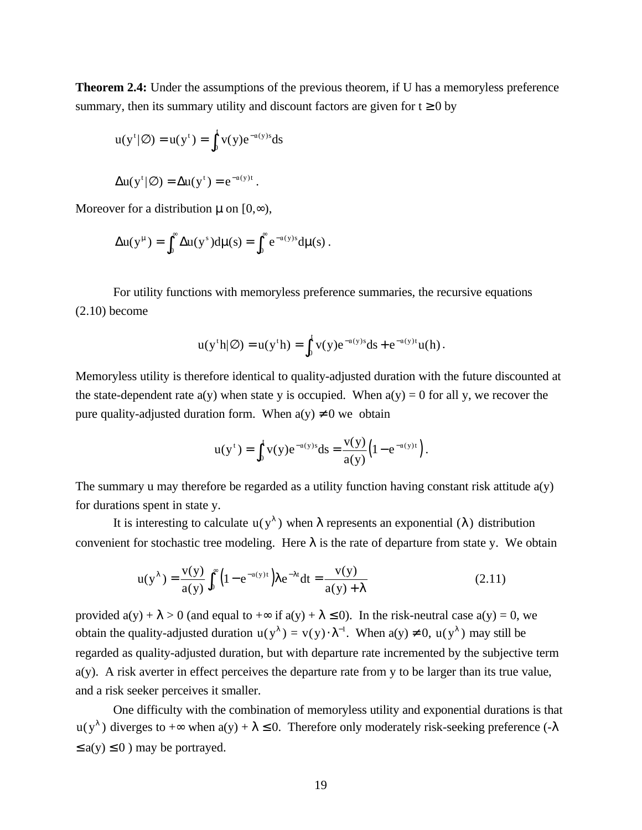**Theorem 2.4:** Under the assumptions of the previous theorem, if U has a memoryless preference summary, then its summary utility and discount factors are given for  $t \ge 0$  by

$$
u(yt|\varnothing) = u(yt) = \int_0^t v(y)e^{-a(y)s} ds
$$

$$
\Delta u(y^t|\varnothing) = \Delta u(y^t) = e^{-a(y)t}.
$$

Moreover for a distribution  $\mu$  on  $[0, \infty)$ ,

$$
\Delta u(y^{\mu}) = \int_0^{\infty} \Delta u(y^s) d\mu(s) = \int_0^{\infty} e^{-a(y)s} d\mu(s) .
$$

For utility functions with memoryless preference summaries, the recursive equations (2.10) become

$$
u(y^{\dagger}h|\varnothing) = u(y^{\dagger}h) = \int_0^t v(y)e^{-a(y)s}ds + e^{-a(y)t}u(h).
$$

Memoryless utility is therefore identical to quality-adjusted duration with the future discounted at the state-dependent rate  $a(y)$  when state y is occupied. When  $a(y) = 0$  for all y, we recover the pure quality-adjusted duration form. When  $a(y) \neq 0$  we obtain

$$
u(y^{t}) = \int_0^t v(y)e^{-a(y)s} ds = \frac{v(y)}{a(y)} (1 - e^{-a(y)t}).
$$

The summary u may therefore be regarded as a utility function having constant risk attitude  $a(y)$ for durations spent in state y.

It is interesting to calculate  $u(y^{\lambda})$  when  $\lambda$  represents an exponential ( $\lambda$ ) distribution convenient for stochastic tree modeling. Here  $\lambda$  is the rate of departure from state y. We obtain

$$
u(y^{\lambda}) = \frac{v(y)}{a(y)} \int_0^{\infty} \left(1 - e^{-a(y)t}\right) \lambda e^{-\lambda t} dt = \frac{v(y)}{a(y) + \lambda}
$$
 (2.11)

provided  $a(y) + \lambda > 0$  (and equal to  $+\infty$  if  $a(y) + \lambda \le 0$ ). In the risk-neutral case  $a(y) = 0$ , we obtain the quality-adjusted duration  $u(y^{\lambda}) = v(y) \cdot \lambda^{-1}$ . When  $a(y) \neq 0$ ,  $u(y^{\lambda})$  may still be regarded as quality-adjusted duration, but with departure rate incremented by the subjective term a(y). A risk averter in effect perceives the departure rate from y to be larger than its true value, and a risk seeker perceives it smaller.

One difficulty with the combination of memoryless utility and exponential durations is that  $u(y^{\lambda})$  diverges to + $\infty$  when  $a(y) + \lambda \le 0$ . Therefore only moderately risk-seeking preference (- $\lambda$  $\leq$  a(y)  $\leq$  0) may be portrayed.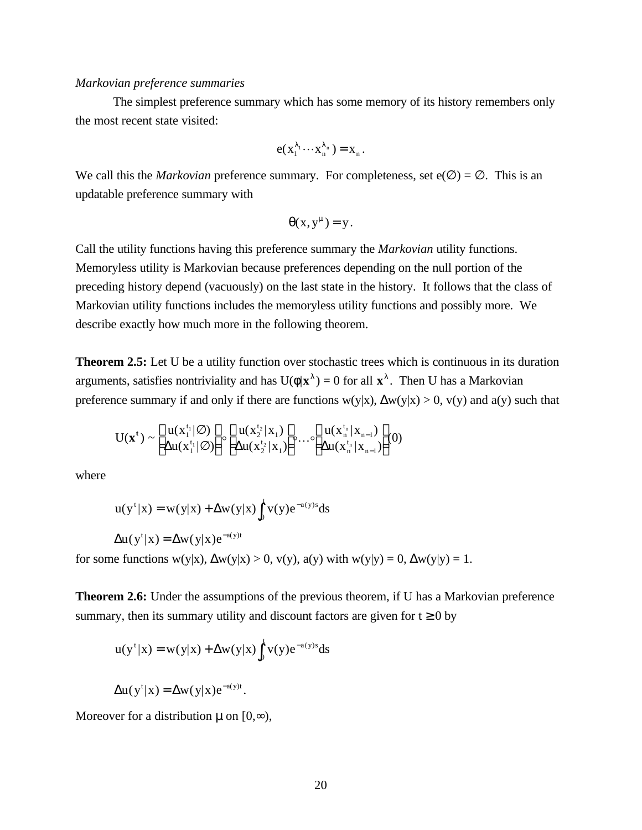#### *Markovian preference summaries*

The simplest preference summary which has some memory of its history remembers only the most recent state visited:

$$
e(x_1^{\lambda_1}\cdots x_n^{\lambda_n})=x_n.
$$

We call this the *Markovian* preference summary. For completeness, set  $e(\emptyset) = \emptyset$ . This is an updatable preference summary with

$$
\theta(x, y^{\mu}) = y.
$$

Call the utility functions having this preference summary the *Markovian* utility functions. Memoryless utility is Markovian because preferences depending on the null portion of the preceding history depend (vacuously) on the last state in the history. It follows that the class of Markovian utility functions includes the memoryless utility functions and possibly more. We describe exactly how much more in the following theorem.

**Theorem 2.5:** Let U be a utility function over stochastic trees which is continuous in its duration arguments, satisfies nontriviality and has  $U(\phi|\mathbf{x}^{\lambda}) = 0$  for all  $\mathbf{x}^{\lambda}$ . Then U has a Markovian preference summary if and only if there are functions  $w(y|x)$ ,  $\Delta w(y|x) > 0$ ,  $v(y)$  and  $a(y)$  such that

$$
U(\mathbf{x}^{t}) \sim \left[\begin{matrix} u(x_1^{t_1}|\varnothing) \\ \Delta u(x_1^{t_1}|\varnothing) \end{matrix}\right] \circ \left[\begin{matrix} u(x_2^{t_2}|x_1) \\ \Delta u(x_2^{t_2}|x_1) \end{matrix}\right] \circ \dots \circ \left[\begin{matrix} u(x_n^{t_n}|x_{n-1}) \\ \Delta u(x_n^{t_n}|x_{n-1}) \end{matrix}\right] (0)
$$

where

$$
u(yt|x) = w(y|x) + \Delta w(y|x) \int_0^t v(y)e^{-a(y)s} ds
$$

$$
\Delta u(y^t|x) = \Delta w(y|x)e^{-a(y)t}
$$

for some functions  $w(y|x), \Delta w(y|x) > 0$ ,  $v(y), a(y)$  with  $w(y|y) = 0, \Delta w(y|y) = 1$ .

**Theorem 2.6:** Under the assumptions of the previous theorem, if U has a Markovian preference summary, then its summary utility and discount factors are given for  $t \ge 0$  by

$$
u(yt|x) = w(y|x) + \Delta w(y|x) \int_0^t v(y)e^{-a(y)s} ds
$$

$$
\Delta u(y^{t} | x) = \Delta w(y | x) e^{-a(y)t}.
$$

Moreover for a distribution  $\mu$  on  $[0, \infty)$ ,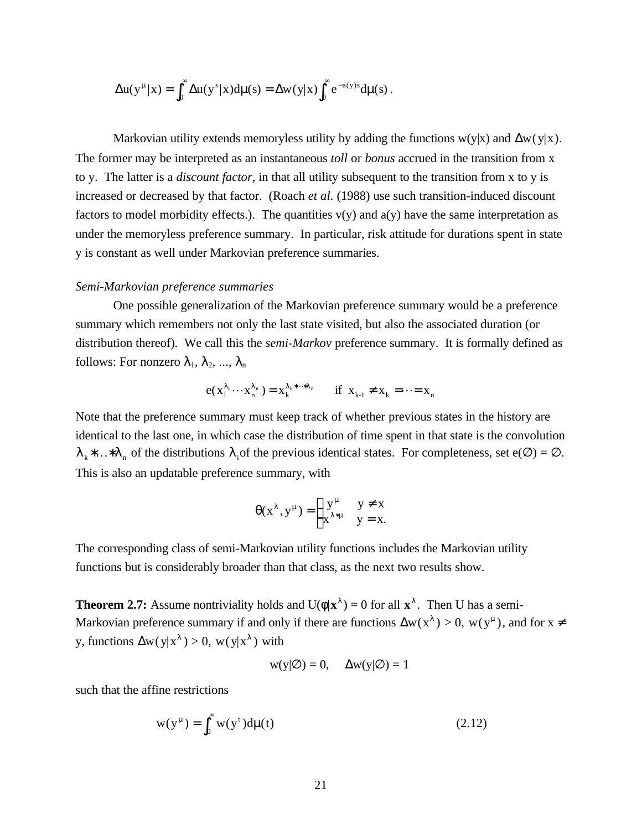$$
\Delta u(y^{\mu}|x) = \int_0^{\infty} \Delta u(y^s|x) d\mu(s) = \Delta w(y|x) \int_0^{\infty} e^{-a(y)s} d\mu(s).
$$

Markovian utility extends memoryless utility by adding the functions  $w(y|x)$  and  $\Delta w(y|x)$ . The former may be interpreted as an instantaneous *toll* or *bonus* accrued in the transition from x to y. The latter is a *discount factor*, in that all utility subsequent to the transition from x to y is increased or decreased by that factor. (Roach *et al.* (1988) use such transition-induced discount factors to model morbidity effects.). The quantities  $v(y)$  and  $a(y)$  have the same interpretation as under the memoryless preference summary. In particular, risk attitude for durations spent in state y is constant as well under Markovian preference summaries.

#### *Semi-Markovian preference summaries*

One possible generalization of the Markovian preference summary would be a preference summary which remembers not only the last state visited, but also the associated duration (or distribution thereof). We call this the *semi-Markov* preference summary. It is formally defined as follows: For nonzero  $\lambda_1, \lambda_2, ..., \lambda_n$ 

$$
e(x_1^{\lambda_1}\cdots x_n^{\lambda_n}) = x_k^{\lambda_k*\cdots*\lambda_n} \quad \text{if } x_{k-1} \neq x_k = \cdots = x_n
$$

Note that the preference summary must keep track of whether previous states in the history are identical to the last one, in which case the distribution of time spent in that state is the convolution  $\lambda_k^*$ ...\* $\lambda_n$  of the distributions  $\lambda_i$  of the previous identical states. For completeness, set e( $\emptyset$ ) =  $\emptyset$ . This is also an updatable preference summary, with

$$
\theta(x^{\lambda}, y^{\mu}) = \begin{cases} y^{\mu} & y \neq x \\ x^{\lambda * \mu} & y = x. \end{cases}
$$

The corresponding class of semi-Markovian utility functions includes the Markovian utility functions but is considerably broader than that class, as the next two results show.

**Theorem 2.7:** Assume nontriviality holds and  $U(\phi|\mathbf{x}^{\lambda}) = 0$  for all  $\mathbf{x}^{\lambda}$ . Then U has a semi-Markovian preference summary if and only if there are functions  $\Delta w(x^{\lambda}) > 0$ ,  $w(y^{\mu})$ , and for  $x \neq 0$ y, functions  $\Delta w(y|x^{\lambda}) > 0$ ,  $w(y|x^{\lambda})$  with

$$
w(y|\emptyset) = 0
$$
,  $\Delta w(y|\emptyset) = 1$ 

such that the affine restrictions

$$
w(y^{\mu}) = \int_0^{\infty} w(y^{\tau}) d\mu(t)
$$
 (2.12)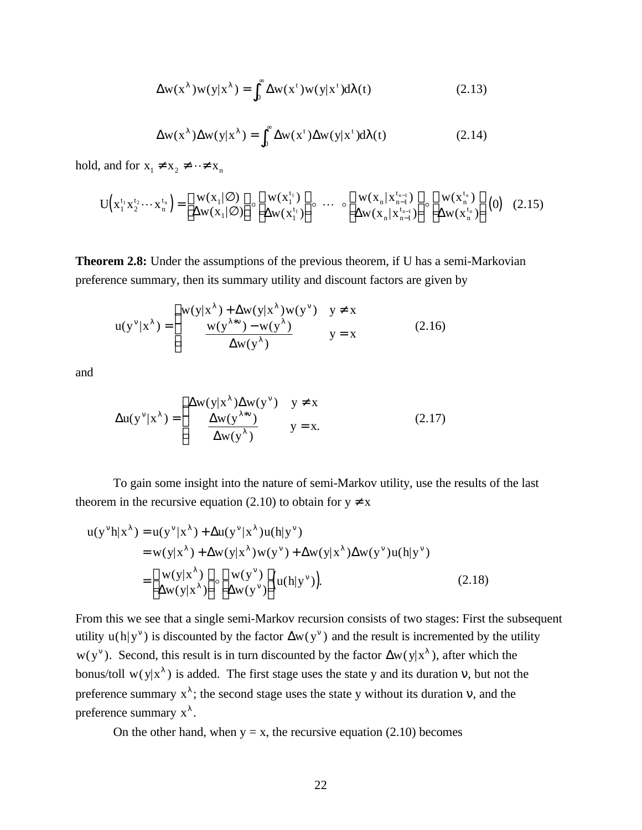$$
\Delta w(x^{\lambda})w(y|x^{\lambda}) = \int_0^{\infty} \Delta w(x^{\tau})w(y|x^{\tau})d\lambda(t)
$$
 (2.13)

$$
\Delta w(x^{\lambda}) \Delta w(y|x^{\lambda}) = \int_0^{\infty} \Delta w(x^{\tau}) \Delta w(y|x^{\tau}) d\lambda(t)
$$
 (2.14)

hold, and for  $x_1 \neq x_2 \neq \cdots \neq x_n$ 

$$
U(x_1^{t_1}x_2^{t_2}\cdots x_n^{t_n}) = \begin{bmatrix} w(x_1|\varnothing) \\ \Delta w(x_1|\varnothing) \end{bmatrix} \circ \begin{bmatrix} w(x_1^{t_1}) \\ \Delta w(x_1^{t_1}) \end{bmatrix} \circ \cdots \circ \begin{bmatrix} w(x_n|x_{n-1}^{t_{n-1}}) \\ \Delta w(x_n|x_{n-1}^{t_{n-1}}) \end{bmatrix} \circ \begin{bmatrix} w(x_n^{t_n}) \\ \Delta w(x_n^{t_n}) \end{bmatrix} (0) (2.15)
$$

**Theorem 2.8:** Under the assumptions of the previous theorem, if U has a semi-Markovian preference summary, then its summary utility and discount factors are given by

$$
u(y^{\nu}|x^{\lambda}) = \begin{cases} w(y|x^{\lambda}) + \Delta w(y|x^{\lambda})w(y^{\nu}) & y \neq x \\ \frac{w(y^{\lambda * \nu}) - w(y^{\lambda})}{\Delta w(y^{\lambda})} & y = x \end{cases}
$$
(2.16)

and

$$
\Delta u(y^{\nu} | x^{\lambda}) = \begin{cases} \Delta w(y | x^{\lambda}) \Delta w(y^{\nu}) & y \neq x \\ \frac{\Delta w(y^{\lambda * \nu})}{\Delta w(y^{\lambda})} & y = x. \end{cases}
$$
(2.17)

To gain some insight into the nature of semi-Markov utility, use the results of the last theorem in the recursive equation (2.10) to obtain for  $y \neq x$ 

$$
u(y^{\nu}h|x^{\lambda}) = u(y^{\nu}|x^{\lambda}) + \Delta u(y^{\nu}|x^{\lambda})u(h|y^{\nu})
$$
  
\n
$$
= w(y|x^{\lambda}) + \Delta w(y|x^{\lambda})w(y^{\nu}) + \Delta w(y|x^{\lambda})\Delta w(y^{\nu})u(h|y^{\nu})
$$
  
\n
$$
= \begin{bmatrix} w(y|x^{\lambda}) \\ \Delta w(y|x^{\lambda}) \end{bmatrix} \circ \begin{bmatrix} w(y^{\nu}) \\ \Delta w(y^{\nu}) \end{bmatrix} (u(h|y^{\nu})) .
$$
 (2.18)

From this we see that a single semi-Markov recursion consists of two stages: First the subsequent utility  $u(h|y^{\nu})$  is discounted by the factor  $\Delta w(y^{\nu})$  and the result is incremented by the utility  $w(y^{\nu})$ . Second, this result is in turn discounted by the factor  $\Delta w(y|x^{\lambda})$ , after which the bonus/toll w(y|x<sup> $\lambda$ </sup>) is added. The first stage uses the state y and its duration v, but not the preference summary  $x^{\lambda}$ ; the second stage uses the state y without its duration v, and the preference summary  $x^{\lambda}$ .

On the other hand, when  $y = x$ , the recursive equation (2.10) becomes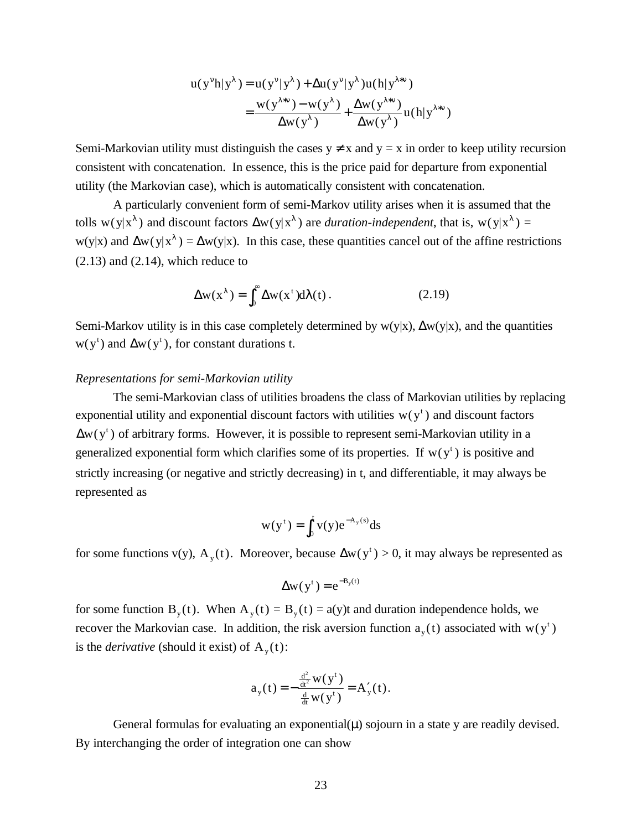$$
u(y^{\nu}h|y^{\lambda}) = u(y^{\nu}|y^{\lambda}) + \Delta u(y^{\nu}|y^{\lambda})u(h|y^{\lambda*\nu})
$$
  
= 
$$
\frac{w(y^{\lambda*\nu}) - w(y^{\lambda})}{\Delta w(y^{\lambda})} + \frac{\Delta w(y^{\lambda*\nu})}{\Delta w(y^{\lambda})}u(h|y^{\lambda*\nu})
$$

Semi-Markovian utility must distinguish the cases  $y \neq x$  and  $y = x$  in order to keep utility recursion consistent with concatenation. In essence, this is the price paid for departure from exponential utility (the Markovian case), which is automatically consistent with concatenation.

A particularly convenient form of semi-Markov utility arises when it is assumed that the tolls w(y|x<sup> $\lambda$ </sup>) and discount factors  $\Delta w(y|x^{\lambda})$  are *duration-independent*, that is, w(y|x<sup> $\lambda$ </sup>) =  $w(y|x)$  and  $\Delta w(y|x^{\lambda}) = \Delta w(y|x)$ . In this case, these quantities cancel out of the affine restrictions  $(2.13)$  and  $(2.14)$ , which reduce to

$$
\Delta w(x^{\lambda}) = \int_0^{\infty} \Delta w(x^{\tau}) d\lambda(t).
$$
 (2.19)

Semi-Markov utility is in this case completely determined by  $w(y|x)$ ,  $\Delta w(y|x)$ , and the quantities  $w(y<sup>t</sup>)$  and  $\Delta w(y<sup>t</sup>)$ , for constant durations t.

## *Representations for semi-Markovian utility*

The semi-Markovian class of utilities broadens the class of Markovian utilities by replacing exponential utility and exponential discount factors with utilities  $w(y<sup>t</sup>)$  and discount factors  $\Delta w(y^t)$  of arbitrary forms. However, it is possible to represent semi-Markovian utility in a generalized exponential form which clarifies some of its properties. If  $w(y<sup>t</sup>)$  is positive and strictly increasing (or negative and strictly decreasing) in t, and differentiable, it may always be represented as

$$
w(yt) = \int_0^t v(y)e^{-A_y(s)}ds
$$

for some functions v(y),  $A_y(t)$ . Moreover, because  $\Delta w(y^t) > 0$ , it may always be represented as

$$
\Delta w(y^{t}) = e^{-B_{y}(t)}
$$

for some function  $B_y(t)$ . When  $A_y(t) = B_y(t) = a(y)t$  and duration independence holds, we recover the Markovian case. In addition, the risk aversion function  $a_y(t)$  associated with  $w(y^t)$ is the *derivative* (should it exist) of  $A_y(t)$ :

$$
a_{y}(t) = -\frac{\frac{d^{2}}{dt^{2}}W(y^{t})}{\frac{d}{dt}W(y^{t})} = A'_{y}(t).
$$

General formulas for evaluating an exponential $(\mu)$  sojourn in a state y are readily devised. By interchanging the order of integration one can show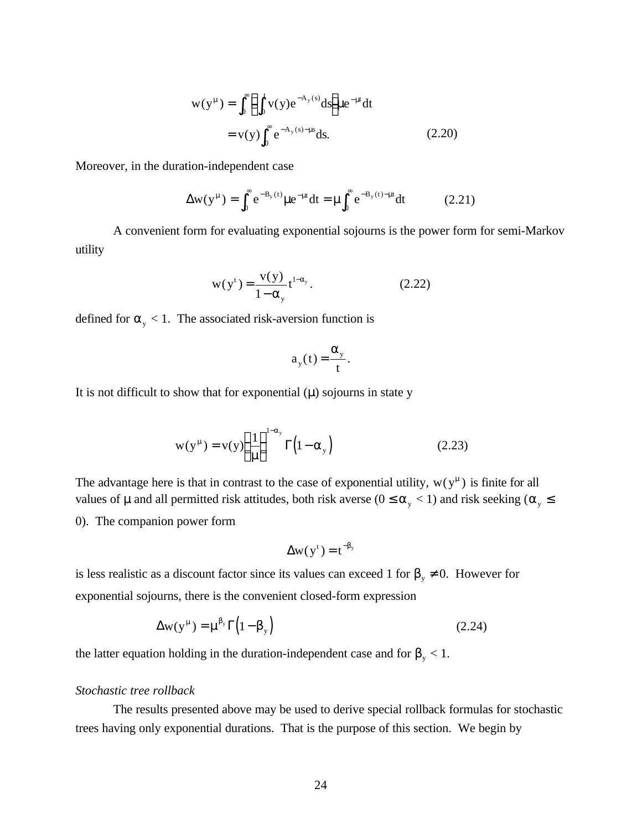$$
w(y^{\mu}) = \int_0^{\infty} \left( \int_0^t v(y) e^{-A_y(s)} ds \right) u e^{-\mu t} dt
$$
  
=  $v(y) \int_0^{\infty} e^{-A_y(s) - \mu s} ds.$  (2.20)

Moreover, in the duration-independent case

$$
\Delta w(y^{\mu}) = \int_0^{\infty} e^{-B_y(t)} \mu e^{-\mu t} dt = \mu \int_0^{\infty} e^{-B_y(t) - \mu t} dt \qquad (2.21)
$$

A convenient form for evaluating exponential sojourns is the power form for semi-Markov utility

$$
w(yt) = \frac{v(y)}{1 - \alpha_y} t^{1 - \alpha_y}.
$$
 (2.22)

defined for  $\alpha_{y}$  < 1. The associated risk-aversion function is

$$
a_{y}(t) = \frac{\alpha_{y}}{t}.
$$

It is not difficult to show that for exponential  $(\mu)$  sojourns in state y

$$
w(y^{\mu}) = v(y) \left(\frac{1}{\mu}\right)^{1-\alpha_y} \Gamma\left(1-\alpha_y\right)
$$
 (2.23)

The advantage here is that in contrast to the case of exponential utility,  $w(y^{\mu})$  is finite for all values of  $\mu$  and all permitted risk attitudes, both risk averse ( $0 \le \alpha_{y} < 1$ ) and risk seeking ( $\alpha_{y} \le$ 0). The companion power form

$$
\Delta w(y^t) = t^{-\beta_y}
$$

is less realistic as a discount factor since its values can exceed 1 for  $\beta_{y} \neq 0$ . However for exponential sojourns, there is the convenient closed-form expression

$$
\Delta w(y^{\mu}) = \mu^{\beta_y} \Gamma(1 - \beta_y) \tag{2.24}
$$

the latter equation holding in the duration-independent case and for  $\beta_{y}$  < 1.

#### *Stochastic tree rollback*

The results presented above may be used to derive special rollback formulas for stochastic trees having only exponential durations. That is the purpose of this section. We begin by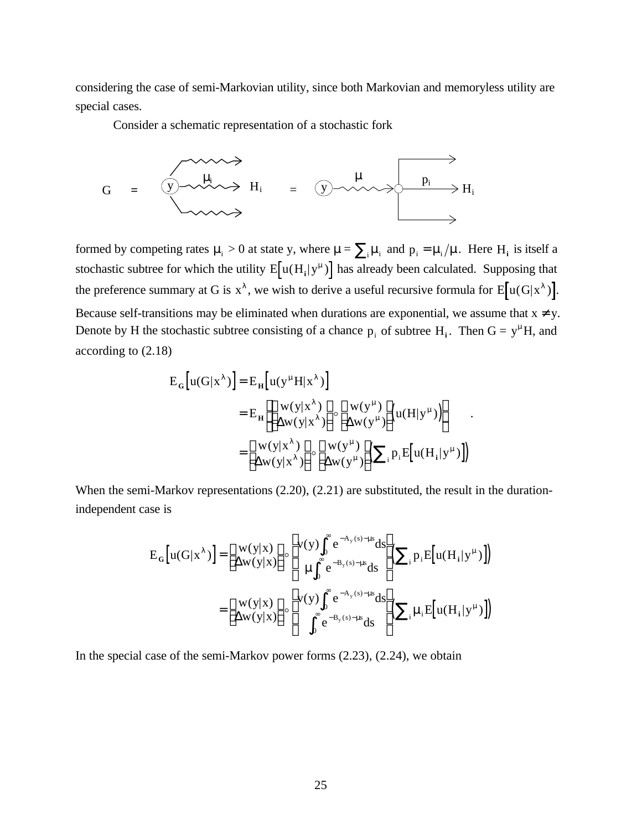considering the case of semi-Markovian utility, since both Markovian and memoryless utility are special cases.

Consider a schematic representation of a stochastic fork



formed by competing rates  $\mu_i > 0$  at state y, where  $\mu = \sum_i \mu_i$  and  $p_i = \mu_i / \mu$ . Here H<sub>i</sub> is itself a stochastic subtree for which the utility  $E[u(H_i|y^{\mu})]$  has already been calculated. Supposing that the preference summary at G is  $x^{\lambda}$ , we wish to derive a useful recursive formula for  $E[u(G|x^{\lambda})]$ . Because self-transitions may be eliminated when durations are exponential, we assume that  $x \neq y$ . Denote by H the stochastic subtree consisting of a chance  $p_i$  of subtree  $H_i$ . Then  $G = y^{\mu}H$ , and

according to (2.18)

$$
E_G[u(G|x^{\lambda})] = E_H[u(y^{\mu}H|x^{\lambda})]
$$
  
\n
$$
= E_H\left[\begin{bmatrix} w(y|x^{\lambda}) \\ \Delta w(y|x^{\lambda}) \end{bmatrix} \circ \begin{bmatrix} w(y^{\mu}) \\ \Delta w(y^{\mu}) \end{bmatrix} (u(H|y^{\mu}))\right]
$$
  
\n
$$
= \begin{bmatrix} w(y|x^{\lambda}) \\ \Delta w(y|x^{\lambda}) \end{bmatrix} \circ \begin{bmatrix} w(y^{\mu}) \\ \Delta w(y^{\mu}) \end{bmatrix} \left(\sum_i p_i E[u(H_i|y^{\mu})]\right)
$$

When the semi-Markov representations (2.20), (2.21) are substituted, the result in the durationindependent case is

$$
E_G[u(G|x^{\lambda})] = \begin{bmatrix} w(y|x) \\ \Delta w(y|x) \end{bmatrix} \circ \begin{bmatrix} v(y) \int_0^{\infty} e^{-A_y(s) - \mu s} ds \\ \mu \int_0^{\infty} e^{-B_y(s) - \mu s} ds \end{bmatrix} \begin{bmatrix} \sum_i p_i E[u(H_i|y^{\mu})] \end{bmatrix}
$$

$$
= \begin{bmatrix} w(y|x) \\ \Delta w(y|x) \end{bmatrix} \circ \begin{bmatrix} v(y) \int_0^{\infty} e^{-A_y(s) - \mu s} ds \\ \int_0^{\infty} e^{-B_y(s) - \mu s} ds \end{bmatrix} \begin{bmatrix} \sum_i \mu_i E[u(H_i|y^{\mu})] \end{bmatrix}
$$

In the special case of the semi-Markov power forms  $(2.23)$ ,  $(2.24)$ , we obtain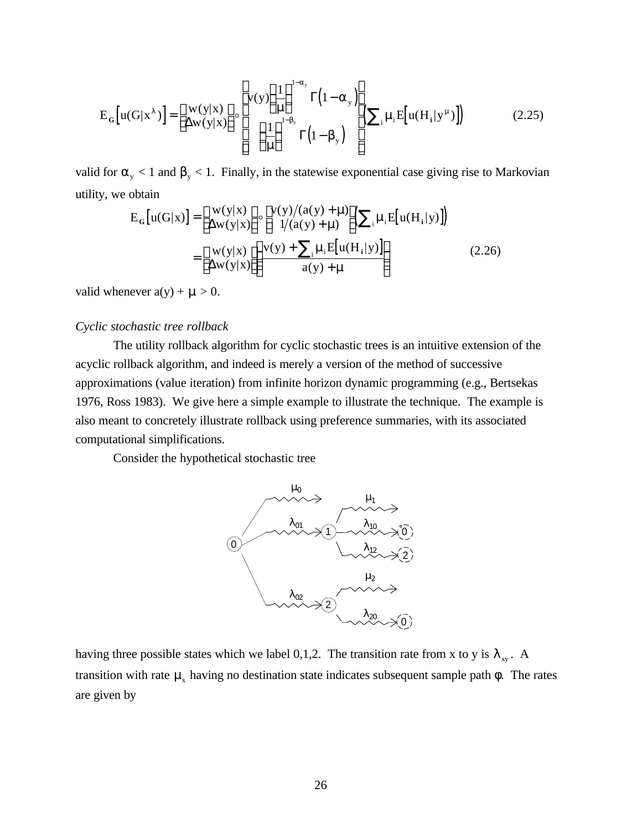$$
E_G[u(G|x^{\lambda})] = \begin{bmatrix} w(y|x) \\ \Delta w(y|x) \end{bmatrix} \circ \begin{bmatrix} v(y) \left(\frac{1}{\mu}\right)^{1-\alpha_y} \Gamma(1-\alpha_y) \\ \left(\frac{1}{\mu}\right)^{1-\beta_y} \Gamma(1-\beta_y) \end{bmatrix} \left(\sum_i \mu_i E[u(H_i|y^{\mu})]\right)
$$
(2.25)

valid for  $\alpha_{y}$  < 1 and  $\beta_{y}$  < 1. Finally, in the statewise exponential case giving rise to Markovian utility, we obtain

$$
E_G[u(G|x)] = \begin{bmatrix} w(y|x) \\ \Delta w(y|x) \end{bmatrix} \circ \begin{bmatrix} v(y)/(a(y) + \mu) \\ 1/(a(y) + \mu) \end{bmatrix} \left( \sum_i \mu_i E[u(H_i|y)] \right)
$$
  
= 
$$
\begin{bmatrix} w(y|x) \\ \Delta w(y|x) \end{bmatrix} \left( \frac{v(y) + \sum_i \mu_i E[u(H_i|y)]}{a(y) + \mu} \right)
$$
(2.26)

valid whenever  $a(y) + \mu > 0$ .

## *Cyclic stochastic tree rollback*

The utility rollback algorithm for cyclic stochastic trees is an intuitive extension of the acyclic rollback algorithm, and indeed is merely a version of the method of successive approximations (value iteration) from infinite horizon dynamic programming (e.g., Bertsekas 1976, Ross 1983). We give here a simple example to illustrate the technique. The example is also meant to concretely illustrate rollback using preference summaries, with its associated computational simplifications.

Consider the hypothetical stochastic tree



having three possible states which we label 0,1,2. The transition rate from x to y is  $\lambda_{xy}$ . A transition with rate  $\mu_x$  having no destination state indicates subsequent sample path  $\phi$ . The rates are given by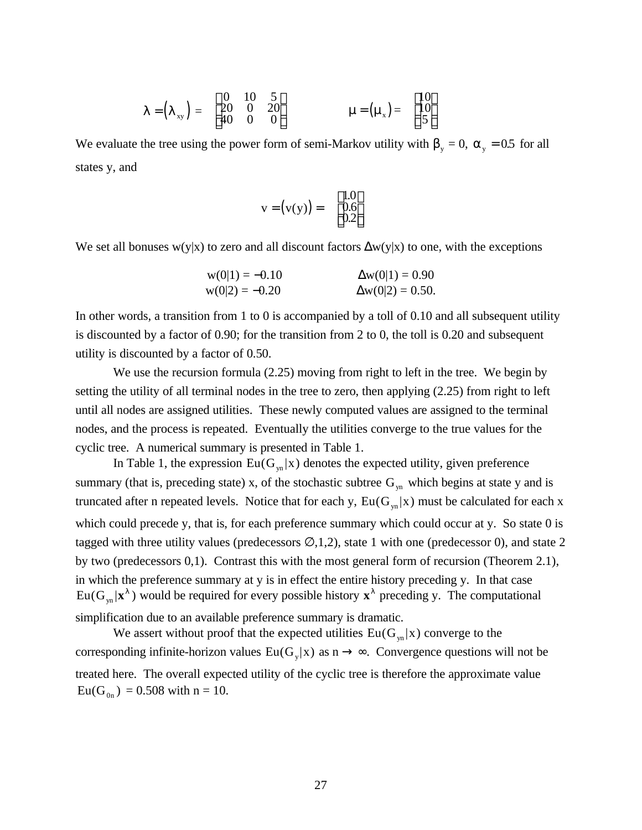$$
\lambda = \begin{pmatrix} \lambda_{xy} \end{pmatrix} = \begin{bmatrix} 0 & 10 & 5 \\ 20 & 0 & 20 \\ 40 & 0 & 0 \end{bmatrix} \qquad \qquad \mu = \begin{pmatrix} \mu_x \end{pmatrix} = \begin{bmatrix} 10 \\ 10 \\ 5 \end{bmatrix}
$$

We evaluate the tree using the power form of semi-Markov utility with  $\beta_y = 0$ ,  $\alpha_y = 0.5$  for all states y, and

$$
\mathbf{v} = (\mathbf{v}(\mathbf{y})) = \begin{bmatrix} 1.0\\ 0.6\\ 0.2 \end{bmatrix}
$$

We set all bonuses w(y|x) to zero and all discount factors  $\Delta w(y|x)$  to one, with the exceptions

$$
w(0|1) = -0.10
$$
  
\n
$$
w(0|2) = -0.20
$$
  
\n
$$
\Delta w(0|1) = 0.90
$$
  
\n
$$
\Delta w(0|2) = 0.50.
$$

In other words, a transition from 1 to 0 is accompanied by a toll of 0.10 and all subsequent utility is discounted by a factor of 0.90; for the transition from 2 to 0, the toll is 0.20 and subsequent utility is discounted by a factor of 0.50.

We use the recursion formula (2.25) moving from right to left in the tree. We begin by setting the utility of all terminal nodes in the tree to zero, then applying (2.25) from right to left until all nodes are assigned utilities. These newly computed values are assigned to the terminal nodes, and the process is repeated. Eventually the utilities converge to the true values for the cyclic tree. A numerical summary is presented in Table 1.

In Table 1, the expression  $Eu(G_{yn}|x)$  denotes the expected utility, given preference summary (that is, preceding state) x, of the stochastic subtree  $G_{yn}$  which begins at state y and is truncated after n repeated levels. Notice that for each y,  $Eu(G_{v_n}|x)$  must be calculated for each x which could precede y, that is, for each preference summary which could occur at y. So state 0 is tagged with three utility values (predecessors  $\emptyset$ ,1,2), state 1 with one (predecessor 0), and state 2 by two (predecessors 0,1). Contrast this with the most general form of recursion (Theorem 2.1), in which the preference summary at y is in effect the entire history preceding y. In that case  $Eu(G_{yn} | \mathbf{x}^{\lambda})$  would be required for every possible history  $\mathbf{x}^{\lambda}$  preceding y. The computational simplification due to an available preference summary is dramatic.

We assert without proof that the expected utilities  $Eu(G_{vn} | x)$  converge to the corresponding infinite-horizon values  $Eu(G_y|x)$  as  $n \to \infty$ . Convergence questions will not be treated here. The overall expected utility of the cyclic tree is therefore the approximate value  $Eu(G_{_{0n}}) = 0.508$  with  $n = 10$ .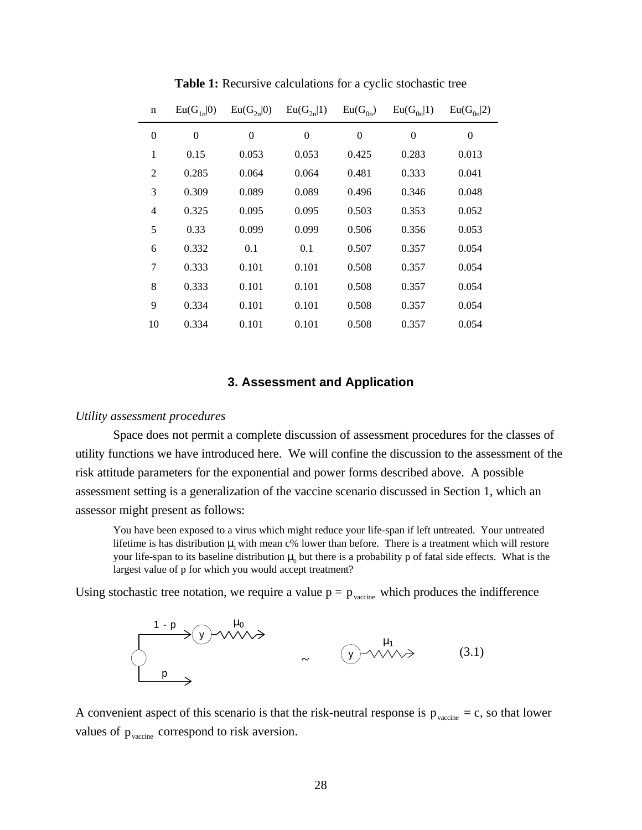| $\mathbf n$      | $Eu(G_{1n} 0)$ | $Eu(G_{2n} 0)$ | $Eu(G_{2n} 1)$   | $Eu(G_{0n})$   | $Eu(G_{0n} 1)$ | $Eu(G_{0n} 2)$ |
|------------------|----------------|----------------|------------------|----------------|----------------|----------------|
| $\boldsymbol{0}$ | $\theta$       | $\overline{0}$ | $\boldsymbol{0}$ | $\overline{0}$ | $\overline{0}$ | $\overline{0}$ |
| 1                | 0.15           | 0.053          | 0.053            | 0.425          | 0.283          | 0.013          |
| $\overline{2}$   | 0.285          | 0.064          | 0.064            | 0.481          | 0.333          | 0.041          |
| 3                | 0.309          | 0.089          | 0.089            | 0.496          | 0.346          | 0.048          |
| $\overline{4}$   | 0.325          | 0.095          | 0.095            | 0.503          | 0.353          | 0.052          |
| 5                | 0.33           | 0.099          | 0.099            | 0.506          | 0.356          | 0.053          |
| 6                | 0.332          | 0.1            | 0.1              | 0.507          | 0.357          | 0.054          |
| 7                | 0.333          | 0.101          | 0.101            | 0.508          | 0.357          | 0.054          |
| 8                | 0.333          | 0.101          | 0.101            | 0.508          | 0.357          | 0.054          |
| 9                | 0.334          | 0.101          | 0.101            | 0.508          | 0.357          | 0.054          |
| 10               | 0.334          | 0.101          | 0.101            | 0.508          | 0.357          | 0.054          |

**Table 1:** Recursive calculations for a cyclic stochastic tree

## **3. Assessment and Application**

#### *Utility assessment procedures*

Space does not permit a complete discussion of assessment procedures for the classes of utility functions we have introduced here. We will confine the discussion to the assessment of the risk attitude parameters for the exponential and power forms described above. A possible assessment setting is a generalization of the vaccine scenario discussed in Section 1, which an assessor might present as follows:

You have been exposed to a virus which might reduce your life-span if left untreated. Your untreated lifetime is has distribution  $\mu_1$  with mean c% lower than before. There is a treatment which will restore your life-span to its baseline distribution  $\mu_0$  but there is a probability p of fatal side effects. What is the largest value of p for which you would accept treatment?

Using stochastic tree notation, we require a value  $p = p_{\text{vacine}}$  which produces the indifference



A convenient aspect of this scenario is that the risk-neutral response is  $p_{\text{vacine}} = c$ , so that lower values of  $p_{\text{vacine}}$  correspond to risk aversion.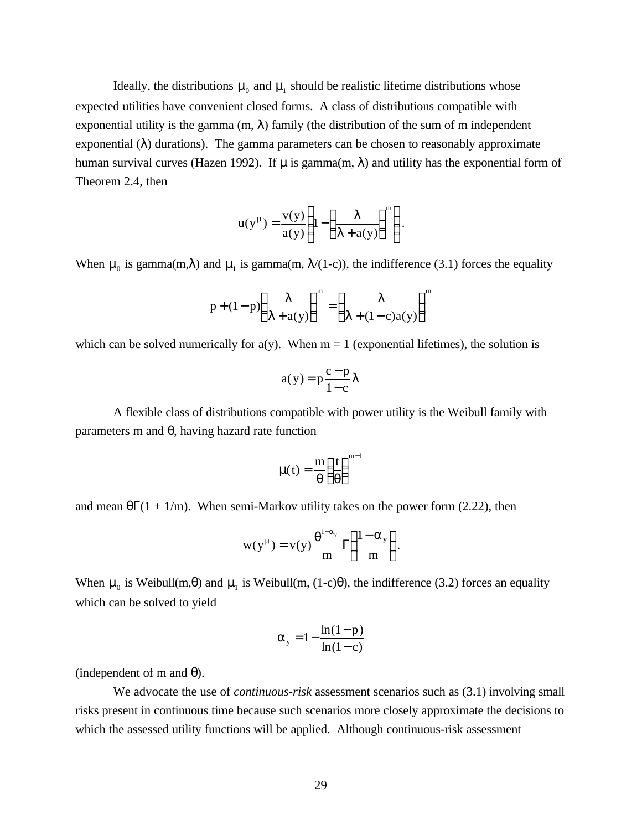Ideally, the distributions  $\mu_0$  and  $\mu_1$  should be realistic lifetime distributions whose expected utilities have convenient closed forms. A class of distributions compatible with exponential utility is the gamma  $(m, \lambda)$  family (the distribution of the sum of m independent exponential  $(\lambda)$  durations). The gamma parameters can be chosen to reasonably approximate human survival curves (Hazen 1992). If  $\mu$  is gamma $(m, \lambda)$  and utility has the exponential form of Theorem 2.4, then

$$
u(y^{\mu}) = \frac{v(y)}{a(y)} \left( 1 - \left( \frac{\lambda}{\lambda + a(y)} \right)^{m} \right).
$$

When  $\mu_0$  is gamma(m, $\lambda$ ) and  $\mu_1$  is gamma(m,  $\lambda$ /(1-c)), the indifference (3.1) forces the equality

$$
p + (1-p)\left(\frac{\lambda}{\lambda + a(y)}\right)^m = \left(\frac{\lambda}{\lambda + (1-c)a(y)}\right)^m
$$

which can be solved numerically for  $a(y)$ . When  $m = 1$  (exponential lifetimes), the solution is

$$
a(y) = p \frac{c - p}{1 - c} \lambda
$$

A flexible class of distributions compatible with power utility is the Weibull family with parameters m and θ, having hazard rate function

$$
\mu(t) = \frac{m}{\theta} \left(\frac{t}{\theta}\right)^{m-1}
$$

and mean  $\theta\Gamma(1 + 1/m)$ . When semi-Markov utility takes on the power form (2.22), then

$$
w(y^{\mu}) = v(y) \frac{\theta^{1-\alpha_{y}}}{m} \Gamma\left(\frac{1-\alpha_{y}}{m}\right).
$$

When  $\mu_0$  is Weibull(m, $\theta$ ) and  $\mu_1$  is Weibull(m, (1-c) $\theta$ ), the indifference (3.2) forces an equality which can be solved to yield

$$
\alpha_{y} = 1 - \frac{\ln(1-p)}{\ln(1-c)}
$$

(independent of m and  $\theta$ ).

We advocate the use of *continuous-risk* assessment scenarios such as (3.1) involving small risks present in continuous time because such scenarios more closely approximate the decisions to which the assessed utility functions will be applied. Although continuous-risk assessment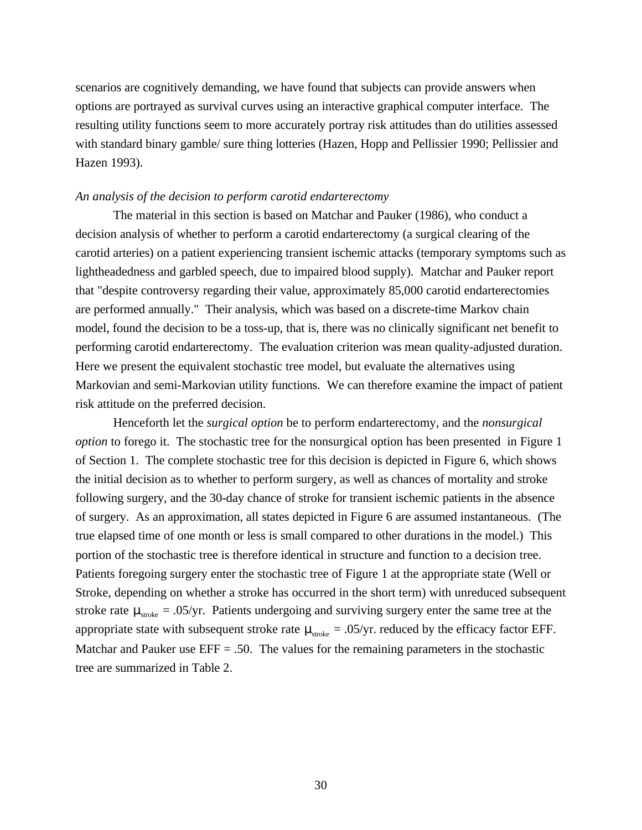scenarios are cognitively demanding, we have found that subjects can provide answers when options are portrayed as survival curves using an interactive graphical computer interface. The resulting utility functions seem to more accurately portray risk attitudes than do utilities assessed with standard binary gamble/ sure thing lotteries (Hazen, Hopp and Pellissier 1990; Pellissier and Hazen 1993).

#### *An analysis of the decision to perform carotid endarterectomy*

The material in this section is based on Matchar and Pauker (1986), who conduct a decision analysis of whether to perform a carotid endarterectomy (a surgical clearing of the carotid arteries) on a patient experiencing transient ischemic attacks (temporary symptoms such as lightheadedness and garbled speech, due to impaired blood supply). Matchar and Pauker report that "despite controversy regarding their value, approximately 85,000 carotid endarterectomies are performed annually." Their analysis, which was based on a discrete-time Markov chain model, found the decision to be a toss-up, that is, there was no clinically significant net benefit to performing carotid endarterectomy. The evaluation criterion was mean quality-adjusted duration. Here we present the equivalent stochastic tree model, but evaluate the alternatives using Markovian and semi-Markovian utility functions. We can therefore examine the impact of patient risk attitude on the preferred decision.

Henceforth let the *surgical option* be to perform endarterectomy, and the *nonsurgical option* to forego it. The stochastic tree for the nonsurgical option has been presented in Figure 1 of Section 1. The complete stochastic tree for this decision is depicted in Figure 6, which shows the initial decision as to whether to perform surgery, as well as chances of mortality and stroke following surgery, and the 30-day chance of stroke for transient ischemic patients in the absence of surgery. As an approximation, all states depicted in Figure 6 are assumed instantaneous. (The true elapsed time of one month or less is small compared to other durations in the model.) This portion of the stochastic tree is therefore identical in structure and function to a decision tree. Patients foregoing surgery enter the stochastic tree of Figure 1 at the appropriate state (Well or Stroke, depending on whether a stroke has occurred in the short term) with unreduced subsequent stroke rate  $\mu_{\text{stroke}} = .05/\text{yr}$ . Patients undergoing and surviving surgery enter the same tree at the appropriate state with subsequent stroke rate  $\mu_{\text{stroke}} = .05/\text{yr}$ . reduced by the efficacy factor EFF. Matchar and Pauker use  $EFF = .50$ . The values for the remaining parameters in the stochastic tree are summarized in Table 2.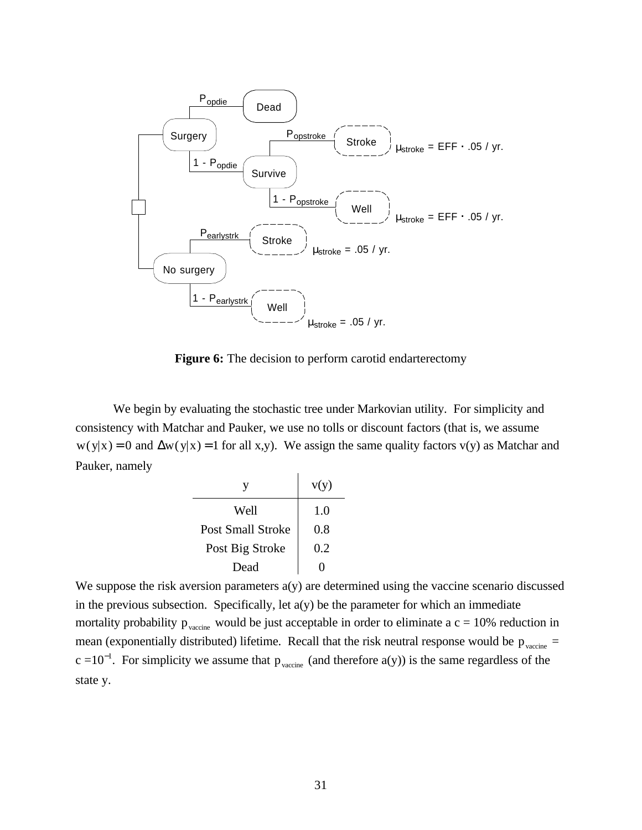

**Figure 6:** The decision to perform carotid endarterectomy

We begin by evaluating the stochastic tree under Markovian utility. For simplicity and consistency with Matchar and Pauker, we use no tolls or discount factors (that is, we assume  $w(y|x) = 0$  and  $\Delta w(y|x) = 1$  for all x,y). We assign the same quality factors v(y) as Matchar and Pauker, namely

|                   | v(y) |
|-------------------|------|
| Well              | 1.0  |
| Post Small Stroke | 0.8  |
| Post Big Stroke   | 0.2  |
| Dead              |      |

We suppose the risk aversion parameters  $a(y)$  are determined using the vaccine scenario discussed in the previous subsection. Specifically, let a(y) be the parameter for which an immediate mortality probability  $p_{\text{vacine}}$  would be just acceptable in order to eliminate a  $c = 10\%$  reduction in mean (exponentially distributed) lifetime. Recall that the risk neutral response would be  $p_{\text{vacine}} =$  $c = 10^{-1}$ . For simplicity we assume that  $p_{\text{vacine}}$  (and therefore a(y)) is the same regardless of the state y.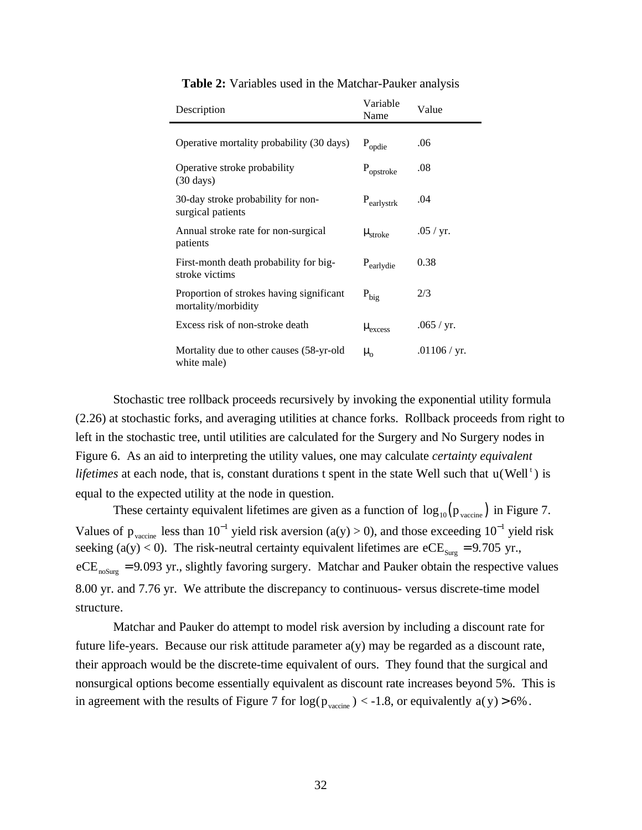| Description                                                     | Variable<br>Name      | Value        |
|-----------------------------------------------------------------|-----------------------|--------------|
| Operative mortality probability (30 days)                       | $P_{\text{opdie}}$    | .06          |
| Operative stroke probability<br>$(30 \text{ days})$             | $P_{\text{opstroke}}$ | .08          |
| 30-day stroke probability for non-<br>surgical patients         | $P_{earlystrk}$       | .04          |
| Annual stroke rate for non-surgical<br>patients                 | $\mu_{\text{stroke}}$ | .05 / yr.    |
| First-month death probability for big-<br>stroke victims        | $P_{\text{earlydie}}$ | 0.38         |
| Proportion of strokes having significant<br>mortality/morbidity | $P_{\text{big}}$      | 2/3          |
| Excess risk of non-stroke death                                 | $\mu_{excess}$        | .065 / yr.   |
| Mortality due to other causes (58-yr-old<br>white male)         | $\mu_{0}$             | .01106 / yr. |

**Table 2:** Variables used in the Matchar-Pauker analysis

Stochastic tree rollback proceeds recursively by invoking the exponential utility formula (2.26) at stochastic forks, and averaging utilities at chance forks. Rollback proceeds from right to left in the stochastic tree, until utilities are calculated for the Surgery and No Surgery nodes in Figure 6. As an aid to interpreting the utility values, one may calculate *certainty equivalent* lifetimes at each node, that is, constant durations t spent in the state Well such that u(Well<sup>t</sup>) is equal to the expected utility at the node in question.

These certainty equivalent lifetimes are given as a function of  $\log_{10}(p_{\text{vacine}})$  in Figure 7. Values of  $p_{\text{vacine}}$  less than  $10^{-1}$  yield risk aversion (a(y) > 0), and those exceeding  $10^{-1}$  yield risk seeking (a(y) < 0). The risk-neutral certainty equivalent lifetimes are eCE<sub>Surg</sub> = 9.705 yr.,  $eCE<sub>nosure</sub> = 9.093 yr$ , slightly favoring surgery. Matchar and Pauker obtain the respective values 8.00 yr. and 7.76 yr. We attribute the discrepancy to continuous- versus discrete-time model structure.

Matchar and Pauker do attempt to model risk aversion by including a discount rate for future life-years. Because our risk attitude parameter  $a(y)$  may be regarded as a discount rate, their approach would be the discrete-time equivalent of ours. They found that the surgical and nonsurgical options become essentially equivalent as discount rate increases beyond 5%. This is in agreement with the results of Figure 7 for  $log(p_{\text{vacine}}) < -1.8$ , or equivalently a(y) > 6%.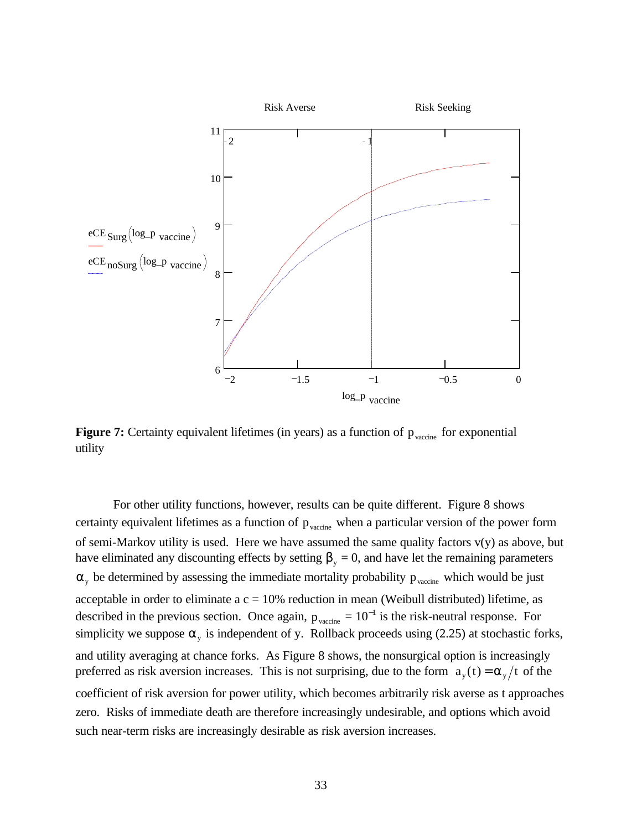

Figure 7: Certainty equivalent lifetimes (in years) as a function of p<sub>vaccine</sub> for exponential utility

For other utility functions, however, results can be quite different. Figure 8 shows certainty equivalent lifetimes as a function of  $p_{\text{vacine}}$  when a particular version of the power form of semi-Markov utility is used. Here we have assumed the same quality factors  $v(y)$  as above, but have eliminated any discounting effects by setting  $\beta_y = 0$ , and have let the remaining parameters  $\alpha_{y}$  be determined by assessing the immediate mortality probability  $p_{\text{vacine}}$  which would be just acceptable in order to eliminate a  $c = 10%$  reduction in mean (Weibull distributed) lifetime, as described in the previous section. Once again,  $p_{\text{vacine}} = 10^{-1}$  is the risk-neutral response. For simplicity we suppose  $\alpha_{y}$  is independent of y. Rollback proceeds using (2.25) at stochastic forks, and utility averaging at chance forks. As Figure 8 shows, the nonsurgical option is increasingly preferred as risk aversion increases. This is not surprising, due to the form  $a_y(t) = \alpha_y/t$  of the coefficient of risk aversion for power utility, which becomes arbitrarily risk averse as t approaches zero. Risks of immediate death are therefore increasingly undesirable, and options which avoid such near-term risks are increasingly desirable as risk aversion increases.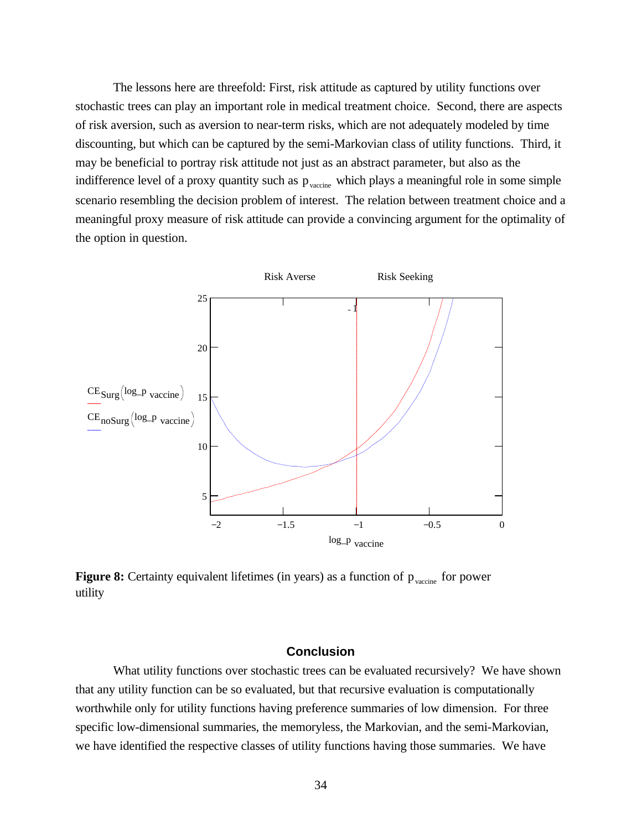The lessons here are threefold: First, risk attitude as captured by utility functions over stochastic trees can play an important role in medical treatment choice. Second, there are aspects of risk aversion, such as aversion to near-term risks, which are not adequately modeled by time discounting, but which can be captured by the semi-Markovian class of utility functions. Third, it may be beneficial to portray risk attitude not just as an abstract parameter, but also as the indifference level of a proxy quantity such as  $p_{\text{vacine}}$  which plays a meaningful role in some simple scenario resembling the decision problem of interest. The relation between treatment choice and a meaningful proxy measure of risk attitude can provide a convincing argument for the optimality of the option in question.



**Figure 8:** Certainty equivalent lifetimes (in years) as a function of  $p_{\text{vacine}}$  for power utility

## **Conclusion**

What utility functions over stochastic trees can be evaluated recursively? We have shown that any utility function can be so evaluated, but that recursive evaluation is computationally worthwhile only for utility functions having preference summaries of low dimension. For three specific low-dimensional summaries, the memoryless, the Markovian, and the semi-Markovian, we have identified the respective classes of utility functions having those summaries. We have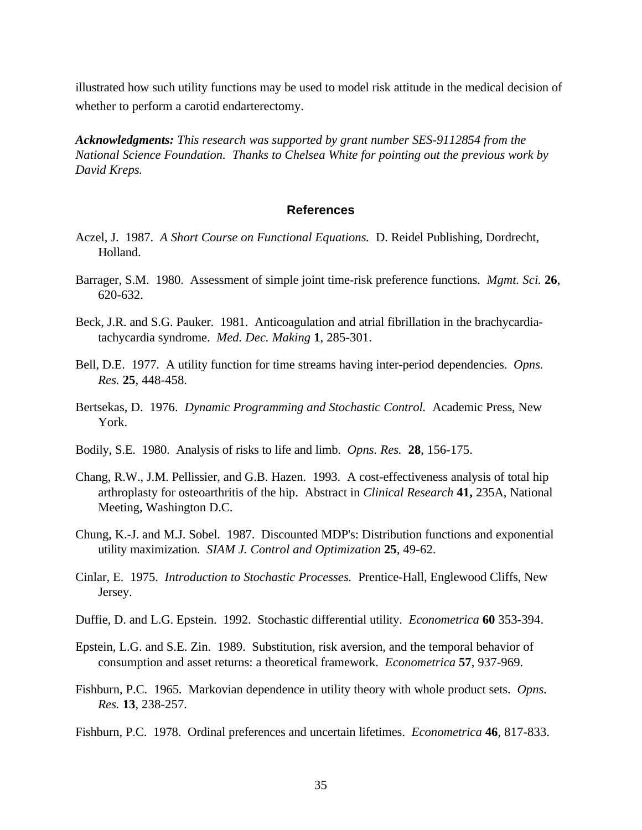illustrated how such utility functions may be used to model risk attitude in the medical decision of whether to perform a carotid endarterectomy.

*Acknowledgments: This research was supported by grant number SES-9112854 from the National Science Foundation. Thanks to Chelsea White for pointing out the previous work by David Kreps.*

## **References**

- Aczel, J. 1987. *A Short Course on Functional Equations.* D. Reidel Publishing, Dordrecht, Holland.
- Barrager, S.M. 1980. Assessment of simple joint time-risk preference functions. *Mgmt. Sci.* **26**, 620-632.
- Beck, J.R. and S.G. Pauker. 1981. Anticoagulation and atrial fibrillation in the brachycardiatachycardia syndrome. *Med. Dec. Making* **1**, 285-301.
- Bell, D.E. 1977. A utility function for time streams having inter-period dependencies. *Opns. Res.* **25**, 448-458.
- Bertsekas, D. 1976. *Dynamic Programming and Stochastic Control.* Academic Press, New York.
- Bodily, S.E. 1980. Analysis of risks to life and limb. *Opns. Res.* **28**, 156-175.
- Chang, R.W., J.M. Pellissier, and G.B. Hazen. 1993. A cost-effectiveness analysis of total hip arthroplasty for osteoarthritis of the hip. Abstract in *Clinical Research* **41,** 235A, National Meeting, Washington D.C.
- Chung, K.-J. and M.J. Sobel. 1987. Discounted MDP's: Distribution functions and exponential utility maximization. *SIAM J. Control and Optimization* **25**, 49-62.
- Cinlar, E. 1975. *Introduction to Stochastic Processes.* Prentice-Hall, Englewood Cliffs, New Jersey.
- Duffie, D. and L.G. Epstein. 1992. Stochastic differential utility. *Econometrica* **60** 353-394.
- Epstein, L.G. and S.E. Zin. 1989. Substitution, risk aversion, and the temporal behavior of consumption and asset returns: a theoretical framework. *Econometrica* **57**, 937-969.
- Fishburn, P.C. 1965. Markovian dependence in utility theory with whole product sets. *Opns. Res.* **13**, 238-257.
- Fishburn, P.C. 1978. Ordinal preferences and uncertain lifetimes. *Econometrica* **46**, 817-833.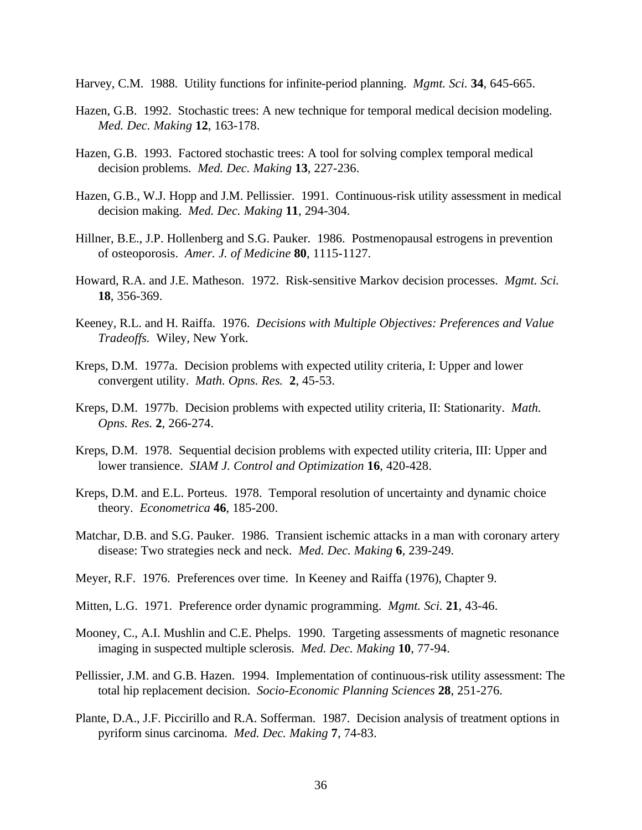Harvey, C.M. 1988. Utility functions for infinite-period planning. *Mgmt. Sci.* **34**, 645-665.

- Hazen, G.B. 1992. Stochastic trees: A new technique for temporal medical decision modeling. *Med. Dec. Making* **12**, 163-178.
- Hazen, G.B. 1993. Factored stochastic trees: A tool for solving complex temporal medical decision problems. *Med. Dec. Making* **13**, 227-236.
- Hazen, G.B., W.J. Hopp and J.M. Pellissier. 1991. Continuous-risk utility assessment in medical decision making. *Med. Dec. Making* **11**, 294-304.
- Hillner, B.E., J.P. Hollenberg and S.G. Pauker. 1986. Postmenopausal estrogens in prevention of osteoporosis. *Amer. J. of Medicine* **80**, 1115-1127.
- Howard, R.A. and J.E. Matheson. 1972. Risk-sensitive Markov decision processes. *Mgmt. Sci.* **18**, 356-369.
- Keeney, R.L. and H. Raiffa. 1976. *Decisions with Multiple Objectives: Preferences and Value Tradeoffs.* Wiley, New York.
- Kreps, D.M. 1977a. Decision problems with expected utility criteria, I: Upper and lower convergent utility. *Math. Opns. Res.* **2**, 45-53.
- Kreps, D.M. 1977b. Decision problems with expected utility criteria, II: Stationarity. *Math. Opns. Res.* **2**, 266-274.
- Kreps, D.M. 1978. Sequential decision problems with expected utility criteria, III: Upper and lower transience. *SIAM J. Control and Optimization* **16**, 420-428.
- Kreps, D.M. and E.L. Porteus. 1978. Temporal resolution of uncertainty and dynamic choice theory. *Econometrica* **46**, 185-200.
- Matchar, D.B. and S.G. Pauker. 1986. Transient ischemic attacks in a man with coronary artery disease: Two strategies neck and neck. *Med. Dec. Making* **6**, 239-249.
- Meyer, R.F. 1976. Preferences over time. In Keeney and Raiffa (1976), Chapter 9.
- Mitten, L.G. 1971. Preference order dynamic programming. *Mgmt. Sci.* **21**, 43-46.
- Mooney, C., A.I. Mushlin and C.E. Phelps. 1990. Targeting assessments of magnetic resonance imaging in suspected multiple sclerosis. *Med. Dec. Making* **10**, 77-94.
- Pellissier, J.M. and G.B. Hazen. 1994. Implementation of continuous-risk utility assessment: The total hip replacement decision. *Socio-Economic Planning Sciences* **28**, 251-276.
- Plante, D.A., J.F. Piccirillo and R.A. Sofferman. 1987. Decision analysis of treatment options in pyriform sinus carcinoma. *Med. Dec. Making* **7**, 74-83.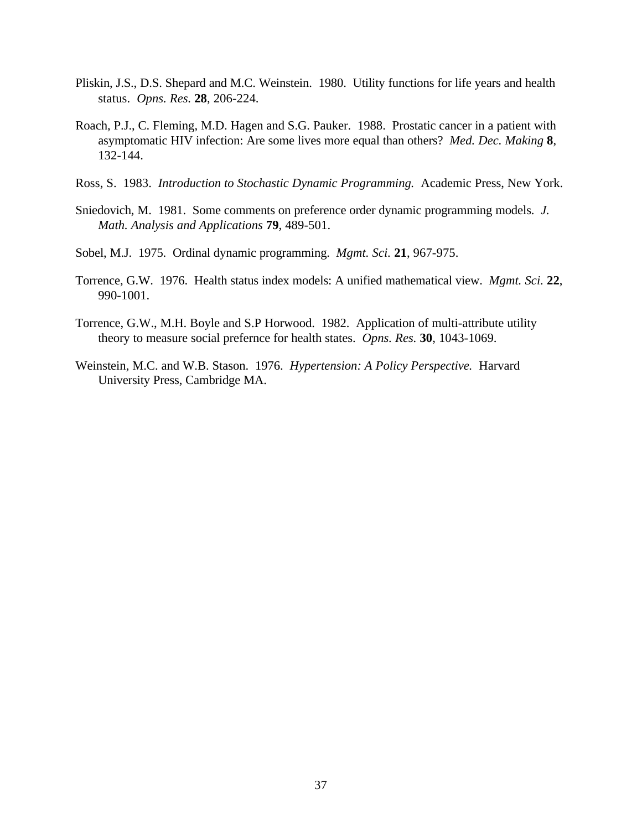- Pliskin, J.S., D.S. Shepard and M.C. Weinstein. 1980. Utility functions for life years and health status. *Opns. Res.* **28**, 206-224.
- Roach, P.J., C. Fleming, M.D. Hagen and S.G. Pauker. 1988. Prostatic cancer in a patient with asymptomatic HIV infection: Are some lives more equal than others? *Med. Dec. Making* **8**, 132-144.
- Ross, S. 1983. *Introduction to Stochastic Dynamic Programming.* Academic Press, New York.
- Sniedovich, M. 1981. Some comments on preference order dynamic programming models. *J. Math. Analysis and Applications* **79**, 489-501.
- Sobel, M.J. 1975. Ordinal dynamic programming. *Mgmt. Sci.* **21**, 967-975.
- Torrence, G.W. 1976. Health status index models: A unified mathematical view. *Mgmt. Sci.* **22**, 990-1001.
- Torrence, G.W., M.H. Boyle and S.P Horwood. 1982. Application of multi-attribute utility theory to measure social prefernce for health states. *Opns. Res.* **30**, 1043-1069.
- Weinstein, M.C. and W.B. Stason. 1976. *Hypertension: A Policy Perspective.* Harvard University Press, Cambridge MA.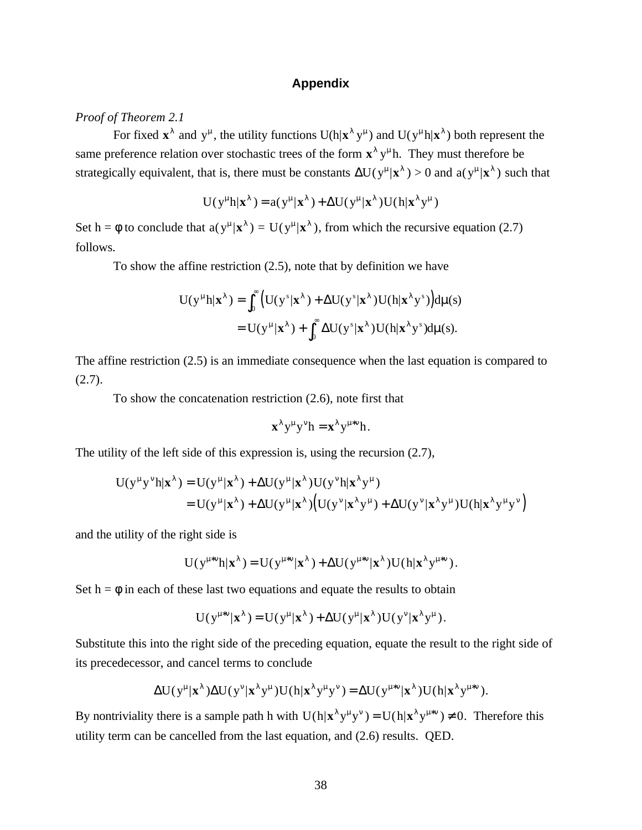## **Appendix**

## *Proof of Theorem 2.1*

For fixed  $\mathbf{x}^{\lambda}$  and  $y^{\mu}$ , the utility functions  $U(h|\mathbf{x}^{\lambda} y^{\mu})$  and  $U(y^{\mu} h|\mathbf{x}^{\lambda})$  both represent the same preference relation over stochastic trees of the form  $\mathbf{x}^{\lambda}$   $\mathbf{y}^{\mu}$ h. They must therefore be strategically equivalent, that is, there must be constants  $\Delta U(y^{\mu} | \mathbf{x}^{\lambda}) > 0$  and  $a(y^{\mu} | \mathbf{x}^{\lambda})$  such that

$$
U(y^{\mu}h|\mathbf{x}^{\lambda}) = a(y^{\mu}|\mathbf{x}^{\lambda}) + \Delta U(y^{\mu}|\mathbf{x}^{\lambda})U(h|\mathbf{x}^{\lambda}y^{\mu})
$$

Set h =  $\phi$  to conclude that  $a(y^{\mu} | \mathbf{x}^{\lambda}) = U(y^{\mu} | \mathbf{x}^{\lambda})$ , from which the recursive equation (2.7) follows.

To show the affine restriction (2.5), note that by definition we have

$$
U(y^{\mu}h|\mathbf{x}^{\lambda}) = \int_0^{\infty} \left( U(y^s|\mathbf{x}^{\lambda}) + \Delta U(y^s|\mathbf{x}^{\lambda}) U(h|\mathbf{x}^{\lambda}y^s) \right) d\mu(s)
$$
  
= 
$$
U(y^{\mu}|\mathbf{x}^{\lambda}) + \int_0^{\infty} \Delta U(y^s|\mathbf{x}^{\lambda}) U(h|\mathbf{x}^{\lambda}y^s) d\mu(s).
$$

The affine restriction (2.5) is an immediate consequence when the last equation is compared to (2.7).

To show the concatenation restriction (2.6), note first that

$$
\mathbf{x}^{\lambda} y^{\mu} y^{\nu} h = \mathbf{x}^{\lambda} y^{\mu * \nu} h.
$$

The utility of the left side of this expression is, using the recursion (2.7),

$$
U(y^{\mu}y^{\nu}h|\mathbf{x}^{\lambda}) = U(y^{\mu}|\mathbf{x}^{\lambda}) + \Delta U(y^{\mu}|\mathbf{x}^{\lambda})U(y^{\nu}h|\mathbf{x}^{\lambda}y^{\mu})
$$
  
= 
$$
U(y^{\mu}|\mathbf{x}^{\lambda}) + \Delta U(y^{\mu}|\mathbf{x}^{\lambda})\Big(U(y^{\nu}|\mathbf{x}^{\lambda}y^{\mu}) + \Delta U(y^{\nu}|\mathbf{x}^{\lambda}y^{\mu})U(h|\mathbf{x}^{\lambda}y^{\mu}y^{\nu})\Big)
$$

and the utility of the right side is

$$
U(y^{\mu*\nu}h|\boldsymbol{x}^{\lambda})=U(y^{\mu*\nu}|\boldsymbol{x}^{\lambda})+\Delta U(y^{\mu*\nu}|\boldsymbol{x}^{\lambda})U(h|\boldsymbol{x}^{\lambda}y^{\mu*\nu}).
$$

Set  $h = \phi$  in each of these last two equations and equate the results to obtain

$$
U(y^{\mu*\nu}|\mathbf{x}^{\lambda}) = U(y^{\mu}|\mathbf{x}^{\lambda}) + \Delta U(y^{\mu}|\mathbf{x}^{\lambda})U(y^{\nu}|\mathbf{x}^{\lambda}y^{\mu}).
$$

Substitute this into the right side of the preceding equation, equate the result to the right side of its precedecessor, and cancel terms to conclude

$$
\Delta U(y^\mu|\mathbf{x}^\lambda)\Delta U(y^\nu|\mathbf{x}^\lambda y^\mu)U(h|\mathbf{x}^\lambda y^\mu y^\nu) = \Delta U(y^{\mu*\nu}|\mathbf{x}^\lambda)U(h|\mathbf{x}^\lambda y^{\mu*\nu}).
$$

By nontriviality there is a sample path h with  $U(h|x^{\lambda}y^{\mu}y^{\nu}) = U(h|x^{\lambda}y^{\mu*\nu}) \neq 0$ . Therefore this utility term can be cancelled from the last equation, and (2.6) results. QED.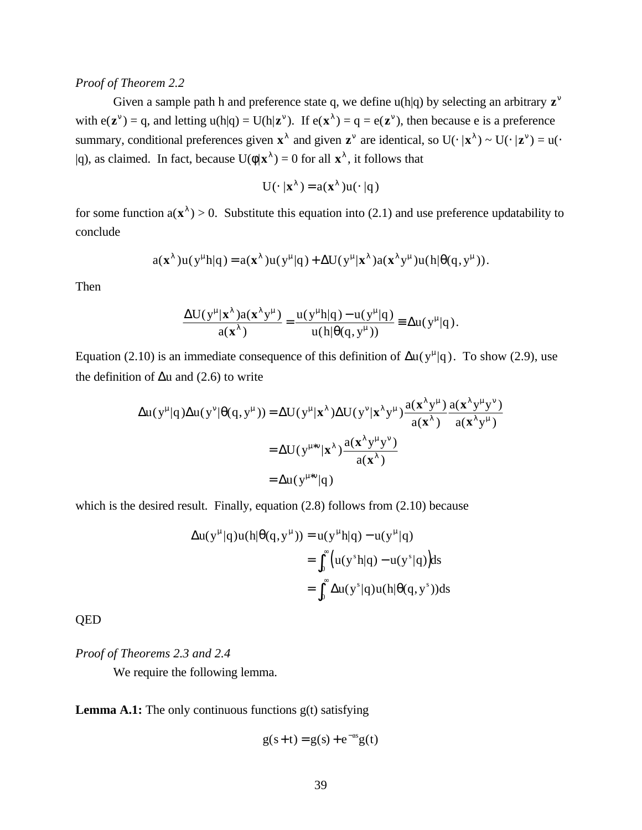## *Proof of Theorem 2.2*

Given a sample path h and preference state q, we define u(h|q) by selecting an arbitrary  $z^{\nu}$ with  $e(z^{\nu}) = q$ , and letting  $u(h|q) = U(h|z^{\nu})$ . If  $e(x^{\lambda}) = q = e(z^{\nu})$ , then because e is a preference summary, conditional preferences given  $\mathbf{x}^{\lambda}$  and given  $\mathbf{z}^{\nu}$  are identical, so U(⋅ | $\mathbf{x}^{\lambda}$ ) ~ U(⋅ | $\mathbf{z}^{\nu}$ ) = u(⋅  $|q\rangle$ , as claimed. In fact, because  $U(\phi|\mathbf{x}^{\lambda}) = 0$  for all  $\mathbf{x}^{\lambda}$ , it follows that

$$
U(\cdot | x^{\lambda}) = a(x^{\lambda})u(\cdot | q)
$$

for some function  $a(\mathbf{x}^{\lambda}) > 0$ . Substitute this equation into (2.1) and use preference updatability to conclude

$$
a(\mathbf{x}^{\lambda})u(y^{\mu}h|q) = a(\mathbf{x}^{\lambda})u(y^{\mu}|q) + \Delta U(y^{\mu}|\mathbf{x}^{\lambda})a(\mathbf{x}^{\lambda}y^{\mu})u(h|\theta(q,y^{\mu})).
$$

Then

$$
\frac{\Delta U(y^{\mu}|\mathbf{x}^{\lambda})a(\mathbf{x}^{\lambda}y^{\mu})}{a(\mathbf{x}^{\lambda})} = \frac{u(y^{\mu}h|q) - u(y^{\mu}|q)}{u(h|\theta(q, y^{\mu}))} \equiv \Delta u(y^{\mu}|q).
$$

Equation (2.10) is an immediate consequence of this definition of  $\Delta u(y^{\mu}|q)$ . To show (2.9), use the definition of  $\Delta u$  and (2.6) to write

$$
\Delta u(y^{\mu}|q)\Delta u(y^{\nu}|\theta(q,y^{\mu})) = \Delta U(y^{\mu}|\mathbf{x}^{\lambda})\Delta U(y^{\nu}|\mathbf{x}^{\lambda}y^{\mu})\frac{a(\mathbf{x}^{\lambda}y^{\mu})}{a(\mathbf{x}^{\lambda})}\frac{a(\mathbf{x}^{\lambda}y^{\mu}y^{\nu})}{a(\mathbf{x}^{\lambda}y^{\mu})}
$$

$$
= \Delta U(y^{\mu*\nu}|\mathbf{x}^{\lambda})\frac{a(\mathbf{x}^{\lambda}y^{\mu}y^{\nu})}{a(\mathbf{x}^{\lambda})}
$$

$$
= \Delta u(y^{\mu*\nu}|q)
$$

which is the desired result. Finally, equation (2.8) follows from (2.10) because

$$
\Delta u(y^{\mu}|q)u(h|\theta(q, y^{\mu})) = u(y^{\mu}|q) - u(y^{\mu}|q)
$$
  
= 
$$
\int_0^{\infty} (u(y^s h|q) - u(y^s|q)) ds
$$
  
= 
$$
\int_0^{\infty} \Delta u(y^s|q)u(h|\theta(q, y^s)) ds
$$

QED

*Proof of Theorems 2.3 and 2.4*

We require the following lemma.

**Lemma A.1:** The only continuous functions  $g(t)$  satisfying

$$
g(s+t) = g(s) + e^{-as}g(t)
$$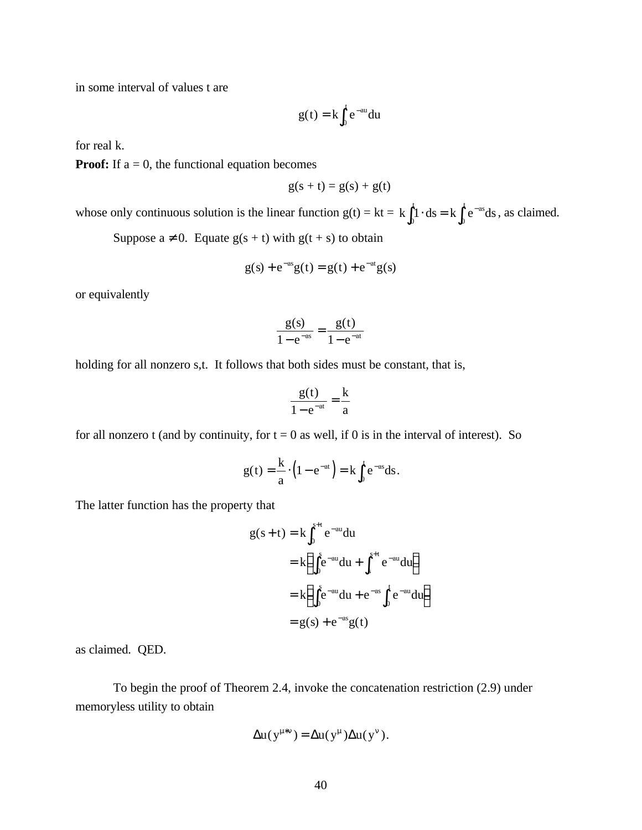in some interval of values t are

$$
g(t) = k \int_0^t e^{-au} du
$$

for real k.

**Proof:** If  $a = 0$ , the functional equation becomes

$$
g(s+t) = g(s) + g(t)
$$

whose only continuous solution is the linear function  $g(t) = kt = k \int_0^t e^{-as} ds$ , as claimed.

Suppose  $a \ne 0$ . Equate  $g(s + t)$  with  $g(t + s)$  to obtain

$$
g(s) + e^{-as}g(t) = g(t) + e^{-at}g(s)
$$

or equivalently

$$
\frac{g(s)}{1 - e^{-as}} = \frac{g(t)}{1 - e^{-at}}
$$

holding for all nonzero s,t. It follows that both sides must be constant, that is,

$$
\frac{g(t)}{1-e^{-at}} = \frac{k}{a}
$$

for all nonzero t (and by continuity, for  $t = 0$  as well, if 0 is in the interval of interest). So

$$
g(t) = \frac{k}{a} \cdot \left(1 - e^{-at}\right) = k \int_0^t e^{-as} ds.
$$

The latter function has the property that

$$
g(s+t) = k \int_0^{s+t} e^{-au} du
$$
  
=  $k \left( \int_0^s e^{-au} du + \int_s^{s+t} e^{-au} du \right)$   
=  $k \left( \int_0^s e^{-au} du + e^{-as} \int_0^t e^{-au} du \right)$   
=  $g(s) + e^{-as} g(t)$ 

as claimed. QED.

To begin the proof of Theorem 2.4, invoke the concatenation restriction (2.9) under memoryless utility to obtain

$$
\Delta u(y^{\mu*\nu}) = \Delta u(y^{\mu}) \Delta u(y^{\nu}).
$$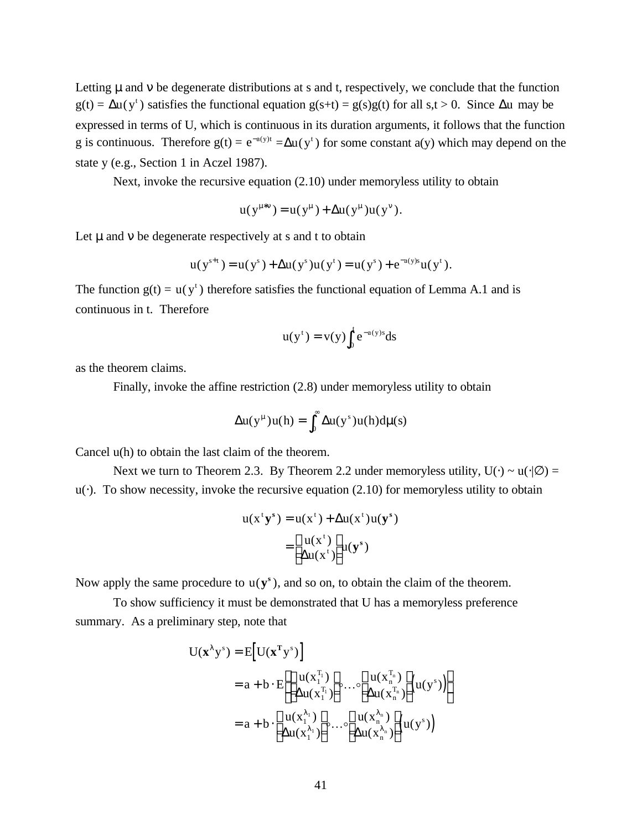Letting  $\mu$  and  $\nu$  be degenerate distributions at s and t, respectively, we conclude that the function  $g(t) = \Delta u(y^t)$  satisfies the functional equation  $g(s+t) = g(s)g(t)$  for all  $s,t > 0$ . Since  $\Delta u$  may be expressed in terms of U, which is continuous in its duration arguments, it follows that the function g is continuous. Therefore  $g(t) = e^{-a(y)t} = \Delta u(y^t)$  for some constant  $a(y)$  which may depend on the state y (e.g., Section 1 in Aczel 1987).

Next, invoke the recursive equation (2.10) under memoryless utility to obtain

$$
u(y^{\mu * v}) = u(y^{\mu}) + \Delta u(y^{\mu})u(y^{\nu}).
$$

Let  $\mu$  and  $\nu$  be degenerate respectively at s and t to obtain

$$
u(y^{s+t}) = u(y^s) + \Delta u(y^s)u(y^t) = u(y^s) + e^{-a(y)s}u(y^t).
$$

The function  $g(t) = u(y^t)$  therefore satisfies the functional equation of Lemma A.1 and is continuous in t. Therefore

$$
u(y^t) = v(y) \int_0^t e^{-a(y)s} ds
$$

as the theorem claims.

Finally, invoke the affine restriction (2.8) under memoryless utility to obtain

$$
\Delta u(y^{\mu})u(h) = \int_0^{\infty} \Delta u(y^s)u(h)d\mu(s)
$$

Cancel u(h) to obtain the last claim of the theorem.

Next we turn to Theorem 2.3. By Theorem 2.2 under memoryless utility,  $U(\cdot) \sim u(\cdot | \varnothing)$  =  $u(\cdot)$ . To show necessity, invoke the recursive equation (2.10) for memoryless utility to obtain

$$
u(xt ys) = u(xt) + \Delta u(xt)u(ys)
$$

$$
= \begin{bmatrix} u(xt) \\ \Delta u(xt) \end{bmatrix} u(ys)
$$

Now apply the same procedure to  $u(y^s)$ , and so on, to obtain the claim of the theorem.

To show sufficiency it must be demonstrated that U has a memoryless preference summary. As a preliminary step, note that

$$
U(\mathbf{x}^{\lambda} y^s) = E[U(\mathbf{x}^T y^s)]
$$
  
=  $a + b \cdot E\left[\begin{bmatrix} u(x_1^{T_1}) \\ \Delta u(x_1^{T_1}) \end{bmatrix} \circ \cdots \circ \begin{bmatrix} u(x_n^{T_n}) \\ \Delta u(x_n^{T_n}) \end{bmatrix} (u(y^s))\right]$   
=  $a + b \cdot \begin{bmatrix} u(x_1^{\lambda_1}) \\ \Delta u(x_1^{\lambda_1}) \end{bmatrix} \circ \cdots \circ \begin{bmatrix} u(x_n^{\lambda_n}) \\ \Delta u(x_n^{\lambda_n}) \end{bmatrix} (u(y^s))$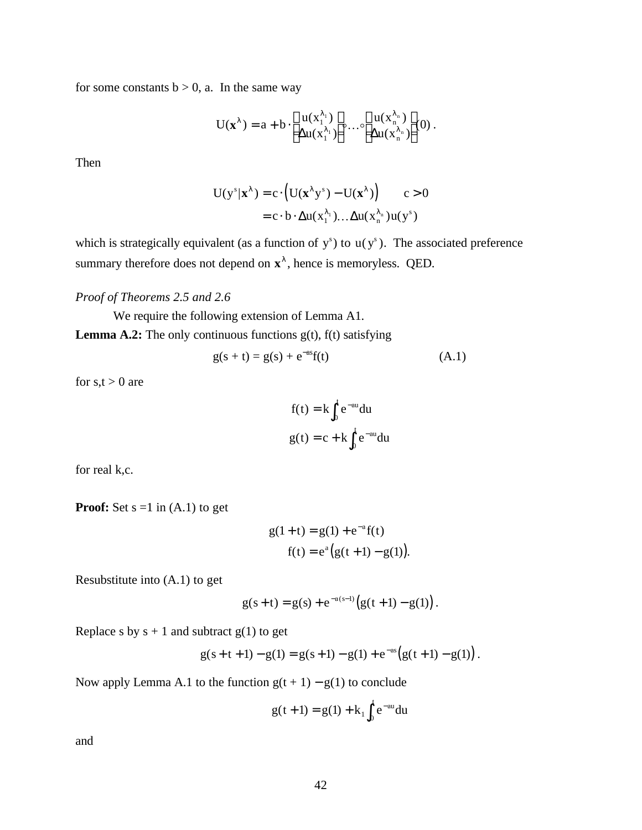for some constants  $b > 0$ , a. In the same way

$$
U(\mathbf{x}^{\lambda}) = a + b \cdot \left[ \begin{array}{c} u(x_1^{\lambda_1}) \\ \Delta u(x_1^{\lambda_1}) \end{array} \right] \circ \dots \circ \left[ \begin{array}{c} u(x_n^{\lambda_n}) \\ \Delta u(x_n^{\lambda_n}) \end{array} \right] \hspace{-0.05cm}(0) \; .
$$

Then

$$
U(y^s|\mathbf{x}^{\lambda}) = c \cdot (U(\mathbf{x}^{\lambda}y^s) - U(\mathbf{x}^{\lambda})) \qquad c > 0
$$

$$
= c \cdot b \cdot \Delta u(x_1^{\lambda_1}) \dots \Delta u(x_n^{\lambda_n}) u(y^s)
$$

which is strategically equivalent (as a function of  $y^s$ ) to  $u(y^s)$ . The associated preference summary therefore does not depend on  $\mathbf{x}^{\lambda}$ , hence is memoryless. QED.

*Proof of Theorems 2.5 and 2.6*

We require the following extension of Lemma A1. **Lemma A.2:** The only continuous functions  $g(t)$ ,  $f(t)$  satisfying

$$
g(s + t) = g(s) + e^{-as}f(t)
$$
 (A.1)

for  $s,t > 0$  are

$$
f(t) = k \int_0^t e^{-au} du
$$

$$
g(t) = c + k \int_0^t e^{-au} du
$$

for real k,c.

**Proof:** Set  $s = 1$  in  $(A.1)$  to get

$$
g(1+t) = g(1) + e^{-a}f(t)
$$
  
f(t) = e<sup>a</sup>(g(t+1) - g(1)).

Resubstitute into (A.1) to get

$$
g(s+t) = g(s) + e^{-a(s-1)}(g(t+1) - g(1)).
$$

Replace s by  $s + 1$  and subtract  $g(1)$  to get

$$
g(s+t+1) - g(1) = g(s+1) - g(1) + e^{-as} (g(t+1) - g(1)).
$$

Now apply Lemma A.1 to the function  $g(t + 1) - g(1)$  to conclude

$$
g(t+1) = g(1) + k_1 \int_0^t e^{-au} du
$$

and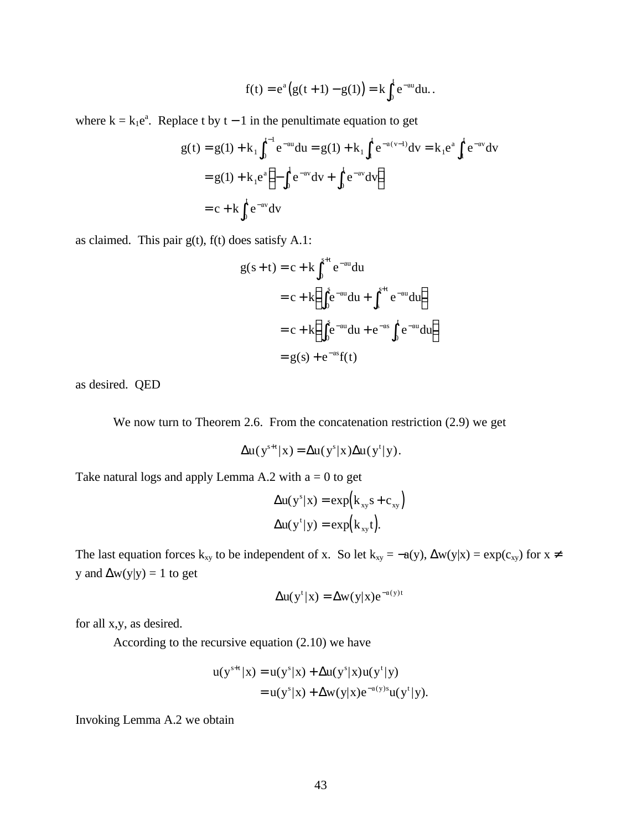$$
f(t) = e^a (g(t+1) - g(1)) = k \int_0^t e^{-au} du.
$$

where  $k = k_1 e^a$ . Replace t by t – 1 in the penultimate equation to get

$$
g(t) = g(1) + k_1 \int_0^{t-1} e^{-au} du = g(1) + k_1 \int_1^t e^{-a(v-1)} dv = k_1 e^a \int_1^t e^{-av} dv
$$
  
=  $g(1) + k_1 e^a \left(-\int_0^1 e^{-av} dv + \int_0^t e^{-av} dv\right)$   
=  $c + k \int_0^t e^{-av} dv$ 

as claimed. This pair  $g(t)$ ,  $f(t)$  does satisfy A.1:

$$
g(s+t) = c + k \int_0^{s+t} e^{-au} du
$$
  
= c + k \left( \int\_0^s e^{-au} du + \int\_s^{s+t} e^{-au} du \right)  
= c + k \left( \int\_0^s e^{-au} du + e^{-as} \int\_0^t e^{-au} du \right)  
= g(s) + e^{-as} f(t)

as desired. QED

We now turn to Theorem 2.6. From the concatenation restriction (2.9) we get

$$
\Delta u(y^{s+t} | x) = \Delta u(y^s | x) \Delta u(y^t | y).
$$

Take natural logs and apply Lemma A.2 with  $a = 0$  to get

$$
\Delta u(y^s|x) = \exp(k_{xy}s + c_{xy})
$$

$$
\Delta u(y^t|y) = \exp(k_{xy}t).
$$

The last equation forces k<sub>xy</sub> to be independent of x. So let k<sub>xy</sub> = -a(y),  $\Delta w(y|x) = exp(c_{xy})$  for  $x \neq$ y and  $\Delta w(y|y) = 1$  to get

$$
\Delta u(y^{t} | x) = \Delta w(y | x) e^{-a(y)t}
$$

for all x,y, as desired.

According to the recursive equation (2.10) we have

$$
u(y^{s+t}|x) = u(y^s|x) + \Delta u(y^s|x)u(y^t|y)
$$
  
= 
$$
u(y^s|x) + \Delta w(y|x)e^{-a(y)s}u(y^t|y).
$$

Invoking Lemma A.2 we obtain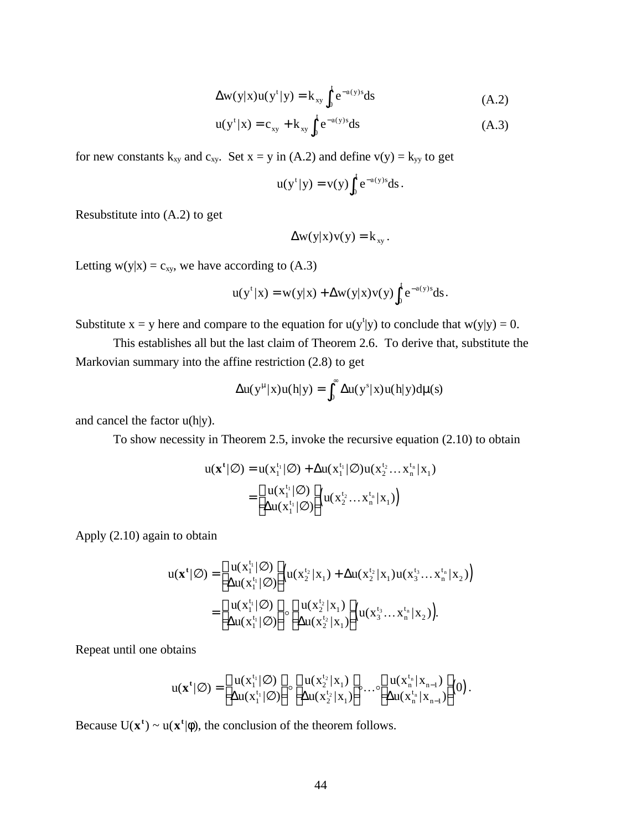$$
\Delta w(y|x)u(yt|y) = k_{xy} \int_0^t e^{-a(y)s} ds
$$
 (A.2)

$$
u(y^{t} | x) = c_{xy} + k_{xy} \int_{0}^{t} e^{-a(y)s} ds
$$
 (A.3)

for new constants  $k_{xy}$  and  $c_{xy}$ . Set  $x = y$  in (A.2) and define  $v(y) = k_{yy}$  to get

$$
u(yt|y) = v(y)\int_0^t e^{-a(y)s} ds.
$$

Resubstitute into (A.2) to get

$$
\Delta w(y|x)v(y) = k_{xy}.
$$

Letting  $w(y|x) = c_{xy}$ , we have according to (A.3)

$$
u(y^t|x) = w(y|x) + \Delta w(y|x)v(y)\int_0^t e^{-a(y)s} ds.
$$

Substitute  $x = y$  here and compare to the equation for  $u(y<sup>t</sup>|y)$  to conclude that  $w(y|y) = 0$ .

This establishes all but the last claim of Theorem 2.6. To derive that, substitute the Markovian summary into the affine restriction (2.8) to get

$$
\Delta u(y^\mu|x)u(h|y)=\int_0^\infty \Delta u(y^s|x)u(h|y)d\mu(s)
$$

and cancel the factor u(h|y).

To show necessity in Theorem 2.5, invoke the recursive equation (2.10) to obtain

$$
u(\mathbf{x}^{t}|\varnothing) = u(x_1^{t_1}|\varnothing) + \Delta u(x_1^{t_1}|\varnothing)u(x_2^{t_2}...x_n^{t_n}|x_1)
$$
  
= 
$$
\begin{bmatrix} u(x_1^{t_1}|\varnothing) \\ \Delta u(x_1^{t_1}|\varnothing) \end{bmatrix} (u(x_2^{t_2}...x_n^{t_n}|x_1))
$$

Apply (2.10) again to obtain

$$
u(\mathbf{x}^{t}|\varnothing) = \begin{bmatrix} u(x_1^{t_1}|\varnothing) \\ \Delta u(x_1^{t_1}|\varnothing) \end{bmatrix} \left(u(x_2^{t_2}|\mathbf{x}_1) + \Delta u(x_2^{t_2}|\mathbf{x}_1)u(x_3^{t_3}...x_n^{t_n}|\mathbf{x}_2)\right) \\ = \begin{bmatrix} u(x_1^{t_1}|\varnothing) \\ \Delta u(x_1^{t_1}|\varnothing) \end{bmatrix} \circ \begin{bmatrix} u(x_2^{t_2}|\mathbf{x}_1) \\ \Delta u(x_2^{t_2}|\mathbf{x}_1) \end{bmatrix} \left(u(x_3^{t_3}...x_n^{t_n}|\mathbf{x}_2)\right).
$$

Repeat until one obtains

$$
u(\mathbf{x}^{t}|\varnothing) = \begin{bmatrix} u(x_1^{t_1}|\varnothing) \\ \Delta u(x_1^{t_1}|\varnothing) \end{bmatrix} \circ \begin{bmatrix} u(x_2^{t_2}|\mathbf{x}_1) \\ \Delta u(x_2^{t_2}|\mathbf{x}_1) \end{bmatrix} \circ \dots \circ \begin{bmatrix} u(x_n^{t_n}|\mathbf{x}_{n-1}) \\ \Delta u(x_n^{t_n}|\mathbf{x}_{n-1}) \end{bmatrix} (0).
$$

Because  $U(x^t) \sim u(x^t | \phi)$ , the conclusion of the theorem follows.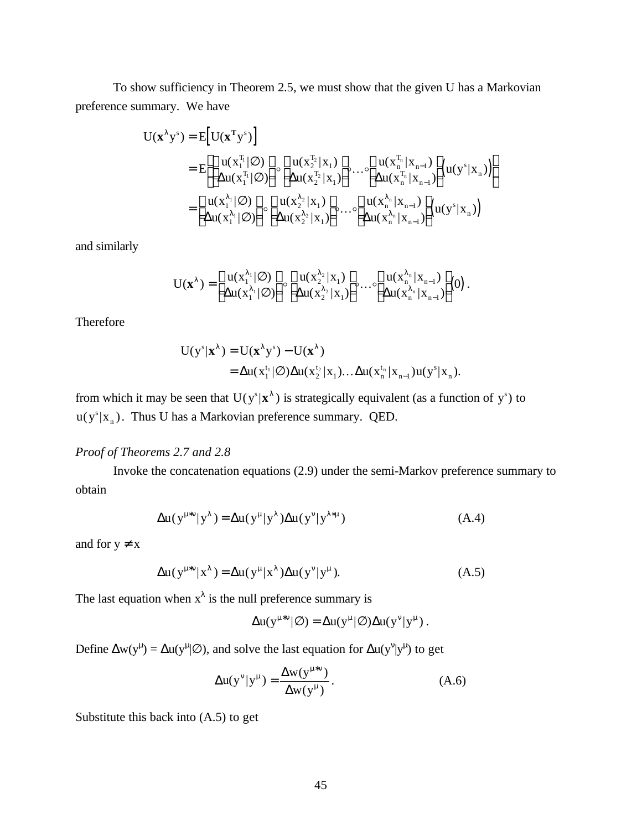To show sufficiency in Theorem 2.5, we must show that the given U has a Markovian preference summary. We have

$$
U(\mathbf{x}^{\lambda} y^s) = E[U(\mathbf{x}^T y^s)]
$$
  
\n
$$
= E\left[\begin{bmatrix}u(x_1^{T_1}|\varnothing)\\ \Delta u(x_1^{T_1}|\varnothing)\end{bmatrix} \circ \begin{bmatrix}u(x_2^{T_2} | x_1)\\ \Delta u(x_2^{T_2} | x_1)\end{bmatrix} \circ \cdots \circ \begin{bmatrix}u(x_n^{T_n} | x_{n-1})\\ \Delta u(x_n^{T_n} | x_{n-1})\end{bmatrix} (u(y^s | x_n))\right]
$$
  
\n
$$
= \begin{bmatrix}u(x_1^{\lambda_1}|\varnothing)\\ \Delta u(x_1^{\lambda_1}|\varnothing)\end{bmatrix} \circ \begin{bmatrix}u(x_2^{\lambda_2} | x_1)\\ \Delta u(x_2^{\lambda_2} | x_1)\end{bmatrix} \circ \cdots \circ \begin{bmatrix}u(x_n^{\lambda_n} | x_{n-1})\\ \Delta u(x_n^{\lambda_n} | x_{n-1})\end{bmatrix} (u(y^s | x_n))
$$

and similarly

$$
U(\mathbf{x}^{\lambda}) = \begin{bmatrix} u(x_1^{\lambda_1}|\varnothing) \\ \Delta u(x_1^{\lambda_1}|\varnothing) \end{bmatrix} \circ \begin{bmatrix} u(x_2^{\lambda_2}|x_1) \\ \Delta u(x_2^{\lambda_2}|x_1) \end{bmatrix} \circ \dots \circ \begin{bmatrix} u(x_n^{\lambda_n}|x_{n-1}) \\ \Delta u(x_n^{\lambda_n}|x_{n-1}) \end{bmatrix} (0) .
$$

Therefore

$$
U(y^s|\mathbf{x}^{\lambda}) = U(\mathbf{x}^{\lambda}y^s) - U(\mathbf{x}^{\lambda})
$$
  
=  $\Delta u(x_1^{t_1}|\emptyset) \Delta u(x_2^{t_2}|\mathbf{x}_1) \dots \Delta u(x_n^{t_n}|\mathbf{x}_{n-1}) u(y^s|\mathbf{x}_n).$ 

from which it may be seen that  $U(y^s|x^{\lambda})$  is strategically equivalent (as a function of y<sup>*s*</sup>) to  $u(y^s|x)$  $(y^{s} | x_{n})$ . Thus U has a Markovian preference summary. QED.

# *Proof of Theorems 2.7 and 2.8*

Invoke the concatenation equations (2.9) under the semi-Markov preference summary to obtain

$$
\Delta u(y^{\mu *v} | y^{\lambda}) = \Delta u(y^{\mu} | y^{\lambda}) \Delta u(y^v | y^{\lambda * \mu})
$$
 (A.4)

and for  $y \neq x$ 

$$
\Delta u(y^{\mu*\nu}|x^{\lambda}) = \Delta u(y^{\mu}|x^{\lambda})\Delta u(y^{\nu}|y^{\mu}). \tag{A.5}
$$

The last equation when  $x^{\lambda}$  is the null preference summary is

$$
\Delta u(y^{\mu*\nu}|\varnothing) = \Delta u(y^\mu|\varnothing)\Delta u(y^\nu|y^\mu) \ .
$$

Define  $\Delta w(y^{\mu}) = \Delta u(y^{\mu}|\varnothing)$ , and solve the last equation for  $\Delta u(y^{\nu}|y^{\mu})$  to get

$$
\Delta u(y^{\nu} | y^{\mu}) = \frac{\Delta w(y^{\mu \nu})}{\Delta w(y^{\mu})}.
$$
 (A.6)

Substitute this back into (A.5) to get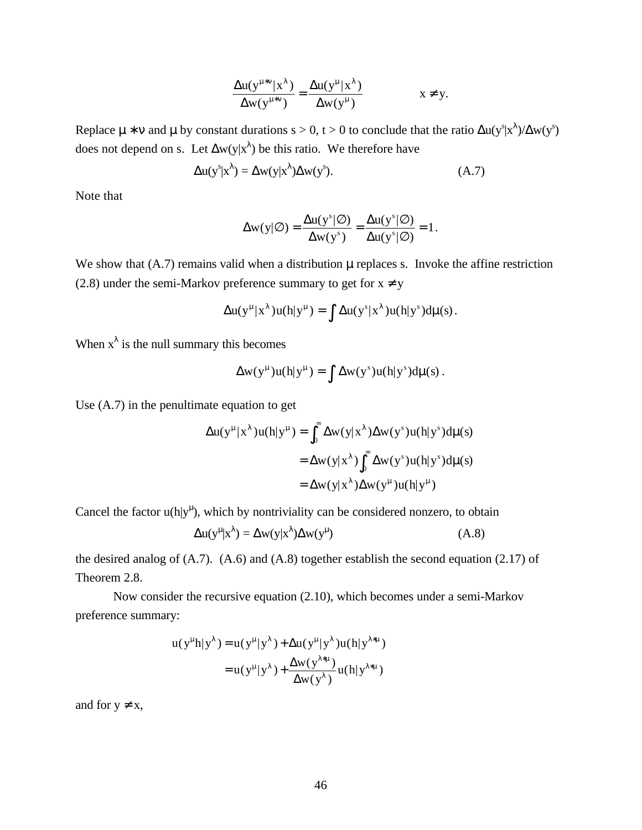$$
\frac{\Delta u(y^{\mu*\nu}|x^{\lambda})}{\Delta w(y^{\mu*\nu})} = \frac{\Delta u(y^{\mu}|x^{\lambda})}{\Delta w(y^{\mu})}
$$
  $x \neq y$ .

Replace  $\mu * v$  and  $\mu$  by constant durations s > 0, t > 0 to conclude that the ratio  $\Delta u(y^s|x^{\lambda})/\Delta w(y^s)$ does not depend on s. Let  $\Delta w(y|x^{\lambda})$  be this ratio. We therefore have

$$
\Delta u(y^s|x^{\lambda}) = \Delta w(y|x^{\lambda}) \Delta w(y^s). \tag{A.7}
$$

Note that

$$
\Delta w(y|\varnothing) = \frac{\Delta u(y^s|\varnothing)}{\Delta w(y^s)} = \frac{\Delta u(y^s|\varnothing)}{\Delta u(y^s|\varnothing)} = 1.
$$

We show that  $(A.7)$  remains valid when a distribution  $\mu$  replaces s. Invoke the affine restriction (2.8) under the semi-Markov preference summary to get for  $x \neq y$ 

$$
\Delta u(y^{\mu} | x^{\lambda}) u(h|y^{\mu}) = \int \Delta u(y^s | x^{\lambda}) u(h|y^s) d\mu(s).
$$

When  $x^{\lambda}$  is the null summary this becomes

$$
\Delta w(y^{\mu})u(h|y^{\mu}) = \int \Delta w(y^s)u(h|y^s)d\mu(s).
$$

Use (A.7) in the penultimate equation to get

$$
\Delta u(y^{\mu} | x^{\lambda}) u(h|y^{\mu}) = \int_0^{\infty} \Delta w(y | x^{\lambda}) \Delta w(y^s) u(h|y^s) d\mu(s)
$$
  
=  $\Delta w(y | x^{\lambda}) \int_0^{\infty} \Delta w(y^s) u(h|y^s) d\mu(s)$   
=  $\Delta w(y | x^{\lambda}) \Delta w(y^{\mu}) u(h|y^{\mu})$ 

Cancel the factor  $u(h|y^{\mu})$ , which by nontriviality can be considered nonzero, to obtain

$$
\Delta u(y^{\mu}|x^{\lambda}) = \Delta w(y|x^{\lambda}) \Delta w(y^{\mu})
$$
 (A.8)

the desired analog of (A.7). (A.6) and (A.8) together establish the second equation (2.17) of Theorem 2.8.

Now consider the recursive equation (2.10), which becomes under a semi-Markov preference summary:

$$
u(y^{\mu}h|y^{\lambda}) = u(y^{\mu}|y^{\lambda}) + \Delta u(y^{\mu}|y^{\lambda})u(h|y^{\lambda*\mu})
$$
  
= 
$$
u(y^{\mu}|y^{\lambda}) + \frac{\Delta w(y^{\lambda*\mu})}{\Delta w(y^{\lambda})}u(h|y^{\lambda*\mu})
$$

and for  $y \neq x$ ,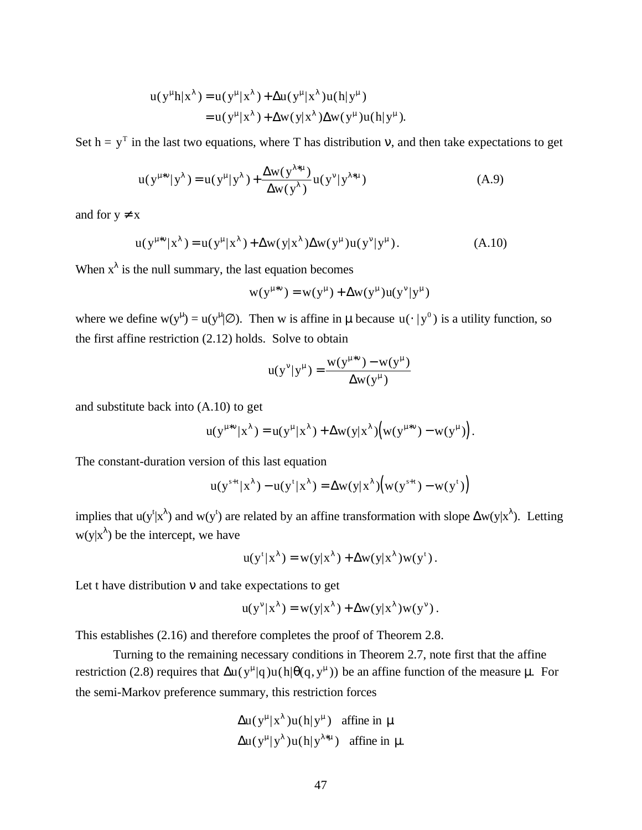$$
u(y^{\mu}h|x^{\lambda}) = u(y^{\mu}|x^{\lambda}) + \Delta u(y^{\mu}|x^{\lambda})u(h|y^{\mu})
$$
  
= 
$$
u(y^{\mu}|x^{\lambda}) + \Delta w(y|x^{\lambda})\Delta w(y^{\mu})u(h|y^{\mu}).
$$

Set h =  $y<sup>T</sup>$  in the last two equations, where T has distribution v, and then take expectations to get

$$
u(y^{\mu*\nu}|y^{\lambda}) = u(y^{\mu}|y^{\lambda}) + \frac{\Delta w(y^{\lambda*\mu})}{\Delta w(y^{\lambda})} u(y^{\nu}|y^{\lambda*\mu})
$$
 (A.9)

and for  $y \neq x$ 

$$
u(y^{\mu*\nu}|x^{\lambda}) = u(y^{\mu}|x^{\lambda}) + \Delta w(y|x^{\lambda})\Delta w(y^{\mu})u(y^{\nu}|y^{\mu}). \tag{A.10}
$$

When  $x^{\lambda}$  is the null summary, the last equation becomes

$$
w(y^{\mu*\nu})=w(y^\mu)+\Delta w(y^\mu)u(y^\nu|y^\mu)
$$

where we define  $w(y^{\mu}) = u(y^{\mu} | \emptyset)$ . Then w is affine in  $\mu$  because  $u(\cdot | y^0)$  is a utility function, so the first affine restriction (2.12) holds. Solve to obtain

$$
u(y^{v}|y^{u}) = \frac{w(y^{u+v}) - w(y^{u})}{\Delta w(y^{u})}
$$

and substitute back into (A.10) to get

$$
u(y^{\mu*\nu}|x^{\lambda}) = u(y^{\mu}|x^{\lambda}) + \Delta w(y|x^{\lambda}) \Big(w(y^{\mu*\nu}) - w(y^{\mu})\Big).
$$

The constant-duration version of this last equation

$$
u(y^{s+t}|\mathbf{x}^{\lambda}) - u(y^t|\mathbf{x}^{\lambda}) = \Delta w(y|\mathbf{x}^{\lambda}) \Big( w(y^{s+t}) - w(y^t) \Big)
$$

implies that  $u(y^t|x^{\lambda})$  and  $w(y^t)$  are related by an affine transformation with slope  $\Delta w(y|x^{\lambda})$ . Letting  $w(y|x^{\lambda})$  be the intercept, we have

$$
u(y^{t} | x^{\lambda}) = w(y | x^{\lambda}) + \Delta w(y | x^{\lambda}) w(y^{t}).
$$

Let t have distribution  $v$  and take expectations to get

$$
u(y^{\nu}|x^{\lambda}) = w(y|x^{\lambda}) + \Delta w(y|x^{\lambda})w(y^{\nu}).
$$

This establishes (2.16) and therefore completes the proof of Theorem 2.8.

Turning to the remaining necessary conditions in Theorem 2.7, note first that the affine restriction (2.8) requires that  $\Delta u(y^{\mu}|q)u(h|\theta(q, y^{\mu}))$  be an affine function of the measure  $\mu$ . For the semi-Markov preference summary, this restriction forces

$$
\Delta u(y^{\mu}|x^{\lambda})u(h|y^{\mu}) \text{ affine in } \mu
$$
  

$$
\Delta u(y^{\mu}|y^{\lambda})u(h|y^{\lambda*\mu}) \text{ affine in } \mu.
$$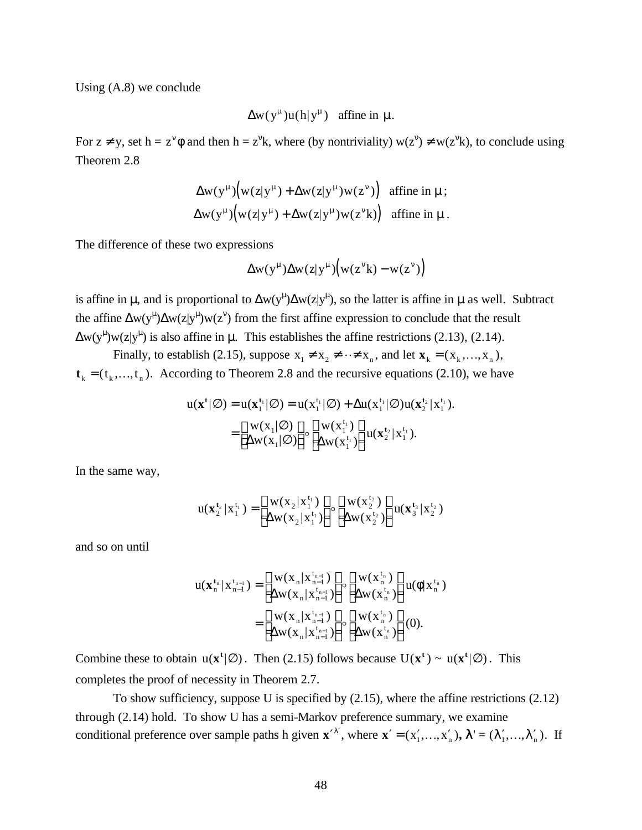Using (A.8) we conclude

$$
\Delta w(y^{\mu})u(h|y^{\mu}) \quad \text{affine in }\mu.
$$

For  $z \neq y$ , set  $h = z^{\gamma} \phi$  and then  $h = z^{\gamma} k$ , where (by nontriviality)  $w(z^{\gamma}) \neq w(z^{\gamma} k)$ , to conclude using Theorem 2.8

$$
\Delta w(y^{\mu}) (w(z|y^{\mu}) + \Delta w(z|y^{\mu})w(z^{\nu})) \text{ affine in } \mu \text{ ;}
$$
  
 
$$
\Delta w(y^{\mu}) (w(z|y^{\mu}) + \Delta w(z|y^{\mu})w(z^{\nu}k)) \text{ affine in } \mu \text{ .}
$$

The difference of these two expressions

$$
\Delta w(y^{\mu}) \Delta w(z|y^{\mu}) \Big( w(z^{\nu}k) - w(z^{\nu}) \Big)
$$

is affine in  $\mu$ , and is proportional to  $\Delta w(y^{\mu})\Delta w(z|y^{\mu})$ , so the latter is affine in  $\mu$  as well. Subtract the affine  $\Delta w(y^{\mu})\Delta w(z|y^{\mu})w(z^{\nu})$  from the first affine expression to conclude that the result  $\Delta w(y^{\mu})w(z|y^{\mu})$  is also affine in  $\mu$ . This establishes the affine restrictions (2.13), (2.14).

Finally, to establish (2.15), suppose  $x_1 \neq x_2 \neq \cdots \neq x_n$ , and let  $\mathbf{x}_k = (x_k, ..., x_n)$ ,  $t_k = (t_k,...,t_n)$ . According to Theorem 2.8 and the recursive equations (2.10), we have

$$
u(\mathbf{x}^{\mathsf{t}}|\varnothing) = u(\mathbf{x}_1^{\mathsf{t}_1}|\varnothing) = u(\mathbf{x}_1^{\mathsf{t}_1}|\varnothing) + \Delta u(\mathbf{x}_1^{\mathsf{t}_1}|\varnothing)u(\mathbf{x}_2^{\mathsf{t}_2}|\mathbf{x}_1^{\mathsf{t}_1}).
$$
  
= 
$$
\begin{bmatrix} w(\mathbf{x}_1|\varnothing) \\ \Delta w(\mathbf{x}_1|\varnothing) \end{bmatrix} \circ \begin{bmatrix} w(\mathbf{x}_1^{\mathsf{t}_1}) \\ \Delta w(\mathbf{x}_1^{\mathsf{t}_1}) \end{bmatrix} u(\mathbf{x}_2^{\mathsf{t}_2}|\mathbf{x}_1^{\mathsf{t}_1}).
$$

In the same way,

$$
u(\mathbf{x}_{2}^{t_2} | \mathbf{x}_{1}^{t_1}) = \begin{bmatrix} w(\mathbf{x}_{2} | \mathbf{x}_{1}^{t_1}) \\ \Delta w(\mathbf{x}_{2} | \mathbf{x}_{1}^{t_1}) \end{bmatrix} \circ \begin{bmatrix} w(\mathbf{x}_{2}^{t_2}) \\ \Delta w(\mathbf{x}_{2}^{t_2}) \end{bmatrix} u(\mathbf{x}_{3}^{t_3} | \mathbf{x}_{2}^{t_2})
$$

and so on until

$$
u(\mathbf{x}_{n}^{t_{n}} | \mathbf{x}_{n-1}^{t_{n-1}}) = \begin{bmatrix} w(x_{n} | \mathbf{x}_{n-1}^{t_{n-1}}) \\ \Delta w(x_{n} | \mathbf{x}_{n-1}^{t_{n-1}}) \end{bmatrix} \circ \begin{bmatrix} w(x_{n}^{t_{n}}) \\ \Delta w(x_{n}^{t_{n}}) \end{bmatrix} u(\phi | \mathbf{x}_{n}^{t_{n}})
$$

$$
= \begin{bmatrix} w(x_{n} | \mathbf{x}_{n-1}^{t_{n-1}}) \\ \Delta w(x_{n} | \mathbf{x}_{n-1}^{t_{n-1}}) \end{bmatrix} \circ \begin{bmatrix} w(x_{n}^{t_{n}}) \\ \Delta w(x_{n}^{t_{n}}) \end{bmatrix} (0).
$$

Combine these to obtain  $u(x^t | \emptyset)$ . Then (2.15) follows because  $U(x^t) \sim u(x^t | \emptyset)$ . This completes the proof of necessity in Theorem 2.7.

To show sufficiency, suppose U is specified by (2.15), where the affine restrictions (2.12) through (2.14) hold. To show U has a semi-Markov preference summary, we examine conditional preference over sample paths h given  $\mathbf{x}'^{\lambda}$ , where  $\mathbf{x}' = (x'_1, \dots, x'_n)$ ,  $\lambda' = (\lambda'_1, \dots, \lambda'_n)$ . If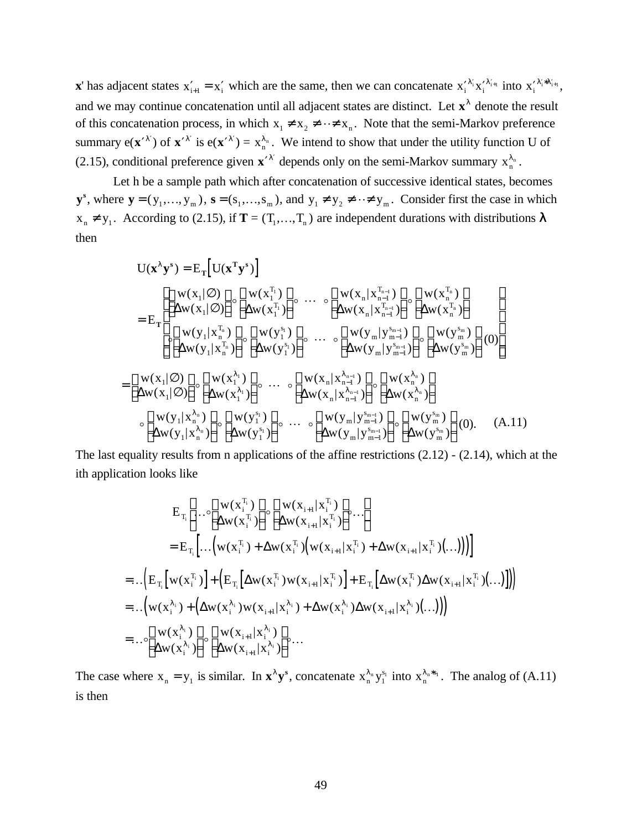**x**' has adjacent states  $x'_{i+1} = x'_i$  which are the same, then we can concatenate  $x'_i^{\lambda'_i} x''_{i+1}$  into  $x'_i^{\lambda'_i * \lambda'_{i+1}}$ , and we may continue concatenation until all adjacent states are distinct. Let  $x^{\lambda}$  denote the result of this concatenation process, in which  $x_1 \neq x_2 \neq \cdots \neq x_n$ . Note that the semi-Markov preference summary  $e(x'^{\lambda'})$  of  $x'^{\lambda'}$  is  $e(x'^{\lambda'}) = x_n^{\lambda_n}$ . We intend to show that under the utility function U of (2.15), conditional preference given  $\mathbf{x}'^{\lambda'}$  depends only on the semi-Markov summary  $x_n^{\lambda_n}$ .

Let h be a sample path which after concatenation of successive identical states, becomes  $\mathbf{y}^s$ , where  $\mathbf{y} = (y_1, \dots, y_m)$ ,  $\mathbf{s} = (s_1, \dots, s_m)$ , and  $y_1 \neq y_2 \neq \dots \neq y_m$ . Consider first the case in which  $x_n \neq y_1$ . According to (2.15), if  $T = (T_1, ..., T_n)$  are independent durations with distributions  $\lambda$ then

$$
U(\mathbf{x}^{\lambda}\mathbf{y}^{s}) = E_{T} [U(\mathbf{x}^{T}\mathbf{y}^{s})]
$$
  
\n
$$
= E_{T} \begin{bmatrix} W(x_{1}|\varnothing) \\ \Delta w(x_{1}|\varnothing) \end{bmatrix} \circ \begin{bmatrix} w(x_{1}^{T_{1}}) \\ \Delta w(x_{1}^{T_{1}}) \end{bmatrix} \circ \cdots \circ \begin{bmatrix} w(x_{n} | x_{n-1}^{T_{n-1}}) \\ \Delta w(x_{n} | x_{n-1}^{T_{n}}) \end{bmatrix} \circ \begin{bmatrix} w(x_{n}^{T_{n}}) \\ \Delta w(x_{n}^{T_{n}}) \end{bmatrix}
$$
  
\n
$$
= E_{T} \begin{bmatrix} W(y_{1} | x_{n}^{T_{n}}) \\ \Delta w(y_{1} | x_{n}^{T_{n}}) \end{bmatrix} \circ \begin{bmatrix} w(y_{1}^{s}) \\ \Delta w(y_{1}^{s}) \end{bmatrix} \circ \cdots \circ \begin{bmatrix} w(y_{m} | y_{m-1}^{s_{m-1}}) \\ \Delta w(y_{m} | y_{m-1}^{s_{m-1}}) \end{bmatrix} \circ \begin{bmatrix} w(y_{m}^{s}) \\ \Delta w(y_{m}^{s}) \end{bmatrix} (0)
$$
  
\n
$$
= \begin{bmatrix} w(x_{1}|\varnothing) \\ \Delta w(x_{1}|\varnothing) \end{bmatrix} \circ \begin{bmatrix} w(x_{1}^{\lambda_{1}}) \\ \Delta w(x_{1}^{\lambda_{1}}) \end{bmatrix} \circ \cdots \circ \begin{bmatrix} w(x_{n} | x_{n-1}^{\lambda_{n-1}}) \\ \Delta w(x_{n} | x_{n-1}^{\lambda_{n}}) \end{bmatrix} \circ \begin{bmatrix} w(x_{n}^{\lambda_{n}}) \\ \Delta w(x_{n}^{\lambda_{n}}) \end{bmatrix}
$$
  
\n
$$
\circ \begin{bmatrix} w(y_{1} | x_{n}^{\lambda_{n}}) \\ \Delta w(y_{1} | x_{n}^{\lambda_{n}}) \end{bmatrix} \circ \begin{bmatrix} w(y_{1}^{s}) \\ \Delta w(y_{1}^{s}) \end{bmatrix} \circ \cdots \circ \begin{bmatrix} w(y_{m} | y_{m-1}^{s_{m-1}}) \\ \Delta w(y_{m} | y_{m-1}^{s_{m-
$$

The last equality results from n applications of the affine restrictions (2.12) - (2.14), which at the ith application looks like

$$
E_{T_i}\left[\dots \circ \left[\begin{array}{c} w(x_i^{T_i}) \\ \Delta w(x_i^{T_i}) \end{array}\right] \circ \left[\begin{array}{c} w(x_{i+1} | x_i^{T_i}) \\ \Delta w(x_{i+1} | x_i^{T_i}) \end{array}\right] \circ \dots\right]
$$
  
\n
$$
= E_{T_i}\left[\dots \left(w(x_i^{T_i}) + \Delta w(x_i^{T_i}) \left(w(x_{i+1} | x_i^{T_i}) + \Delta w(x_{i+1} | x_i^{T_i}) (\dots)\right)\right)\right]
$$
  
\n
$$
= \dots \left(E_{T_i}\left[w(x_i^{T_i})\right] + \left(E_{T_i}\left[\Delta w(x_i^{T_i}) w(x_{i+1} | x_i^{T_i})\right] + E_{T_i}\left[\Delta w(x_i^{T_i}) \Delta w(x_{i+1} | x_i^{T_i}) (\dots)\right]\right)\right]
$$
  
\n
$$
= \dots \left(w(x_i^{\lambda_i}) + \left(\Delta w(x_i^{\lambda_i}) w(x_{i+1} | x_i^{\lambda_i}) + \Delta w(x_i^{\lambda_i}) \Delta w(x_{i+1} | x_i^{\lambda_i}) (\dots)\right)\right)
$$
  
\n
$$
= \dots \left[\begin{array}{c} w(x_i^{\lambda_i}) \\ \Delta w(x_i^{\lambda_i}) \end{array}\right] \circ \left[\begin{array}{c} w(x_{i+1} | x_i^{\lambda_i}) \\ \Delta w(x_{i+1} | x_i^{\lambda_i}) \end{array}\right] \circ \dots
$$

The case where  $x_n = y_1$  is similar. In  $\mathbf{x}^{\lambda} \mathbf{y}^s$ , concatenate  $x_n^{\lambda_n} y_1^s$  $S_1$  into  $x_n^{\lambda_n * s_1}$ . The analog of (A.11) is then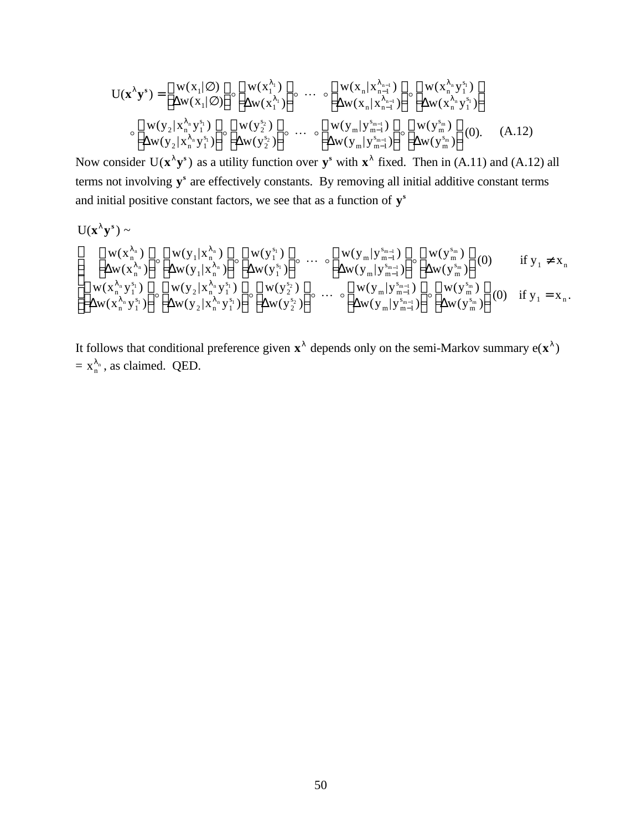$$
U(\mathbf{x}^{\lambda}\mathbf{y}^{s}) = \begin{bmatrix} w(x_{1}|\varnothing) \\ \Delta w(x_{1}|\varnothing) \end{bmatrix} \circ \begin{bmatrix} w(x_{1}^{\lambda_{1}}) \\ \Delta w(x_{1}^{\lambda_{1}}) \end{bmatrix} \circ \cdots \circ \begin{bmatrix} w(x_{n}|\mathbf{x}_{n-1}^{\lambda_{n-1}}) \\ \Delta w(x_{n}|\mathbf{x}_{n-1}^{\lambda_{n-1}}) \end{bmatrix} \circ \begin{bmatrix} w(x_{n}^{\lambda_{n}}\mathbf{y}_{1}^{s}) \\ \Delta w(x_{n}|\mathbf{x}_{n}^{\lambda_{n}}\mathbf{y}_{1}^{s}) \end{bmatrix}
$$

$$
\circ \begin{bmatrix} w(y_{2}|\mathbf{x}_{n}^{\lambda_{n}}\mathbf{y}_{1}^{s}) \\ \Delta w(y_{2}|\mathbf{x}_{n}^{\lambda_{n}}\mathbf{y}_{1}^{s}) \end{bmatrix} \circ \begin{bmatrix} w(y_{2}^{s}) \\ \Delta w(y_{2}^{s}) \end{bmatrix} \circ \cdots \circ \begin{bmatrix} w(y_{m}|\mathbf{y}_{m-1}^{s_{m-1}}) \\ \Delta w(y_{m}|\mathbf{y}_{m-1}^{s_{m}}) \end{bmatrix} \circ \begin{bmatrix} w(y_{m}^{s}) \\ \Delta w(y_{m}^{s}) \end{bmatrix} (0). \quad (A.12)
$$

Now consider  $U(x^{\lambda} y^s)$  as a utility function over  $y^s$  with  $x^{\lambda}$  fixed. Then in (A.11) and (A.12) all terms not involving y<sup>s</sup> are effectively constants. By removing all initial additive constant terms and initial positive constant factors, we see that as a function of **y s**

$$
U(\bm{x}^{\lambda}\bm{y}^s)\sim\\ \left[\begin{matrix}w(x_{n}^{\lambda_{n}})\\ \Delta w(x_{n}^{\lambda_{n}})\end{matrix}\right] \circ\left[\begin{matrix}w(y_{1}|x_{n}^{\lambda_{n}})\\ \Delta w(y_{1}|x_{n}^{\lambda_{n}})\end{matrix}\right] \circ\left[\begin{matrix}w(y_{1}^{s_{1}})\\ \Delta w(y_{1}^{s_{1}})\end{matrix}\right] \circ\cdots\right.\\\left.\left.\begin{matrix}w(y_{m}|y_{m-1}^{s_{m-1}})\\ \Delta w(y_{m}|y_{m-1}^{s_{m-1}})\end{matrix}\right] \circ\left[\begin{matrix}w(y_{1}^{s_{1}})\\ \Delta w(y_{1}^{s_{1}})\end{matrix}\right] \circ\cdots\right.\\\left.\left(\begin{matrix}w(x_{n}^{\lambda_{n}}y_{1}^{s_{1}})\\ \Delta w(y_{1}^{s_{1}})\end{matrix}\right] \circ\left[\begin{matrix}w(y_{2}^{s_{1}})\\ \Delta w(y_{1}^{s_{2}})\end{matrix}\right] \circ\cdots\right.\\\left.\left(\begin{matrix}w(y_{m}|y_{m-1}^{s_{m-1}})\\ \Delta w(y_{m}|y_{m-1}^{s_{m-1}})\end{matrix}\right] \circ\left[\begin{matrix}w(y_{1}^{s_{m}})\\ \Delta w(y_{1}^{s_{m}})\end{matrix}\right] \circ\cdots\right.\\\left.\left(\begin{matrix}w(y_{1}^{s_{1}})\\ \Delta w(y_{1}^{s_{1}})\end{matrix}\right] \circ\left[\begin{matrix}w(y_{1}^{s_{1}})\\ \Delta w(y_{1}^{s_{1}})\end{matrix}\right] \circ\left[\begin{matrix}w(y_{1}^{s_{1}})\\ \Delta w(y_{1}^{s_{1}})\end{matrix}\right] \circ\cdots\right] \circ\left[\begin{matrix}w(y_{1}^{s_{1}})\\ \Delta w(y_{1}^{s_{1}})\end{matrix}\right] \circ\left[\begin{matrix}w(y_{1}^{s_{1}})\\ \Delta w(y_{1}^{s_{1}})\end{matrix}\right] \circ\cdots\right] \circ\left[\begin{matrix}w(y_{1}^{s_{1}})\\ \Delta w(y_{1}^{s_{1}})\end{matrix}\right] \circ\left[\begin{matrix}w(y_{1}^{s_{1}})\\ \Delta w(y_{1}^{s_{1}})\end{matrix}\right] \
$$

It follows that conditional preference given  $x^{\lambda}$  depends only on the semi-Markov summary  $e(x^{\lambda})$  $= x_n^{\lambda_n}$ , as claimed. QED.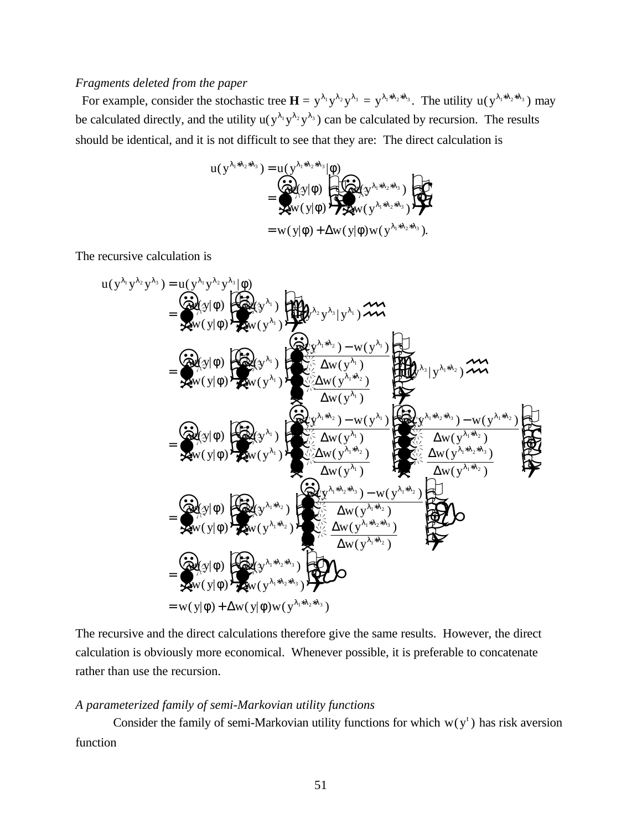## *Fragments deleted from the paper*

For example, consider the stochastic tree  $\mathbf{H} = y^{\lambda_1}y^{\lambda_2}y^{\lambda_3} = y^{\lambda_1 * \lambda_2 * \lambda_3}$ . The utility  $u(y^{\lambda_1 * \lambda_2 * \lambda_3})$  may be calculated directly, and the utility  $u(y^{\lambda_1}y^{\lambda_2}y^{\lambda_3})$  can be calculated by recursion. The results should be identical, and it is not difficult to see that they are: The direct calculation is

$$
u(y^{\lambda_1 * \lambda_2 * \lambda_3}) = u(y^{\lambda_1 * \lambda_2 * \lambda_3}|\phi)
$$
  
= 
$$
\begin{pmatrix} \overrightarrow{\omega_1} (y|\phi) & \overrightarrow{\omega_2} (y^{\lambda_1 * \lambda_2 * \lambda_3}) \\ \overrightarrow{\omega_3} (y|\phi) & \overrightarrow{\omega_4} (y^{\lambda_1 * \lambda_2 * \lambda_3}) \end{pmatrix}
$$
  
= 
$$
w(y|\phi) + \Delta w(y|\phi) w(y^{\lambda_1 * \lambda_2 * \lambda_3}).
$$

The recursive calculation is

$$
u(y^{\lambda_1}y^{\lambda_2}y^{\lambda_3}) = u(y^{\lambda_1}y^{\lambda_2}y^{\lambda_3})\phi
$$
\n
$$
= \oint_{\mathbf{X}^N} (y|\phi) \oint_{\mathbf{X}^N} (y^{\lambda_1}) \oint_{\mathbf{X}^N} (y^{\lambda_1}) \oint_{\mathbf{X}^N} (y^{\lambda_1}) \oint_{\mathbf{X}^N} (y^{\lambda_1}) \oint_{\mathbf{X}^N} (y^{\lambda_1}) \oint_{\mathbf{X}^N} (y^{\lambda_1}) \oint_{\mathbf{X}^N} (y^{\lambda_1}) \oint_{\mathbf{X}^N} (y^{\lambda_1}) \oint_{\mathbf{X}^N} (y^{\lambda_1}) \oint_{\mathbf{X}^N} (y^{\lambda_1}) \oint_{\mathbf{X}^N} (y^{\lambda_1}) \oint_{\mathbf{X}^N} (y^{\lambda_1}) \oint_{\mathbf{X}^N} (y^{\lambda_1}) \oint_{\mathbf{X}^N} (y^{\lambda_1}) \oint_{\mathbf{X}^N} (y^{\lambda_1}) \oint_{\mathbf{X}^N} (y^{\lambda_1}) \oint_{\mathbf{X}^N} (y^{\lambda_1}) \oint_{\mathbf{X}^N} (y^{\lambda_1}) \oint_{\mathbf{X}^N} (y^{\lambda_1}) \oint_{\mathbf{X}^N} (y^{\lambda_1}) \oint_{\mathbf{X}^N} (y^{\lambda_1}) \oint_{\mathbf{X}^N} (y^{\lambda_1}) \oint_{\mathbf{X}^N} (y^{\lambda_1}) \oint_{\mathbf{X}^N} (y^{\lambda_1}) \oint_{\mathbf{X}^N} (y^{\lambda_1}) \oint_{\mathbf{X}^N} (y^{\lambda_1}) \oint_{\mathbf{X}^N} (y^{\lambda_1}) \oint_{\mathbf{X}^N} (y^{\lambda_1}) \oint_{\mathbf{X}^N} (y^{\lambda_1}) \oint_{\mathbf{X}^N} (y^{\lambda_1}) \oint_{\mathbf{X}^N} (y^{\lambda_1}) \oint_{\mathbf{X}^N} (y^{\lambda_1}) \oint_{\mathbf{X}^N} (y^{\lambda_1}) \oint_{\mathbf{X}^N} (y^{\lambda_1}) \oint_{\
$$

The recursive and the direct calculations therefore give the same results. However, the direct calculation is obviously more economical. Whenever possible, it is preferable to concatenate rather than use the recursion.

## *A parameterized family of semi-Markovian utility functions*

Consider the family of semi-Markovian utility functions for which  $w(y<sup>t</sup>)$  has risk aversion function